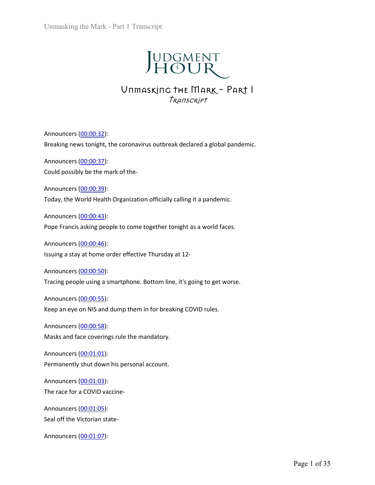

# Transcript

Unmasking the Mark - Part 1 Transcript<br>  $\begin{array}{r} \displaystyle \coprod \displaystyle \bigcup \displaystyle \text{COMENT} \ \text{AT} \ \text{AT} \ \text{AT} \ \text{AT} \ \text{AT} \ \text{AT} \ \text{AT} \ \text{AT} \ \text{AT} \ \text{AT} \ \text{AT} \ \text{AT} \ \text{AT} \ \text{AT} \ \text{AT} \ \text{AT} \ \text{AT} \ \text{AT} \ \text{AT} \ \text{AT} \ \text{AT} \ \text{AT} \ \text{AT} \ \text{AT} \ \text{AT} \ \$ Unmasking the Mark - Part 1 Transcript<br>  $\begin{array}{r} \text{UDGMEN} \ \text{HOLR} \ \text{MIMEXI} \end{array}$ <br>
Unmasking the Mark - Part 1<br>  $\begin{array}{r} \text{I} \ \text{I} \ \text{I} \ \text{I} \ \text{I} \ \text{I} \ \text{I} \ \text{I} \ \text{I} \ \text{I} \ \text{I} \ \text{I} \ \text{S} \ \text{I} \ \text{I} \ \text{S} \ \text{I} \ \$ Unmasking the Mark - Part 1 Transcript<br>  $\begin{array}{r} \begin{array}{r} \begin{array}{r} \end{array} \begin{array}{r} \end{array} \begin{array}{r} \end{array} \begin{array}{r} \end{array} \begin{array}{r} \end{array} \begin{array} \begin{array}{r} \end{array} \begin{array} \end{array} \begin{array} \end{array} \begin{array} \end{array} \begin{array} \end{array} \begin{array} \end{array} \begin{array} \end{array} \begin{array} \end{array} \begin{array} \end{array} \begin{array} \end{array$ Unmasking the Mark - Part 1 Transcript<br>  $\begin{array}{r} \begin{array}{r} \end{array} \begin{array}{r} \end{array} \begin{array}{r} \end{array}$ <br>  $\begin{array}{r} \end{array} \begin{array}{r} \end{array}$ <br>  $\begin{array}{r} \end{array} \begin{array}{r} \end{array}$ <br>  $\begin{array}{r} \end{array}$  COU  $\begin{array}{r} \end{array}$ <br>  $\end{array}$ <br>
Announcers (<u>00:00:32</u>):<br>
Breaking JUDGMENT<br>UNEAREMT<br>UNEAREMENT<br>UNEAREMENT<br>Announcers (00:00:32):<br>Breaking news tonight, the coronavirus outbreak declared a global pandemic.<br>Announcers (00:00:32):<br>Could possibly be the mark of the-<br>Announcers (00:00:39):<br>Do **TODATENT**<br>
UTIMASKING THE MARK – PART I<br>
TRANSCRIPT<br>
Announcers (00:00:32):<br>
Breaking news tonight, the coronavirus outbreak declared a global pandemic.<br>
Announcers (00:00:32):<br>
Could possibly be the mark of the-<br>
Announ **J H O U R**<br>U THE MARK – PART I<br>*TRANSCRIPT*<br>Announcers <u>(00:00:32)</u>:<br>Breaking news tonight, the coronavirus outbreak declared a global pandemic.<br>Announcers <u>(00:00:37)</u>:<br>Could possibly be the mark of the-<br>Announcers <u>(00</u> **Properties Framework CONSET FRAME FRAME FRAME FRAME FRAME SCALE ASSAMPLE SPACE TO CONSET SPACE TO CONSET ASSAMPLE Announcers (00:00:23):**<br> **EVERGAING metally for comparison of the comparison of the comparison of the Anno** VITHIASKLITG THE ITTAKK - TAKL T<br> *TRANSCRIPT*<br> *TRANSCRIPT*<br>
Announcers (<u>00:00:32</u>):<br>
Breaking news tonight, the coronavirus outbreak declared a global pandemic.<br>
Announcers (<u>00:00:37</u>):<br>
Could possibly be the mark of t Freeking news tonight, the coronavirus outbreak declared a global pandemic.<br>
Breaking news tonight, the coronavirus outbreak declared a global pandemic.<br>
Announcers (00:00:32):<br>
Today, the World Health Organization offici Announcers <u>(00:00:32)</u>:<br>Breaking news tonight, the coronavirus outbreak declared a global pandemic.<br>Announcers <u>(00:00:37)</u>:<br>Could possibly be the mark of the-<br>Announcers <u>(00:00:39)</u>:<br>Today, the World Health Organization Announcers (00:00:32):<br>Breaking news tonight, the coronavirus outbreak declared a global pandemic.<br>Announcers (00:00:32):<br>Could possibly be the mark of the-<br>Announcers (00:00:39):<br>Today, the World Health Organization offic

Breaking flews tollight), the Colonavirus outdreak declared a global partierm.<br>
Announcers (<u>00:00:37</u>):<br>
Could possibly be the mark of the-<br>
Announcers (<u>00:00:39</u>):<br>
Today, the World Health Organization officially callin Announcers (00:00:37):<br>
Could possibly be the mark of the-<br>
Announcers (00:00:39):<br>
Today, the World Health Organization officially calling it a pandemic.<br>
Announcers (00:00:45):<br>
Pope Francis asking people to come togethe Collar possibly be the mark or the-<br>Announcers (<u>00:00:39</u>):<br>Today, the World Health Organization officially calling it a pandemic.<br>Announcers (<u>00:00:43</u>):<br>Pope Francis asking people to come together tonight as a world fa Announcers (<u>00:00:39</u>):<br>Today, the World Health Organization officially calling it a pandemic.<br>Announcers (<u>00:00:43</u>):<br>Pope Francis asking people to come together tonight as a world faces.<br>Announcers (<u>00:00:45</u>):<br>Issuin Frances (00:00:50)<br>
Pope Francis asking people to come together tonight as a world faces.<br>
Announcers (00:00:43):<br>
Announcers (00:00:46):<br>
Issuing a stay at home order effective Thursday at 12-<br>
Announcers (00:00:50):<br>
Tra Announcers (<u>00:00:43</u>):<br>Pope Francis asking people to come together tonight as a world faces.<br>Announcers (<u>00:00:46)</u>:<br>Issuing a stay at home order effective Thursday at 12-<br>Announcers (<u>00:00:50):</u><br>Tracing people using a Pope Prancis asking people to come together tonight as a world rates.<br>Announcers (<u>00:00:46</u>):<br>Issuing a stay at home order effective Thursday at 12-<br>Announcers (<u>00:00:50</u>):<br>Tracing people using a smartphone. Bottom line, Announcers (0<u>0:00:46)</u>:<br>
Issuing a stay at home order effective Thursday at 12-<br>
Announcers (0<u>0:00:50</u>):<br>
Tracing people using a smartphone. Bottom line, it's going to get worse.<br>
Announcers (0<u>0:00:55)</u>:<br>
Keep an eye on Example a stay at holder enective intristary at 12-<br>Announcers (00:00:50):<br>Tracing people using a smartphone. Bottom line, it's going to get worse.<br>Announcers (00:00:55):<br>Keep an eye on NIS and dump them in for breaking CO Announcers (00:00:50):<br>Tracing people using a smartphone. Bottom line, it's going to get worse.<br>Announcers (00:00:55):<br>Keep an eye on NIS and dump them in for breaking COVID rules.<br>Announcers (00:00:58):<br>Masks and face cov Fracing people using a shrarphonie. bottom line, it's going to get worse.<br>Announcers (<u>00:00:55</u>):<br>Reep an eye on NIS and dump them in for breaking COVID rules.<br>Announcers (<u>00:00:58</u>):<br>Masks and face coverings rule the ma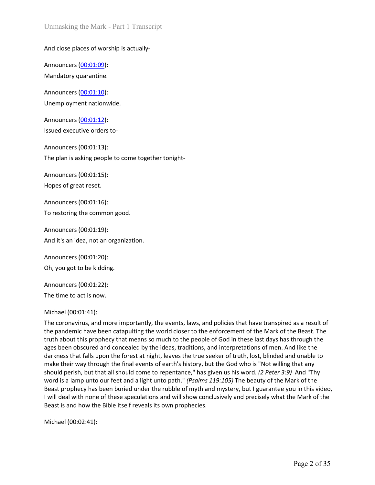Unmasking the Mark - Part 1 Transcript<br>And close places of worship is actually-<br>Announcers <u>(00:01:09)</u>:<br>Mandatory quarantine.<br>Announcers <u>(00:01:10</u>):<br>Unemployment nationwide. Unmasking the Mark - Part 1 Transcript<br>
And close places of worship is actually-<br>
Announcers (<u>00:01:09</u>):<br>
Mandatory quarantine.<br>
Announcers (<u>00:01:10</u>):<br>
Unemployment nationwide.<br>
Announcers (00:01:12):

Unmasking the Mark - Part 1 Transcript<br> **And close places of worship is actually-<br>
Announcers (<u>00:01:09</u>):<br>
Mandatory quarantine.<br>
Announcers (<u>00:01:10</u>):<br>
Unemployment nationwide.<br>
Announcers (<u>00:01:12</u>):<br>
Issued execu** Unmasking the Mark - Part 1 Transcript<br>
And close places of worship is actually-<br>
Announcers (<u>00:01:09)</u>:<br>
Mandatory quarantine.<br>
Announcers (<u>00:01:10</u>):<br>
Unemployment nationwide.<br>
Announcers (0<u>0:01:12</u>):<br>
Issued execut Unmasking the Mark - Part 1 Transcript<br>And close places of worship is actually-<br>Announcers <u>(00:01:09):</u><br>Mandatory quarantine.<br>Announcers <u>(00:01:10)</u>:<br>Unemployment nationwide.<br>Announcers <u>(00:01:12):</u><br>Issued executive ord Unmasking the Mark - Part 1 Transcript<br>
And close places of worship is actually-<br>
Announcers (<u>00:01:09</u>):<br>
Mandatory quarantine.<br>
Announcers (<u>00:01:10):</u><br>
Unemployment nationwide.<br>
Announcers (<u>00:01:12</u>):<br>
Issued execu Unmasking the Mark - Part 1 Transcript<br>
And close places of worship is actually-<br>
Announcers (<u>00:01:09):</u><br>
Mandatory quarantine.<br>
Announcers (<u>00:01:10</u>):<br>
Unemployment nationwide.<br>
Announcers (<u>00:01:12):</u><br>
Issued execut Unmasking the Mark - Part 1 Transcript<br>
And close places of worship is actually-<br>
Announcers <u>(00:01:09)</u>:<br>
Mandatory quarantine.<br>
Announcers <u>(00:01:10):</u><br>
Unemployment nationwide.<br>
Announcers (0<u>0:01:12):</u><br>
Issued execut

Unmasking the Mark - Part 1 Transcript<br>
And close places of worship is actually-<br>
Announcers (<u>00:01:09</u>):<br>
Mandatory quarantine.<br>
Announcers (0<u>0:01:10</u>):<br>
Unemployment nationwide.<br>
Announcers (0<u>0:01:12):</u><br>
Issued execut Announcers (<u>00:01:09)</u>:<br>
Mandatory quarantine.<br>
Mandatory quarantine.<br>
Announcers <u>(00:01:10)</u>:<br>
Unemployment nationwide.<br>
Announcers (<u>00:01:12):</u><br>
Issued executive orders to-<br>
Announcers (00:01:13):<br>
The plan is asking Announcers (<u>00:01:09</u>):<br>
Mandatory quarantine.<br>
Announcers (<u>00:01:09</u>):<br>
Mandatory quarantine.<br>
Announcers (<u>00:01:10</u>):<br>
Unemployment nationwide.<br>
Announcers (00:01:12):<br>
Sisued executive orders to-<br>
Announcers (00:01:1 Announcers (0<u>0:01:09):</u><br>Mandatory quarantine.<br>Announcers (0<u>0:01:10):</u><br>Unemployment nationwide.<br>Announcers (0<u>0:01:12):</u><br>Issued executive orders to-<br>Announcers (00:01:13):<br>The plan is asking people to come together tonigh Manualory quarantine.<br>
Announcers (<u>00:01:10)</u>:<br>
Unemployment nationwide.<br>
Announcers (<u>00:01:12</u>):<br>
Issued executive orders to-<br>
Announcers (00:01:13):<br>
The plan is asking people to come together tonight-<br>
Announcers (00: Announcers (0<u>0:01:10)</u>:<br>
Unemployment nationwide.<br>
Announcers (0<u>0:01:12</u>):<br>
Issued executive orders to-<br>
Announcers (00:01:13):<br>
The plan is asking people to come together tonight-<br>
Announcers (00:01:15):<br>
Hopes of great Onempioyment riadonwace.<br>
Announcers (00:01:12):<br>
Issued executive orders to-<br>
Announcers (00:01:13):<br>
The plan is asking people to come together tonight-<br>
Announcers (00:01:15):<br>
Hopes of great reset.<br>
Announcers (00:01:1 Announcers (0<u>0:01:12</u>):<br>
Issued executive orders to-<br>
Announcers (00:01:13):<br>
The plan is asking people to come together tonight-<br>
Announcers (00:01:15):<br>
Hopes of great reset.<br>
Announcers (00:01:16):<br>
To restoring the co

Saled executive orders to-<br>
Announcers (00:01:13):<br>
The plan is asking people to come together tonight-<br>
Announcers (00:01:15):<br>
Hopes of great reset.<br>
Announcers (00:01:16):<br>
To restoring the common good.<br>
Announcers (00: Announcers (00:01:13):<br>
The plan is asking people to come together tonight-<br>
Announcers (00:01:15):<br>
Hopes of great reset.<br>
Announcers (00:01:16):<br>
To restoring the common good.<br>
Announcers (00:01:19):<br>
And it's an idea, n The plan is asking people to come together tonight-<br>Announcers (00:01:15):<br>Hopes of great reset.<br>To restoring the common good.<br>Announcers (00:01:19):<br>And it's an idea, not an organization.<br>Announcers (00:01:20):<br>Oh, you go Announcers (00:01:15):<br>
Hopes of great reset.<br>
Announcers (00:01:16):<br>
To restoring the common good.<br>
Announcers (00:01:29):<br>
Oh, you got to be kidding.<br>
Announcers (00:01:22):<br>
The time to act is now.<br>
Michael (00:01:41): Hopes of great reset.<br>
Announcers (00:01:16):<br>
To restoring the common good.<br>
Announcers (00:01:19):<br>
And it's an idea, not an organization.<br>
Announcers (00:01:20):<br>
The time to act is now.<br>
Michael (00:01:41):<br>
Michael (0 Hopes or great reset.<br>
Announcers (00:01:16):<br>
To restoring the common good.<br>
Announcers (00:01:29):<br>
Oh, you got to be kidding.<br>
Announcers (00:01:22):<br>
The time to act is now.<br>
Michael (00:01:41):<br>
The coronavirus, and m Announcers (00:01:16):<br>
To restoring the common good.<br>
Announcers (00:01:19):<br>
And it's an idea, not an organization.<br>
Announcers (00:01:20):<br>
The time to act is now.<br>
Michael (00:01:21):<br>
The coronavirus, and more importa Announcers (00:01:16):<br>
To restoring the common good.<br>
Announcers (00:01:29):<br>
Oh, you got to be kidding.<br>
Announcers (00:01:20):<br>
The time to act is now.<br>
Michael (00:01:41):<br>
The time to act is now.<br>
Michael (00:01:41):<br> To restoring the common good.<br>
Announcers (00:01:19):<br>
And it's an idea, not an organization.<br>
Announcers (00:01:20):<br>
Oh, you got to be kidding.<br>
Announcers (00:01:20):<br>
The time to act is now.<br>
Michael (00:01:41):<br>
The c Announcers (00:01:19):<br>
And it's an idea, not an organization.<br>
Oh, you got to be kidding.<br>
Announcers (00:01:20):<br>
The time to act is now.<br>
Michael (00:01:41):<br>
The coronavirus, and more importantly, the events, laws, and Announcers (00:01:19):<br>
Announcers (00:01:20):<br>
Oh, you got to be kidding.<br>
Announcers (00:01:22):<br>
The time to act is now.<br>
Michael (00:14:41):<br>
The coronavius, and more importantly, the events, laws, and policies that ha And it's an idea, not an organization.<br>
Announcers (00:01:20):<br>
Oh, you got to be kidding.<br>
Announcers (00:01:22):<br>
The time to act is now.<br>
Incherent have been catapulting the world closer to the enforcement of the Mark o Announcers (00:01:20):<br>
The time to act is now.<br>
The time to act is now.<br>
The coronavius, and more importantly, the events, laws, and policies that have transpired as a result of<br>
The coronavius, and more importantly, the Announcers (00:01:20):<br>
Oh, you got to be kidding.<br>
Announcers (00:01:22):<br>
The time to act is now.<br>
Michael (00:01:21):<br>
The coronavirus, and one importantly, the events, laws, and policies that have transpired as a resul On, you got to be kidding.<br>
Announcers (00:01:22):<br>
The time to act is now.<br>
Michael (00:01:41):<br>
The coronavirus, and more importantly, the events, laws, and policies that have tr<br>
the pandemic have been catapulting the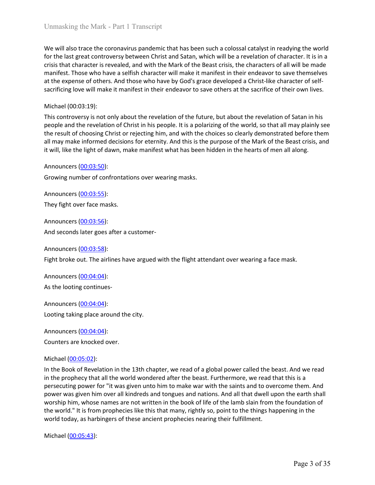Unmasking the Mark - Part 1 Transcript<br>We will also trace the coronavirus pandemic that has been such a colossal catalyst in readying the world<br>for the last great controversy between Christ and Satan, which will be a revel Unmasking the Mark - Part 1 Transcript<br>We will also trace the coronavirus pandemic that has been such a colossal catalyst in readying the world<br>for the last great controversy between Christ and Satan, which will be a revel Unmasking the Mark - Part 1 Transcript<br>We will also trace the coronavirus pandemic that has been such a colossal catalyst in readying the world<br>for the last great controversy between Christ and Satan, which will be a revel Unmasking the Mark - Part 1 Transcript<br>We will also trace the coronavirus pandemic that has been such a colossal catalyst in readying the world<br>for the last great controversy between Christ and Satan, which will be a revel Unmasking the Mark - Part 1 Transcript<br>We will also trace the coronavirus pandemic that has been such a colossal catalyst in readying the world<br>for the last great controversy between Christ and Satan, which will be a revel Unmasking the Mark - Part 1 Transcript<br>We will also trace the coronavirus pandemic that has been such a colossal catalyst in readying the world<br>for the last great controversy between Christ and Satan, which will be a revel Unmasking the Mark - Part 1 Transcript<br>We will also trace the coronavirus pandemic that has been such a colossal catalyst<br>for the last great controversy between Christ and Satan, which will be a revelation<br>crisis that char Unmasking the Mark - Part 1 Transcript<br>We will also trace the coronavirus pandemic that has been such a colossal catalyst in readying the world<br>for the last great controversy between Christ and Satan, which will be a revel Unmasking the Mark - Part 1 Transcript<br>We will also trace the coronavirus pandemic that has been such a colossal catalyst in readying the world<br>for the last great controversy between Christ and Satan, which will be a revel Unmasking the Mark - Part 1 Transcript<br>We will also trace the coronavirus pandemic that has been such a colossal catalyst in readying the world<br>for the last great controversy between Christ and Satan, which will be a revel Unmasking the Mark - Part I Transcript<br>We will also trace the coronavirus pandemic that has been such a colossal catalyst in readying the world<br>for the last great controversy between Christ and Staan, which will be a revel Unmasking the Mark - Part 1 Transcript<br>We will also trace the coronavirus pandemic that has been such a colossal catalyst in readying the world<br>for the last great controversy between Christ and Satan, which will be a revel Unmasking the Mark - Part 1 Transcript<br>We will also trace the coronavirus pandemic that has been such a colossal catalyst in for the last great controversy between Christ and Satan, which will be a revelation of crisis tha Unmasking the Mark - Part 1 Transcript<br>We will also trace the coronavirus pandemic that has been such a colossal catalyst in readying the world<br>for the last great controversy between Christ and Satan, which will be a revel We will also trace the coronavirus pandemic that has been such a colossal catalyst in for the last great controversy between Christ and Satan, which will be a revelation of crisis that character is revealed, and with the M for the last great controversy between Christ and Satan, which will be a revelation of characterisis that characteris revealed, and with the Mark of the Beast crisis, the characters of all will the market crisis that char

manifest. Those who have a selfish character will make it manifest in their endeavor to<br>at the expense of others. And those who have by God's grace developed a Christ-like c<br>sacrificing love will make it manifest in their at the expense of others. And those who have by God's grace developed a Christ-like character of self-<br>sacrificing love will make it manifest in their endeavor to save others at the sacrifice of their own lives.<br>Michael (0 Michael (00:03:19):<br>This controversy is not only about the revelation of the future, but about the revelation<br>people and the revelation of Christ in his people. It is a polarizing of the world, so that<br>the result of choosi Michale (UOU3:19):<br>This controversy is not only about the revelation of the future, but about the revelation of Satan in his<br>people and the revelation of Christ in his people. It is a polarizing of the world, so that all m people and the revelation of Christ in his people. It is a polarizing of the world, so that<br>the result of choosing Christ or rejecting him, and with the choices so clearly demonstall may make informed decisions for eternit the result of choosing Cnits of rejecting him, and wint the choices so clearly demonstrated and may make informed decisions for eternity. And this is the purpose of the Mark of the tivall, like the light of dawn, make man

It will, like the light of dawn, make manilest what has been induen in the hearts of me<br>Announcers (<u>00:03:50</u>):<br>Growing number of confrontations over wearing masks.<br>Announcers (<u>00:03:55</u>):<br>They fight over face masks.<br>Ann

Announcers <u>(00:03:50</u>):<br>Growing number of confrontations over wearing masks.<br>Announcers <u>(00:03:55)</u>:<br>They fight over face masks.<br>Announcers <u>(00:03:56)</u>:<br>And seconds later goes after a customer-<br>Announcers <u>(00:04:04):</u><br>

Shandle The Confidence of Wealth The Shandle The Shandle The Shandle The Shandle The Shandle The Shandle The Shandle The Shandle The Shandle The Shandle The Shandle The Shandle The Shandle The Shandle The Shandle The Shand Announcers (<u>00:03:55)</u>:<br>
They fight over face masks.<br>
Announcers (<u>00:03:56)</u>:<br>
And seconds later goes after a customer-<br>
Announcers (<u>00:04:04):</u><br>
Fight broke out. The airlines have argued with the flight attendant over They light over late masss.<br>
Announcers (<u>00:03:56</u>):<br>
And seconds later goes after a customer-<br>
Announcers (<u>00:03:58)</u>:<br>
Fight broke out. The airlines have argued with the flight attendant over wearing a<br>
Announcers (<u>00</u> Announcers (<u>00:03:56):</u><br>
And seconds later goes after a customer-<br>
Announcers (<u>00:03:58</u>):<br>
Fight broke out. The airlines have argued with the flight attendant over wearing a face mask.<br>
Announcers (<u>00:04:04)</u>:<br>
Announc And seconds later goes after a customer-<br>Announcers (<u>00:03:58</u>):<br>Fight broke out. The airlines have argued with the flight attendant over wearing a face mask.<br>Announcers (<u>00:04:04)</u>:<br>Announcers (<u>00:04:04)</u>:<br>Announcers ( Announcers (<u>00:03:58);</u><br>Announcers (<u>00:03:58);</u><br>Fight broke out. The airlines have argued with the flight attendant over wearing a face mask.<br>Announcers (<u>00:04:04)</u>.<br>As the looting continues-<br>Announcers (<u>00:04:04)</u>;<br>Co Announcers (<u>00:03:58)</u>:<br>Fight broke out. The airlines have argued with the flight attendant over wearing a face mask.<br>Announcers <u>(00:04:04)</u>:<br>As the looting continues-<br>Announcers <u>(00:04:04)</u>:<br>Announcers <u>(00:04:04)</u>:<br>Co Amouncers (<u>UO03:39</u>):<br>
Fight broke out. The airlines have argued with the flight attendant over wearing a face mask.<br>
Announcers (<u>00:04:04</u>):<br>
Announcers (<u>00:04:04</u>):<br>
Announcers (<u>00:04:04</u>):<br>
Counters are knocked over Fight broke out. The airlines have argued with the flight attendant over wearing a face mask.<br>Announcers (0<u>0:04:04:04)</u>:<br>As the looting continues-<br>Announcers (0<u>0:04:04)</u>:<br>Announcers (0<u>0:04:04)</u>:<br>Counters are knocked ove Announcers (00:04:04:04):<br>
As the looting continues-<br>
Announcers (00:04:04):<br>
Looting taking place around the city.<br>
Announcers (00:04:04):<br>
Counters are knocked over.<br>
Michael (00:05:02):<br>
In the Book of Revelation in the As the looting continues-<br>Announcers (<u>00:04:04</u>):<br>Looting taking place around the city.<br>
Announcers (<u>00:04:04</u>):<br>
Counters are knocked over.<br>
Michael (<u>00:05:02</u>):<br>
In the Book of Revelation in the 13th chapter, we read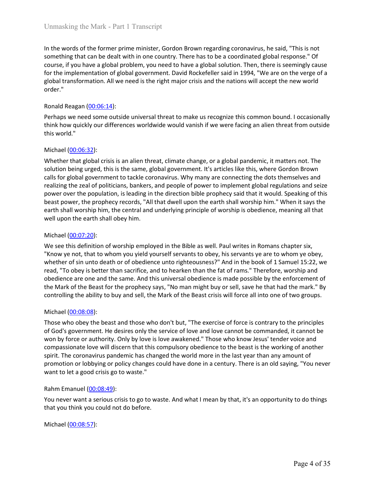Unmasking the Mark - Part 1 Transcript<br>In the words of the former prime minister, Gordon Brown regarding coronavirus, he said, "This is not<br>something that can be dealt with in one country. There has to be a coordinated glo Unmasking the Mark - Part 1 Transcript<br>In the words of the former prime minister, Gordon Brown regarding coronavirus, he said, "This is not<br>something that can be dealt with in one country. There has to be a coordinated glo Unmasking the Mark - Part 1 Transcript<br>In the words of the former prime minister, Gordon Brown regarding coronavirus, he said, "This is not<br>something that can be dealt with in one country. There has to be a coordinated glo Unmasking the Mark - Part 1 Transcript<br>In the words of the former prime minister, Gordon Brown regarding coronavirus, he said, "This is not<br>something that can be dealt with in one country. There has to be a coordinated glo Unmasking the Mark - Part 1 Transcript<br>
In the words of the former prime minister, Gordon Brown regarding coronavirus, he said, "This is not<br>
something that can be dealt with in one country. There has to be a coordinated g order." Unmasking the Mark - Part 1 Transcript<br>
In the words of the former prime minister, Gordon Brown regarding coronavirus, he said,<br>
something that can be dealt with in one country. There has to be a coordinated global re<br>
cou Unmasking the Mark - Part 1 Transcript<br>
In the words of the former prime minister, Gordon Brown regarding coronavirus, he said, "This is not<br>
something that can be dealt with in one country. There has to be a coordinated g Unmasking the Mark - Part 1 Transcript<br>
In the words of the former prime minister, Gordon Brown regarding coronavirus, he said, "This is not<br>
something that can be dealt with in one country. There has to be a coordinated g Unmasking the Mark - Part 1 Transcript<br>
In the words of the former prime minister, Gordon Brown regarding coronavis<br>
something that can be dealt with in one country. There has to be a coordinate<br>
course, if you have a glob Unmasking the Mark - Part 1 Transcript<br>
In the words of the former prime minister, Gordon Brown regarding coronavirus, is<br>
something that can be dealt with in one country. There has to be a coordinated gla<br>
course, if you

Unmasking the Mark - Part 1 Transcript<br>
In the words of the former prime minister, Gordon Brown regarding coronavirus, he said, "This is not<br>
something that can be dealt with in one country. There has to be a coordinated g Unmasking the Mark - Part 1 Transcript<br>
In the words of the former prime minister, Gordon Brown regarding coronavirus, he said, "This is not<br>
something that can be deal with in one country. There has to be a coordinated gl Unmasking the Mark - Part 1 Transcript<br>
In the words of the former prime minister, Gordon Brown regarding coronavirus, he said, "This is not<br>
something that can be dealt with in one country. There has to be a coordinated g In the words of the former prime minister, Gordon Brown regarding coronavirus, he said, "This is not something that can be dealt with in one country. There has to be a coordinated global response." Of course, if you have a In the words of the former prime minister, Gordon Brown regarding coronavirus, he said, "This is not something that can be dealt with in one country. There has to be a coordinated global response." Of fourth the miplementa In the words of the former prime imister, Goroton is row in regarding coronavirus, ne sala, "Inis is not the country. There has to be a coordinated global response." Of<br>course, if you have a global problem, you need to hav something that can be east with in one country. Inere nas to be a cooronate geloval response. To<br>course, if you have a global problem, you need to have a global solution. Then, there is seemingly case<br>for the implementatio course, pryou nave a global problem, you need to nave a global solution. Inen, there is seemingly calses to the implementation of global government. David Rockefeller said in 1994, "We are on the verge of a<br>global transfor global transformation. All we need is the right major crisis and the nations will accorder."<br>
Ronald Reagan (00:06:14):<br>
Perhaps we need some outside universal threat to make us recognize this commonlinin<br>
he how quickly o **From 2010** Property of employed in the Bible as well. Paul writes in The Rick Theorem and the Bible as well. Some particular that the Bible as well. Some particular that the Mickell (00:06:32):<br>
Michael (00:06:32):<br>
Mich Ronald Reagan (<u>00:06:14</u>):<br>
Perhaps we need some outside universal threat to make us recognize this common bound. I occasionally<br>
think how quickly our differences worldwide would vanish if we were facing an alien threat Perhaps we need some outside universal threat to make us recognize this common bound. I occasionally<br>think how quickly our differences worldwide would vanish if we were facing an alien threat from outside<br>this world."<br>Mich remaps we need some otosite universal trieat to make us recognize this common bound. I occasionally think how quickly our differences worldwide would vanish if we were facing an alien threat from outside this world."<br>
Mich this moved pureses worrawide would vanish if we were racing an alien threat from outside<br>this world."<br>
Whether that global crisis is an alien threat, climate change, or a global pandemic, it matters not. The<br>
solution bein this world.<br>
Whehel (0<u>0-06-32</u>):<br>
Whehel (the Beast global crisis is an alien threat, climate change, or a global pandemic, it matters not. The<br>
Solution being urged, this is the same, global government. It's articles lik Michael <u>(00:06:32)</u>:<br>Whether that global crisis is an alien threat, climate change, or a global pandemic, it matters not. The<br>solution being urged, this is the same, global government. It's articles like this, where Gordo Whether that global crisis is an alien threat, climate change, or a global pandemic,<br>solution being urged, this is the same, global government. It's articles like this, wh<br>calls for global government to tackle coronavirus.

solution being urged, this is the same, gooda government. It's articles like the world but estail and the beast is the stoches who driven that it is acceled in the determinant to take coronavirus. Why many are connecting t

can tor geonar government to tackee corronavirus. Why many are connecting the cost steress and perfect the apoplation, is leading in the direction bible prophecy said that it would. Speaking of this beat power, the populat reauting the zear or ponticlans, pankers, and people or power to implement gloosar regulations ain oseize<br>power over the population, is leading in the direction bible prophecy said that it would. Speaking of this<br>beast pow power over the population, is leading in the direction bine prophecy said native wold. Spearing of this compute obest bower, the prophecy records, "All that dwell upon the earth shall worship him." When it says the earth s beast power, the propher or excrets, "aut that dwell upon the earth shall worship nim." when it say the<br>earth shall worship him, the central and underlying principle of worship is obedience, meaning all that<br>well upon the earth state worship nim, the central and underlying principle or worship is obedience, meaning all tratt<br>Michael (00:07:20):<br>We see this definition of worship employed in the Bible as well. Paul writes in Romans chapter si Well upon the earth shall obey him.<br>
Wichael (<u>00:07:20</u>):<br>
We see this definition of worship employed in the Bible as well. Paul writes in Romans chapter six,<br>
"Know ye not, that to whom you yield yourself servants to ob Michael (<u>00:07:20</u>):<br>
We see this definition of worship employed in the Bible as well. Paul writes in Romans ch<br>
We see this definition of worship employed in the Bible as well. Paul writes in Romans ch<br>
"Know ye not, th We see fits center of worstop employee in the time to wastell. Pay the serious crisis to a serious crisis to the symptom of whis servants crisis to a serious of the symptom of the sympthen of sin unto death or of beddienc Know ye not, that to wnom you yelend yoursers sevants to oney, his servants ye are to wonom ye oney, the mediate of sin unto death or of obedience unto righteousness?" And in the book of 1 Samuel 15:22, we read, "To obey i read, To ovey soleter than sactime, and to metarient name in et at o trains. There are one and the same. And this universal obedience is made possible b<br>the Mark of the Beast for the prophecy says, "No man might buy or sel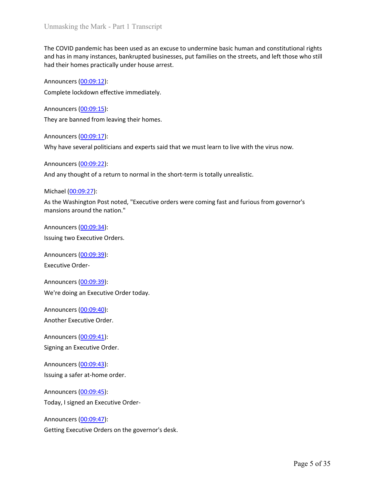Unmasking the Mark - Part 1 Transcript<br>The COVID pandemic has been used as an excuse to undermine basic human and constitutional rights<br>and has in many instances, bankrupted businesses, put families on the streets, and lef Unmasking the Mark - Part 1 Transcript<br>The COVID pandemic has been used as an excuse to undermine basic human and constitutional rights<br>and has in many instances, bankrupted businesses, put families on the streets, and lef Unmasking the Mark - Part 1 Transcript<br>The COVID pandemic has been used as an excuse to undermine basic human and constitutional rights<br>and has in many instances, bankrupted businesses, put families on the streets, and lef Unmasking the Mark - Part 1 Transcript<br>The COVID pandemic has been used as an excuse to undermine basic human and cons<br>and has in many instances, bankrupted businesses, put families on the streets, and lef<br>had their homes Unmasking the Mark - Part 1 Transcript<br>The COVID pandemic has been used as an excuse to undermine basic human and constitutional rights<br>and has in many instances, bankrupted businesses, put families on the streets, and lef Unmasking the Mark - Part 1 Transcript<br>The COVID pandemic has been used as an excuse to undermine basic human and cons<br>and has in many instances, bankrupted businesses, put families on the streets, and lef<br>had their homes Unmasking the Mark - Part 1 Transcript<br>The COVID pandemic has been used as an excuse to undermine basic human and constitutional rights<br>and has in many instances, bankrupted businesses, put families on the streets, and lef Unmasking the Mark - Part 1 Transcript<br>The COVID pandemic has been used as an excuse to undermine basic human and cons<br>and has in many instances, bankrupted businesses, put families on the streets, and lef<br>had their homes Unmasking the Mark - Part 1 Transcript<br>The COVID pandemic has been used as an excuse to undermine basic human and constitutional rights<br>and has in many instances, bankrupted businesses, put families on the streets, and lef Unmasking the Mark - Part 1 Transcript<br>The COVID pandemic has been used as an excuse to undermine basic human and cons<br>and has in many instances, bankrupted businesses, put families on the streets, and lef<br>had their homes Unmasking the Mark - Part 1 Transeript<br>The COVID pandemic has been used as an excuse to undermine basic human and constitutional rights<br>and has in many instances, bankrupted businesses, put families on the streets, and lef The COVID pandemic has been used as an excuse to undermine basic human and<br>and has in many instances, bankrupted businesses, put families on the streets, and<br>had their homes practically under house arrest.<br>Announcers (<u>00:</u> Ine COVID panomen rass been used as an excuse to undermine basic numan and constitutional rights and last inamy instances, bankrupted businesses, put families on the streets, and left those who still<br>had their homes practi

and mas in many instances, bankrupted businesses, put ramilies on the streets, and lert those w<br>had their homes practically under house arrest.<br>Announcers (0<u>0:09:15</u>):<br>Complete lockdown effective immediately.<br>Announcers ( Announcers (<u>00:09:12</u>):<br>
Complete lockdown effective immediately.<br>
Announcers (<u>00:09:15</u>):<br>
They are banned from leaving their homes.<br>
Announcers (<u>00:09:17</u>):<br>
Why have several politicians and experts said that we must Complete lockdown effective immediately.<br>
Announcers (00:09:15):<br>
They are banned from leaving their homes.<br>
Announcers (00:09:17):<br>
Why have several politicians and experts said that we must learn to live with the virus n Announcers (<u>00:09:15)</u>:<br>They are banned from leaving their homes.<br>Announcers (<u>00:09:17</u>):<br>Why have several politicians and experts said that we must learn to live with the virus<br>Announcers (<u>00:09:22</u>):<br>And any thought o Exercise the pair of their homes.<br>
They are banned from leaving their homes.<br>
Announcers (<u>00:09:27</u>):<br>
Why have several politicians and experts said that we must learn to live with the vir<br>
Announcers (<u>00:09:22</u>):<br>
And Announcers <u>(00:09:17)</u>:<br>Why have several politicians and experts said that we must learn to live with the virus<br>Announcers <u>(00:09:22)</u>:<br>And any thought of a return to normal in the short-term is totally unrealistic.<br>Mich Why have several politicians and experts said that we must learn to live with the virus now.<br>
Announcers (<u>00:09:22</u>):<br>
And any thought of a return to normal in the short-term is totally unrealistic.<br>
Michael (<u>00:09:27</u>): Announcers (<u>00:09:22</u>):<br>
And any thought of a return to normal in the short-term is totally unrealistic.<br>
Michael (<u>00:09:27</u>):<br>
Michael (<u>00:09:27</u>):<br>
Announcers (00:09:34):<br>
mansions around the nation."<br>
Announcers (0<u>0</u> And any thought of a return to normal in the short-term is totally unrealistic.<br>
Michael (<u>00:09:27</u>):<br>
Ante Washington Post noted, "Executive orders were coming fast and furious from governe<br>
mansions around the nation."<br> Michael (<u>00:09:27</u>):<br>As the Washington Post noted, "Executive orders were coming fast and furious from g<br>mansions around the nation."<br>Announcers <u>(00:09:34)</u>:<br>Issuing two Executive Orders.<br>Announcers <u>(00:09:39)</u>:<br>Announc As the Washington Post noted, "Executive orders were coming fast and furious from governor<br>Manouncers (00:09:34):<br>Announcers (00:09:34):<br>Issuing two Executive Orders.<br>Announcers (00:09:39):<br>Announcers (00:09:39):<br>Announcer

mansions around the hation.<br>
Announcers (<u>00:09:34</u>):<br>
Issuing two Executive Orders.<br>
Announcers (<u>00:09:39</u>):<br>
Executive Order-<br>
Announcers (<u>00:09:43)</u>:<br>
Morder Executive Order today.<br>
Announcers (<u>00:09:44</u>):<br>
Announcer Announcers (00:09:34):<br>
Issuing two Executive Orders.<br>
Announcers (00:09:39):<br>
Executive Order-<br>
Announcers (00:09:39):<br>
We're doing an Executive Order today.<br>
Announcers (00:09:40):<br>
Announcers (00:09:41):<br>
Signing an Exe

Sample (00:09:39):<br>
Announcers (00:09:39):<br>
Executive Order-<br>
Announcers (00:09:39):<br>
We're doing an Executive Order today.<br>
Announcers (00:09:40):<br>
Announcers (00:09:41):<br>
Signing an Executive Order.<br>
Announcers (00:09:43 Announcers (00:09:39):<br>Executive Order-<br>Announcers (0<u>0:09:39</u>):<br>We're doing an Executive Order today.<br>Announcers (00:09:40):<br>Another Executive Order.<br>Announcers (00:09:43):<br>Signing an Executive Order.<br>Announcers (00:09:45 Executive Order-<br>Announcers (<u>00:09:39</u>):<br>We're doing an Executive Order today.<br>Announcers (<u>00:09:40</u>):<br>Another Executive Order.<br>Announcers (<u>00:09:41</u>):<br>Announcers (<u>00:09:43</u>):<br>Announcers (0<u>0:09:45</u>):<br>Today, I signed a Announcers (00:09:39):<br>We're doing an Executive Order today.<br>Announcers (00:09:40):<br>Another Executive Order.<br>Announcers (00:09:41):<br>Signing an Executive Order.<br>Announcers (00:09:43):<br>Signing as asfer at-home order.<br>Announc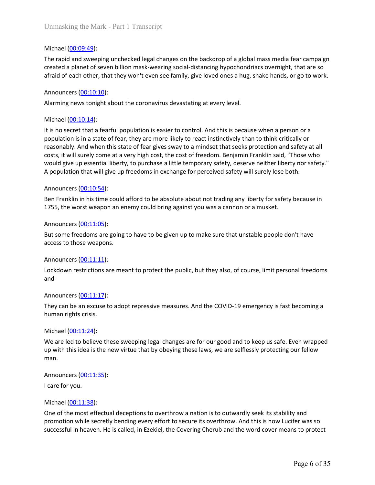Unmasking the Mark - Part 1 Transcript<br>
Michael (<u>00:09:49</u>):<br>
The rapid and sweeping unchecked legal changes on the backdrop of a global mas<br>
created a planet of seven billion mask-wearing social-distancing hypochondriacs Unmasking the Mark - Part 1 Transcript<br>Michael (<u>00:09:49</u>):<br>The rapid and sweeping unchecked legal changes on the backdrop of a global mass media fear campaign<br>created a planet of seven billion mask-wearing social-distanc Unmasking the Mark - Part 1 Transcript<br>Michael (<u>00:09:49)</u>:<br>The rapid and sweeping unchecked legal changes on the backdrop of a global mass media fear campaign<br>created a planet of seven billion mask-wearing social-distanc Unmasking the Mark - Part 1 Transcript<br>
Michael (<u>00:09:49</u>):<br>
The rapid and sweeping unchecked legal changes on the backdrop of a global mass media fear campaign<br>
created a planet of seven billion mask-wearing social-dist Unmasking the Mark - Part 1 Transcript<br>
Michael (<u>00:09:49</u>):<br>
The rapid and sweeping unchecked legal changes on the backdrop of a global mass mereated a planet of seven billion mask-wearing social-distancing hypochondriac Unmasking the Mark - Part 1 Transcript<br>
Michael <u>(00:09:49</u>):<br>
The rapid and sweeping unchecked legal changes on the backdrop of a global mass media fear campaign<br>
The rapid and sweeping unchecked legal changes social-dist

Unmasking the Mark - Part 1 Transcript<br>
Michael (<u>00:09:49</u>):<br>
The rapid and sweeping unchecked legal changes on the backdrop of a global mas<br>
created a planet of seven billion mask-wearing social-distancing hypochondriacs Unmasking the Mark - Part 1 Transcript<br>
Michael (<u>00:09:49)</u>:<br>
The rapid and sweeping unchecked legal changes on the backdrop of a global mass media fear campaign<br>
created a planet of seven billion mask-wearing social-dist Unmasking the Mark - Part 1 Transcript<br>
Michael (<u>00:09:49</u>):<br>
The rapid and sweeping unchecked legal changes on the backdrop of a global mass media fear campaign<br>
created a planet of seven billion mask-wearing social-dist Unmasking the Mark - Part 1 Transcript<br>
Michael (<u>00:09:49):</u><br>
The rapid and sweeping unchecked legal changes on the backdrop of a global mass media fear campaign<br>
created a planet of seven billion mask-wearing social-dist Unmasking the Mark - Part 1 Transcript<br>
Michael (<u>00:09:49):</u><br>
The rapid and sweeping unchecked legal changes on the backdrop of a global mass media fear campaign<br>
orcetaed a planet of seven billion mask-wearing social-dis Unmasking the Mark - Part 1 Transcript<br>
Michael (<u>00:09:49</u>):<br>
The rapid and sweeping unchecked legal changes on the backdrop of a global mass media fear campaign<br>
created a planet of seven billion mask-wearing social-dist Unmasking the Mark - Part 1 Transcript<br>
Michael (<u>00:09:49</u>):<br>
The rapid and sweeping unchecked legal changes on the backdrop of a global mass media fear campaign<br>
Treated a planet of seven billion mask-wearing social-dist Michael <u>(00:09:49)</u>:<br>The rapid and sweeping unchecked legal changes on the backdrop of a global mass m<br>created a planet of seven billion mask-wearing social-distancing hypochondriacs over<br>afraid of each other, that they w Michael (<u>00:09:49</u>):<br>The rapid and sweeping unchecked legal changes on the backdrop of a global mass media fear campaign<br>Treated a planet of seven billion mask-wearing social-distancing hypochondriacs overnight, that are The rapid and sweeping unchecked legal changes on the backdrop of a global mass media fear campaign<br>created a planet of seven billion mask-wearing social-distancing hypochondriacs overnight, that are so<br>difaid of each othe afraid of each other, that they won't even see family, give loved ones a hug, shake har<br>
afraid of each other, that they won't even see family, give loved ones a hug, shake har<br>
Announcers (<u>00:10:10</u>):<br>
Alarming news ton Announcers (<u>00:10:10)</u>:<br>Marming news tonight about the coronavirus devastating at every level.<br>Michael (<u>00:10:14</u>):<br>It is no secret that a fearful population is easier to control. And this is because when a person or a<br>p Announcers (<u>00:10:10)</u>:<br>Alarming news tonight about the coronavirus devastating at every level.<br>Michael (<u>00:10:14)</u>:<br>It is no secret that a fearful population is easier to control. And this is because when a per<br>populati Michael (00:10:14):<br>
It is no secret that a fearful population is easier to control. And this is because when a<br>
to population is in a state of fear, they are more likely to react instinctively than to think<br>
reasonably. Michael (<u>00-10-14):</u><br>
It is no secret that a fearful population is easier to control. And this is because when a person or a<br>
It is no secret that a fearful population is easier to control. And this is because when a pers reasonably. And when this state of fear gives sway to a mindset that seeks protection<br>reasonably. And when this state of fear gives sway to a mindset that seeks protection<br>costs, it will surely come at a very high cost, t costs, it will surely come at a very ligh cost, the cost of freedom. Benjamin Franklin said, "Those who<br>would give up essential liberty, to purchase a little temporary safety, deserve neither liberty nor safety."<br>A populat

and-

would give up essential liberty, to purchase a little temporary safety, deserve neither lit<br>A population that will give up freedoms in exchange for perceived safety will surely lose<br>Announcers (<u>00:10:54</u>):<br>Ben Franklin in Announcers (<u>00:10:54</u>):<br>Ben Franklin in his time could afford to be absolute about not trading any liberty f<br>1755, the worst weapon an enemy could bring against you was a cannon or a mus<br>Announcers (<u>00:11:05</u>):<br>But some Announcers (<u>00:11:39</u>):<br>Ben Franklin in his time could afford to be absolute about not trading any liberty for safety because in<br>1755, the worst weapon an enemy could bring against you was a cannon or a musket.<br>Announcers Ben Franklin in his time could afford to be absolute about not trading any liberty for safety because in<br>1755, the worst weapon an enemy could bring against you was a cannon or a musket.<br>Announcers (<u>00:11:05</u>):<br>Burbsome f man. Announcers (<u>00:11:05</u>):<br>But some freedoms are going to have to be given up to make sure that unstable peoplacess to those weapons.<br>Announcers (<u>00:11:11)</u>:<br>Lockdown restrictions are meant to protect the public, but they But some freedoms are going to have to be given up to make sure that unstable pe<br>access to those weapons.<br>Announcers (<u>00:11:11)</u>:<br>Lockdown restrictions are meant to protect the public, but they also, of course, lim<br>and-<br>A

Announcers (<u>00:11:11</u>):<br>Lockdown restrictions are meant to protect the public, but they also, of course, lin<br>and-<br>Announcers (<u>00:11:17</u>):<br>They can be an excuse to adopt repressive measures. And the COVID-19 emergene<br>huma Announcers (<u>OO:11:31)</u>:<br>Lockdown restrictions are meant to protect the public, but they also, of course, limit personal freedoms<br>and-<br>Announcers (<u>OO:11:17</u>):<br>They can be an excuse to adopt repressive measures. And the CO lockdown restrictions are meant to protect the public, but they also, of course, limit personal freedoms<br>and-<br>Announcers (<u>00:11:17</u>):<br>They can be an excuse to adopt repressive measures. And the COVID-19 emergency is fast and-<br>They can be an excuse to adopt repressive measures. And the COVID-19 emergency is fast becoming a<br>They can be an excuse to adopt repressive measures. And the COVID-19 emergency is fast becoming a<br>We ae led to believe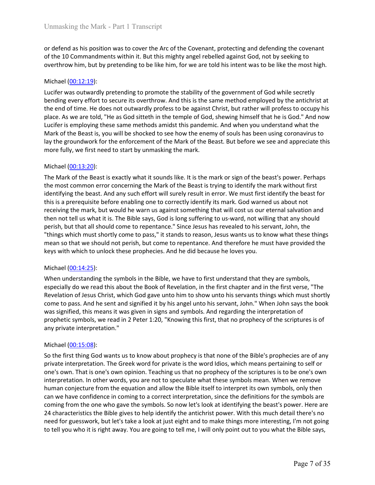Unmasking the Mark - Part 1 Transcript<br>or defend as his position was to cover the Arc of the Covenant, protecting and defending the covenant<br>of the 10 Commandments within it. But this mighty angel rebelled against God, not Unmasking the Mark - Part 1 Transcript<br>or defend as his position was to cover the Arc of the Covenant, protecting and defending the covenant<br>of the 10 Commandments within it. But this mighty angel rebelled against God, not Unmasking the Mark - Part 1 Transcript<br>or defend as his position was to cover the Arc of the Covenant, protecting and defending the covenant<br>of the 10 Commandments within it. But this mighty angel rebelled against God, not

Unmasking the Mark - Part 1 Transcript<br>
or defend as his position was to cover the Arc of the Covenant, protecting and def<br>
of the 10 Commandments within it. But this mighty angel rebelled against God, no<br>
overthrow him, b Unmasking the Mark - Part 1 Transcript<br>or defend as his position was to cover the Arc of the Covenant, protecting and defending the covenant<br>overthrow him, but by pretending to be like him, for we are told his intent was t Unmasking the Mark - Part 1 Transcript<br>or defend as his position was to cover the Arc of the Covenant, protecting and defending the covenant<br>of the 10 Commandments within it. But this mighty angel rebelled against God, not Unmasking the Mark - Part 1 Transcript<br>or defend as his position was to cover the Arc of the Covenant, protecting and defending the covenant<br>of the 10 Commandments within it. But this mighty angel rebelled against God, not Unmasking the Mark - Part 1 Transcript<br>or defend as his position was to cover the Arc of the Covenant, protecting and defending the covenant<br>of the 10 Commandments within it. But this mighty angel rebelled against God, not Unmasking the Mark - Part 1 Transcript<br>or defend as his position was to cover the Arc of the Covenant, protecting and defending the covenant<br>of de 10 Commandments within it. But this mighty angel rebelled against God, not Unmasking the Mark - Part 1 Transcript<br>or defend as his position was to cover the Arc of the Covenant, protecting and defending the covenant<br>of the 10 Commandments within it. But this mighty angel rebelled against God, not Unmasking the Mark - Part 1 Transcript<br>or defend as his position was to cover the Arc of the Covenant, protecting and defending the covenant<br>of the 10 Commandments within it. But this mighty angel rebelled against God, not Unmasking the Mark - Part 1 Transcript<br>or defend as his position was to cover the Arc of the Covenant, protecting and defending the covenant<br>of the 10 Commandments within it. But this mighty angel rebelled against God, not Unmasking the Mark - Part 1 Transcript<br>
or defend as his position was to cover the Arc of the Covenant, protecting and def<br>
of the 10 Commandments within it. But this mighty angel rebelled against God, nc<br>
overthrow him, Unmasking the Mark - Part 1 Transcript<br>or defend as his position was to cover the Arc of the Covenant, protecting and defending the covenant<br>of the 10 Commandments within it. But this mighty angel rebelled against God, not or defend as his position was to cover the Arc of the Covenant, protecting and defending the covenant<br>of the 10 Commandments within it. But this mighty angel rebelled against God, not by seeking to<br>overthrow him, but by pr

or defend as his position was to cover the Arc of the Covenant, protecting and defending the covenant<br>of the 10 Commandments within it. But this mighty angel rebelled against God, not by seeking to<br>overthrow him, but by pr or dereno as nis posistion was to cover the Arc of the Coverant, protecting and derenoning ine coverant of of the 10 Commandments within it. But this mighty angel rebelled against God, not by seeking to overthrow him, but of the 10 Contramoments within it. But this mighty anger received against sood, not by seeking to<br>overthrow him, but by pretending to permote the stability of the government of God while secretly<br>bending every effort to se overnrow nim, out oy pretending to be like inm, for we are told ins intent was to be like the most rign.<br>
Nichael (<u>00:12:19</u>):<br>
Ucclere was outwardly pretending to promote the stability of the government of God while secr Michael (<u>00:12:19</u>):<br>Lucifer was outwardly pretending to promote the stability of the government of God while secretly<br>bending every effort to secure its overthrow. And this is the same method employed by the antichrist a Michael (<u>U0112/19)</u><br>Kucifer was outwardly pretending to promote the stability of the government of God while secretly<br>bending every effort to secure its overthrow. And this is the same method employed by the antichrist at Lucifer was outwardly pretending to promote the stability of the government of God while secretly<br>bendring every effort to secure its overthrow. And this is the same methodd employed by the antichrist at<br>the end of time. H bending every effort to secure its overthrow. And this is the same method employed by the antichist at<br>the end of time. He does not outwardly profests to be against Christ, but vather will profests to occupy his<br>place. As place. As we are told, "He as God sitteth in the temple of God, shewing himself that uctief is employing these same methods amidst this pandenic. And when you unil Mark of the Beast is, you will be shocked to see how the Luctier is employing these same metritoas aminast this parament. And when you understand what the Bible symbols has been using coronavirus to lay the groundwork for the enforcement of the Mark of the Beast. But before we s mark of the easts is, you will be smoked to see now the emerge of the statis. But the force we see and appreciate this more fully, we first need to start by unmasking the mark.<br>
Michael (<u>00:13:20</u>):<br>
The Mark of the Beast iny ne groundwors frot ne emotioment of the wark of the eeast. But bettore we see and appreciate this more fully, we first need to start by unmasking the mark.<br>
Michael (00:13:20):<br>
The Mark of the Beast is exactly what it more tully, we first need to start by unmasking the mark.<br>The Mark of the Beast is exactly what it sounds like. It is the mark or sign of the beast's power. Perhaps<br>The Mark of the Beast is exactly what it sounds like. It Michael (<u>00-13-20</u>):<br>The Mark of the Beast is exactly what it sounds like. It is the mark or sign of the beast's power. Perhaps<br>the most common error concerning the Mark of the Beast is trying to identify the mark without Michael (<u>00143:25):</u><br>Whe Mark of the Beast is exactly what it sounds like. It is the mark or sign of the beast's power, Perhaps<br>the most common error concerning the Mark of the Beast is trying to identify the mark without The Mark of the Beast is exactly what it sounds like. It is the mark or sign of the beast<br>the most common error concerning the Mark of the Beast is trying to ielathfy the meast<br>identifying the beast. And any such effort wi identifying the beast. And any such effort will surely result in error. We must first it<br>this is a prerequisite before enabling one to correctly identify its mark. God warne<br>receiving the mark, but would he warn us against

this is a prerequiste of encoming one to correctly uentury its mank. God warned us about not the presenting that will cost us our eternal salwation and then not tell us what it is. The Bible says, God is long suffering to

erewing the mark, out wow one newarn to signal something that will cost out election an avaculo ne which and the sphering to the entity and the present in the sphering to us-ward, not willing that any shold perish, but tha then not teu us wont it is. Ine tione is ayy, coat is one is guitering to us-ward, not willing that any should come to repentance." Since Jesus has revealed to his servant, John, the<br>"things which must shortly come to pass pensin, out mat ail snout come to repentance. Since lessus has feverals to this seven a forey and the means on the means of that we should not perish, but come to repentance. And therefore he must have provided the keys wi rungs winch must snortly come to pass," it stants to reason, lessus wants to reduce the emings on that we should not perish, but come to repentance. And therefore he must have provided the keys with which to unlock these p mean so that we snowl on teperation, but come to repentance. And therefore he must have provided the leaps with which to unlock these prophecies. And he did because he loves you.<br>
When understanding the symbols in the Bibl keys with which to unlock these prophecies. And ne all obecause ne loves you.<br>
Michael (<u>00:14:25</u>):<br>
When understanding the symbols in the Bible, we have to first understand that they are symbols,<br>
especially do we read t Michael (<u>00:14:25):</u><br>When understanding the symbols in the Bible, we have to first understand that they are symbols,<br>especially do we read this about the Book of Revelation, in the first chapter and in the first verse, "T Michare (<u>U014:25</u>):<br>When understanding the symbols in the Bible, we have to first understand that they are symbols,<br>especially do we read this about the Book of Revelation, in the first chapter and in the first verse, "Th When understanding the symbols in the Bible, we have to first understand that they are symbols, who have to first understand that they are symbols, Bevelation of Jesus Christ, which God gave unto him to show unto his serva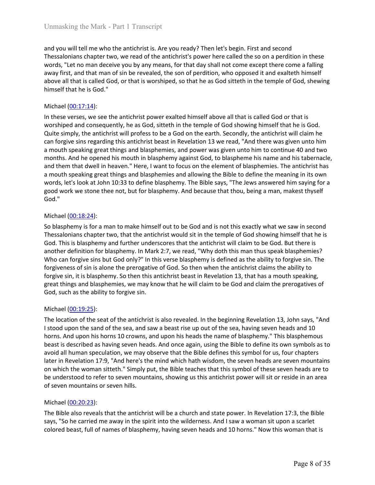Unmasking the Mark - Part 1 Transcript<br>and you will tell me who the antichrist is. Are you ready? Then let's begin. First and second<br>Thessalonians chapter two, we read of the antichrist's power here called the so on a perd Unmasking the Mark - Part 1 Transcript<br>and you will tell me who the antichrist is. Are you ready? Then let's begin. First and second<br>Thessalonians chapter two, we read of the antichrist's power here called the so on a perd Unmasking the Mark - Part 1 Transcript<br>and you will tell me who the antichrist is. Are you ready? Then let's begin. First and second<br>Thessalonians chapter two, we read of the antichrist's power here called the so on a perd Unmasking the Mark - Part 1 Transcript<br>and you will tell me who the antichrist is. Are you ready? Then let's begin. First and second<br>Thessalonians chapter two, we read of the antichrist's power here called the so on a perd Unmasking the Mark - Part 1 Transcript<br>and you will tell me who the antichrist is. Are you ready? Then let's begin. First and second<br>Thessalonians chapter two, we read of the antichrist's power here called the so on a perd Unmasking the Mark - Part 1 Transcript<br>and you will tell me who the antichrist is. Are you ready? Then let's begin. First and second<br>Thessalonians chapter two, we read of the antichrist's power here called the so on a perd Unmasking the Mark - Part 1 Transcript<br>
and you will tell me who the antichrist is. Are you ready? Then let's begin. First an<br>
Thessalonians chapter two, we read of the antichrist's power here called the so or<br>
words, "Let

Unmasking the Mark - Part 1 Transcript<br>and you will tell me who the antichrist is. Are you ready? Then let's begin. First and second<br>Thessalonians chapter two, we read of the antichrist's power here called the so on a perd Unmasking the Mark - Part 1 Transcript<br>and you will tell me who the antichrist is. Are you ready? Then let's begin. First and second<br>Thessalonians chapter two, we read of the antichrist's power here called the so on a perd Unmasking the Mark - Part 1 Transcript<br>and you will tell me who the antichrist is. Are you ready? Then let's begin. First and second<br>Thessalonians chapter two, we read of the antichrist's power here called the so on a perd Unmasking the Mark - Part 1 Transcript<br>and you will tell me who the antichrist is. Are you ready? Then let's begin. First and second<br>mors can are antichrist beast in Arevelation in the method is the antichrist is power her Unmasking the Mark - Part 1 Transcript<br>and you will tell me who the antichrist is. Are you ready? Then let's begin. First and second<br>Thessalonians chapter two, we read of the antichrist's power here called the so on a perd Unmasking the Mark - Part 1 Transcript<br>and you will tell me who the antichrist is. Are you ready? Then let's begin. First and second<br>Thessalonians chapter two, we read of the antichrist's power here called the so on a perd Unmasking the Mark - Part 1 Transcript<br>and you will tell me who the antichrist is. Are you ready? Then let's begin. First and second<br>Thessalonians chapter two, we read of the antichrist's power here called the so on a perd Unmasking the Mark - Part 1 Transcript<br>and you will tell me who the antichrist is. Are you ready? Then let's begin. First and second<br>Thessalonians chapter two, we read of the antichrist's power here called the so on a perd our manting the view is state if state if the anticharists. Are you ready? Then let's begin. First and second<br>Thessionlains chapter two, we read of the antichinst's power here called the so on a perdition in these<br>words, and you will tell me who the antichrist is. Are you ready? Then let's begin. First and second<br>Thessalonians chapter two, we read of the antichrist's power here called the so on a perdition in these<br>work, "Let no man decisi God." words, "Let no man deceive you by any means, for that day shall not come except<br>away first, and that man of sin be revealed, the son of perdition, who opposed it a<br>above all that is called God, or that is worshiped, so tha away rist, and that man tr sin the revealed, the solo of perturbin, who opposed it and exareten infmer<br>above all that is called God, or that is worshiped, so that he as God sitteth in the temple of God, shewing<br>himself tha above ail tratis calon, or that is worshiped, so tract ne so too sittern in the temple of tood, shewing aboute ail this timese the antichrist power exalted himself above all that is called God or that is worshiped and cons nimsert that he is God."<br>
Michael (<u>00:17:14</u>):<br>
In these verses, we see the antichrist power exalted himself above all that is called God or that is<br>
norshiped and consequently, he as God, sitteth in the temple of God sho Michael (<u>00-17:14</u>):<br>In these verses, we see the antichrist power exalted himself above all that is called God or that is ondotes<br>unvorshiped and consequently, he as God, sitteth in the temple of God showing limiself that Michael (<u>U0-13.7-14</u>):<br>In these verses, we see the antichrist power exalted himself above all that is called God or that is<br>worshiped and consequently, he as God, sitteth in the temple of God showing himself that he is Go In these verses, we see the antichrist puwer exakted himself above all that is called God or that is contained by worshiped and consequently, he as God, sitteth in the temple of God showing himself that he is God. Quite si worshiped and consequently, he as God, sitteth in the temple of God showing himself that he is God.<br>Cuite simply, the antichrist will profess to be a God on the earth. Secondy, the antichrist will caim he<br>can forgive sins Quite simply, the antichrist will profess to be a God on the earth. Secondly, the antichrist will claim he<br>can forgive sins regarding this antichrist beast in Revelation 13 we read, "And three was given unto him<br>an mouth s

can forgive sins regarding this antichrist beast in Revelation 13 we read, "And there was given unto him<br>a months speaking great things and blasphemies, and power was given unto him to continue of 0 and two<br>months. And he months. And he opened his mouth in blasphemy against God, to blaspheme his nand<br>an dhem that dwell in heaven." Here, I want to focus on the element of blasphem<br>an anouth speaking great things and blasphemies and allowing t and mentra owen in neaven in retre, want to rocus on me element or naspmemtes. In eachcrist rass, all also repeated. In a month speaking great things and blasphemis and allowing the Bible to define the meaning in its own w at mouth speaking great trings and blasphemes and subwarg the ubite celeme the meaning in its own to words, let's look at John 10:33 to define blasphemy. The Bible says, "The Jews answered him saying for a<br>good work we sto Wors), lets iook at som in U:353 to denie biasphemy. In le biale says, The Jews answered nim saying rora<br>good work we stone thee not, but for biasphemy. And because that thou, being a man, makest thyself<br>God."<br>Michael (<u>00</u>

good work we stone thee not, but for biaspnemy. And because that thou, being a man, makest thyseir<br>So diasphemy is for a man to make himself out to be God and is not this exactly what we saw in second<br>Thessalonians chapter boal.<br>So blasphemy is for a man to make himself out to be God and is not this exactly what we saw in second<br>Thessalonians chapter two, that the antichrist would sit in the temple of God showing himself that he is<br>God. Thi Michael (<u>00:18:24</u>):<br>So blasphemy is for a rann to make himself out to be God and is not this exactly what we saw in second<br>The Sisalonians chapter two, that the antichrist would sti in the temple of God showing himself t Michael (<u>U0139:25)</u>:<br>So blaspheny is for a man to make himself out to be God and is not this exactly what we saw in second<br>Thessalonians chapter two, that the antichrist would sit in the temple of God showing himself that So blasphemy is for a man to make himself out to be God and is not this exactly what we saw in second<br>The Sisalonians chapter two, that the antichrist would sti in the temple of God showing himself that he<br>solid. This is b Thessalonians chapter two, that the antichrist would sit in the temple of God showing himself that he is do a. This is blasphemy and further underscores that the artichrist will claim to be God. But there and<br>another defin another definition for blasphemy. In Mark 2:7, we read, "Why doth this man thus<br>Who can forgive sins but God only?" In this verse blasphemy is defined as the ability<br>forgiveness of sin is alone the prerogative of God. So Who can forgive sins but coo omly" in this verse passphemy is eitined as the antility to regive an in the perceptive of God. So then when the antichrist claims the ability to forgive sin, it is blasphemy. So then this anti rorgweness or sin Is anore the preorgate or tool. So then when the anticrist carries are survey to forgive sin, it is blasphemies, we may know that he will claim to be God and claim the prerogatives of God, such as the abi rorgev sin, it's biasphemy. So then this satical cost in tevelation 1.5, that has a mouth speaking ergeat things and blasphemies, we may know that he will claim to be God and claim the percogatives of God, such as the abil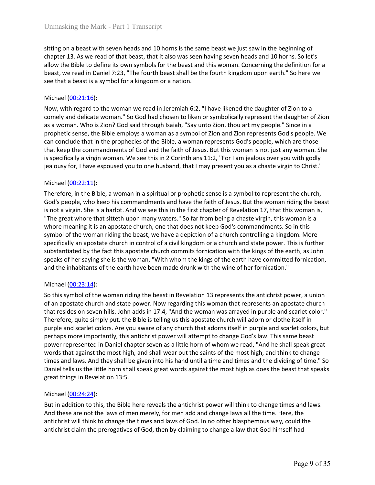Unmasking the Mark - Part 1 Transcript<br>sitting on a beast with seven heads and 10 horns is the same beast we just saw in the beginning of<br>chapter 13. As we read of that beast, that it also was seen having seven heads and 1 Unmasking the Mark - Part 1 Transcript<br>sitting on a beast with seven heads and 10 horns is the same beast we just saw in the beginning of<br>chapter 13. As we read of that beast, that it also was seen having seven heads and 1 Unmasking the Mark - Part 1 Transcript<br>sitting on a beast with seven heads and 10 horns is the same beast we just saw in the beginning of<br>chapter 13. As we read of that beast, that it also was seen having seven heads and 1 Unmasking the Mark - Part 1 Transcript<br>sitting on a beast with seven heads and 10 horns is the same beast we just saw in the beginning of<br>chapter 13. As we read of that beast, that it also was seen having seven heads and 1 Unmasking the Mark - Part 1 Transcript<br>sitting on a beast with seven heads and 10 horns is the same beast we just saw in the beginning of<br>chapter 13. As we read of that beast, that it also was seen having seven heads and 1 Unmasking the Mark - Part 1 Transcript<br>sitting on a beast with seven heads and 10 horns is the same beast we just saw in<br>chapter 13. As we read of that beast, that it also was seen having seven heads and<br>allow the Bible to

Unmasking the Mark - Part 1 Transcript<br>sitting on a beast with seven heads and 10 horns is the same beast we just saw in the beginning of<br>chapter 13. As we read of that beast, that it also was seen having seven heads and 1 Unmasking the Mark - Part 1 Transcript<br>sitting on a beast with seven heads and 10 horns is the same beast we just saw in the beginning of<br>chapter 13. As we read of that beast, that it also was seen having seven heads and 1 Unmasking the Mark - Part 1 Transcript<br>sitting on a beast with seven heads and 10 horns is the same beast we just saw in the beginning of<br>chapter 13. As we read of that beast, that it also was seen having seven heads and 1 Unmasking the Mark - Part 1 Transcript<br>sitting on a beast with seven heads and 10 horns is the same beast we just saw in the beginning of<br>chapter 13. As we read of that beast, that it also was seen having seven heads and 1 Unmasking the Mark - Part I Transcript<br>sitting on a beast with seven heads and 10 horns is the same beast we just saw in the beginning of<br>chapter 13. As we read of that beast, that it also was seen having seven heads and 1 Unmasking the Mark - Part 1 Transcript<br>sitting on a beast with seven heads and 10 homs is the same beast we just saw in the beginning of<br>chapter 13. As we read of that beast, that it also was seen having seven heads and 10 Unmasking the Mark - Part 1 Transcript<br>sitting on a beast with seven heads and 10 horns is the same beast we just saw in the beginning of<br>chapter 13. As we read of that beast, that it also was seen having seven heads and 1 Ummasking the Mark - Part 1 Transcript<br>sitting on a beast with seven heads and 10 horns is the same beast we just saw in the beginning of<br>show the Bible to define its own symphols for the beast and this woman. Concerning t sitting on a beast with seven heads and 10 horns is the same beast we just saw in<br>chapter 13. As we read of that beast, that it also was seen having seven heads and<br>allow the Bible to define its own symbols for the beast sitting on a beast with seven heads and 10 homs is the same beast we just saw in the beginning of<br>chapter 13. As we read of that beast, that it also was seen having seven heads and 10 homs. So let's<br>allow the Bible to defi strumg on a beast with seven heads and undoms'ts the same beast we just saw in the beginning or<br>schaper 13. As we read of that beast, that it also was seen having seven heads and 10 homs. So let's<br>allow the Bible to define

cnapter 13. As we read of that beast, that it also was seen having seven heads and 10 nons. So lets<br>allow the Bible to define its own symbols for the beast and this woman. Concerning the definition for a<br>beast, we read in allow the till does to ere the tot why symools for the east and the woman. Concerning the dentition for a beast, we read in Daniel 7:23, "The fourth beast shall be the fourth kingdom upon earth." So here we<br>see that a beas beast, we read in Damiel 7:23, The froutrin beast shall be the flotth ranged in point east. The point of a single of 20. "I have likened the daughter of Zion to a seven by and delicate woman we read in Beremiah 6:2, "I hav see that a beast is a symbol for a kingdom or a nation.<br>Nothelel (<u>00-21:16</u>):<br>Now, with regard to the woman we read in Jeremiah 6:2, "I have likened the daughter of Zion to a<br>Now, with regard to the woman. "So God had cho Michael (<u>00-21-16)</u>:<br>Now, with regard to the woman we read in Jeremiah 6:2, "I have likened the daughter of Zion to a<br>comely and delicate woman." So God alad chosen to liken or symbolically represent the daughter of Zion<br> Michael (<u>U0222:11)</u>:<br>Nichael (U<u>022:119</u>): The factor of a boost of the factor of the factor of the factor of this comply and delicate woman." So God had chosen to liken or symbolically represent the daughter of Zion acco Now, with regard to the woman we read in leremiah 6:2, "I have likened the daughter of Zion to a<br>sa woman. Who is Zion? God sid through Isaiah, "Say unto Zion, thou art my people." Since in a<br>sa woman. Who is Zion? God sid comely and delicate woman." So God had chosen to liken or symbolically represent the daughter of Zion<br>as a woman. Subsect when the incough tislah ("Say unto Zion, thou art my people." Since in a<br>grophetic sense, the Bible prophetic sense, the Bible employs a woman as a symbol of Zion and Zion represe<br>can conclude that in the prophecies of the Bible, a woman represes God's people<br>that keep the commandments of God and the faith of Jesus. But can conclude mat me propneces or the ullole, a woman represents Goos people, which are troses<br>that keep the commandments of God and the faith of Jesus. But this woman is not just any woman. She<br>is specifically a virgin wom that keep the commannenests or loos and the fath or lessue. But this woman is not just any woman, she seed that in a positive that we first and the first and the first and the first and the first and the first and the firs is pacentally an virgin woman. we see this in 2. Committans 11:2, "For I am jealous over you with goody is elasting that the state of the most bright and the state of the most of the most properties and have the faith of J pleatious fror, inave espowsed you to one nussand, that i may present you as a chaste virgin to Christ.<br>Thichael (<u>CO-22:11</u>):<br>Therefore, in the Bible, a woman in a spiritual or prophetic sense is a symbol to represent the

Michael <u>(00:22:11)</u>:<br>Therefore, in the Bible, a woman in a spiritual or prophetic sense is a symbol to represent the church, God's people, who keep his commandments and have the faith of Jesus. But the woman riding the be micale ( $UUZZ/L11$ ). The Bible, a woman in a spiritual or prophetic sense is a symbol to represent the church, God's people, who keep his commandments and have the faith of Jesus. But the woman riding the beast is or </u> Therefore, in the Bible, a woman in a spiritual or prophetic esnes is a symbol to represent the church, so to so the poole, who keep his commandments and have the faith of Jesus. But the woman riding the beast is not a vir God's people, who keep his commandments and have the faith of Jesus. But the woman riding the beast<br>is not a virgin. She is a harlot. And we see this in the first chapter of Revelation 17, that this woman is,<br>"The great wh is not a virgin. She is a handot. And we see this in the first chapter of Revelation 17, that this woman is,<br>"The great whore that sitteth upon many waters." So far from being a chaste virgin, this woman is a<br>whore meaning "The great whore that sittelt upon many waters." So for from being a chaste virgin, this woynbol of the woman riding the beast, we have a depiction of a church controlling a kingdom. More synchlically an apostate church i whore meaning it is an apostate church, one that does not keep God's commandments. So in this<br>syncol of the woman riding the beast, we have a depiction of a church controlling a kingdom. More<br>syncol of the woman riding the specifically an apostate church in control of a civil kingdom or a church and state pubstantiated by the fact this apostate church commis fornication with the kings speaks of her saying she is the woman, "With whom the kin substrantated by the ract this apposite court commiss romatom wint nee wings of the earth, as joints and the inhabitants of the earth have been made drunk with the wine of her fornication, and the inhabitants of the earth speas or ner saying se is new woman, with when the kings of the earth nave committed forhication,<br>and the inhabitants of the earth have been made drunk with the wine of her fornication."<br>Michael (00:23:14):<br>So this symbol and the imnabitants or the earth nave been made drunk with the wine or her formication.<br>
Michael (00:23:14):<br>
So this symbol of the woman riding the beast in Revelation 13 represents the antichrist power, a union<br>
of an ap Michael (<u>00:23:14</u>):<br>So this symbol of the woman riding the beast in Revelation 13 represents the antichrist power, a union<br>of an apostate church and state power. Now regarding this woman that represents an apostate churc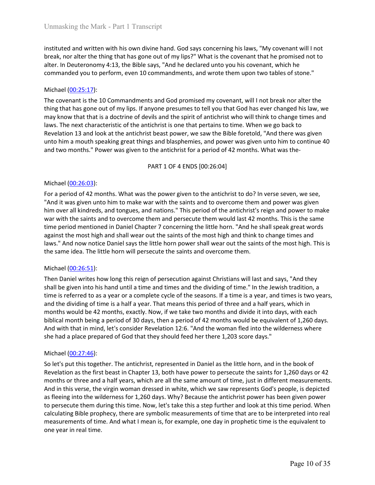Unmasking the Mark - Part 1 Transcript<br>instituted and written with his own divine hand. God says concerning his laws, "My covenant will I not<br>break, nor alter the thing that has gone out of my lips?" What is the covenant t Unmasking the Mark - Part 1 Transcript<br>instituted and written with his own divine hand. God says concerning his laws, "My covenant will I not<br>break, nor alter the thing that has gone out of my lips?" What is the covenant t Unmasking the Mark - Part 1 Transcript<br>instituted and written with his own divine hand. God says concerning his laws, "My covenant will I not<br>break, nor alter the thing that has gone out of my lips?" What is the covenant t Unmasking the Mark - Part 1 Transcript<br>instituted and written with his own divine hand. God says concerning his laws, "My covenant will I not<br>break, nor alter the thing that has gone out of my lips?" What is the covenant t

Unmasking the Mark - Part 1 Transcript<br>
instituted and written with his own divine hand. God says concerning his laws, "M<br>
break, nor alter the thing that has gone out of my lips?" What is the covenant that<br>
alter. In Deut Unmasking the Mark - Part 1 Transcript<br>
instituted and written with his own divine hand. God says concerning his laws, "My covenant will I not<br>
break, nor alter the thing that has gone out of my lips?" What is the covenant Unmasking the Mark - Part 1 Transcript<br>Instituted and written with his own divine hand. God says concerning his laws, "My covenant will I not<br>Interak, nor alter the thing that has gone out of my lips?" What is the covenant Unmasking the Mark - Part 1 Transcript<br>instituted and written with his own divine hand. God says concerning his laws, "My covenant will I not<br>break, nor alter the thing that has gone out of my lips?" What is the covenant t Unmasking the Mark - Part 1 Transcript<br>Instituted and written with his own divine hand. God says concerning his laws, "My covenant will I not<br>break, nor alter the thing that has gone out of my lips?" What is the covenant t Unmasking the Mark - Part 1 Transcript<br>
Instituted and written with his own divine hand. God says concerning his laws, "My covenant will I not<br>
break, nor alter the thing that has gone out of my lips?" What is the covenant Unmasking the Mark - Part | Transcript<br>
instituted and written with his own divine hand. God says concerning his laws, "My covenant will I not<br>
break, nor alter the thing that has gone out of my lips?" What is the covenant Unmasking the Mark - Part 1 Transcript<br>
instituted and written with his own divine hand. God says concerning his laws, "My covenant will I not<br>
break, nor alter the thing that has gone out of my lips?" What is the covenant cript<br>
wine hand. God says concerning his laws, "My covenant will I not<br>
e out of my lips?" What is the covenant that he promised not to<br>
easy, "And he declared unto you his covenant, which he<br>
commandments, and wrote them instituted and written with his own divine hand. God says concerning his laws, "M<br>break, nor alter the thing that has gone out of my lips?" What is the covenant that<br>alter. In Deuteronomy 4:13, the Bible says, "And he dec instituted and written with his own divine hand. God says concerning his laws, "My covenant will I not<br>break, nor alter the thing that has gone out of my lips?" What is the covenant that he promised not to<br>natue: In Deuter

mstructed and witter with its own down only as one out of the saints and with the promised and to be them and to a move them and couse of the saints and work them upon two tables of stone."<br>
And the commanded you to perfor orea, not all the rink that was bond of my lips. Youtal is the coverant that he promise and to the mean the present that the promised mot to the mean that the promised or to commanded you to perform, even 10 commandments, and the saints and to overcome them and persecute them would hast degrate and the same them and the same them and the same them and the same to the mean them and the same over the mean them and the same over the thing that commanoed you to periorm, even to commanoments, and wrote them upon two tabes or stone.<br>
Michael (<u>00:25:1</u>7):<br>
Michael (00:25:17):<br>
The covenant is the 10 Commandments and God promised my covenant, will I not break nor al Michael <u>(00-25:17</u>):<br>The covenant is the 10 Commandments and God promised my covenant, will I not break nor alter the<br>thing that has gone out of my lips. If anyone presumes to tell you that God has ever changed his law, mittelle (U<u>0:26:1</u>):<br>The covenant is the 10 Commandments and God promised my covenant, will i not break nor alter the<br>thing that has gone out of my lips. If anyone presumes to tell you that God has ever changed his law, w The covenant is the 10 Commandments and God promised my covenant, will I not break nor alter the<br>thing that has gone out of my lips. If anyone presumes to tell you that God has ever changed his law, we<br>may know that that may know that that is a doctrine of devils and the spirit of antichrist who will think<br>laws. The next characteristic of the antichrist is one that pertains to time. When we<br>lavelation 13 and look at the antichrist baset p Inverse that externate to the anticrinsts of the undependent of the control. Some we all the the the the the this recent to the anticrinst of a persecution 13 and look at the anticrinst beast power, we saw the Bible foreto shall be given into his hand until a time and the dividing of the bild be given into the system and the monoths." Power was given to the antichrist for a period of 42 months. What was the-<br>pand two months." Power was given

time at more and two months." Power was given to the antichrist for a period of 42 months. What was then and two months." Power was given to the antichrist for a period of 42 months. What was the-<br>PART 1 OF 4 ENDS [00:26: and two months. Power was given to the antichrist for a period of a z months. What was the-<br>
PART 1 OF 4 ENDS [00:26:04]<br>
For a period of 42 months to the antichrist of the antichrist to do? In verse seven, we see.<br>
"And i PART 1 OF 4 ENDS [00:26:04]<br>For a period of 42 months. What was the power given to the antichrist to do? In verse seven, we see,<br>"And it was given unto him to make war with the saints and to overcome them and power was gi PARN I LOF 4 ENDS [00:26:04]<br>For a period of 42 months. What was the power given to the antichrist to do? In verse seven, we see,<br>"And it was given unto him to make war with the saints and to overcome them and power was g Michael <u>(00-26:03):</u><br>For a period of 42 months. What was the power given to the antichrist to do? In verse seven, we see, "And it was given unto him to make war with the saints and to overcome them and power was given hi Michael (<u>00:26:31)</u>:<br>For a period of 42 months. What was the power given to the antichrist to do? In verse seven, we see, "And it was given unto lim to make war with the saints and to overcome them and power was given "An "And it was given unto him to make war with the saints and to overcome them an<br>him over all kindreds, and tongues, and nations." This period of the antichrist's rei<br>war with the saints and to overcome them and persecute th nim over all knotted by an another of sole and a book in the period of the antichrist sergen ano power to make the matter. The period of the antichrist is representing the same this period mentioned in Daniel Chapter 7 con Wir the saints and to overcome them and persecute them would nast 44 months; Insis the same<br>time period mentioned in Daniel Chapter 7 concerning the little horn. "And he shall speak great words<br>against the most high and sh

time perion mentioneal monale Chapter 7 concerning the titule norn. Annote singland the most high and shall wear out the saints of the most high and think to change tigens and<br>laws," And now notice Daniel says the little h aganst the most nigh and shall wear out the saints of the ments thigh and think to change times and<br>Jaws." And now notice Daniel says the little horn power shall wear out the saints of the most high. This is<br>the same idea. as fluctuation at the born of the saints and overcome them.<br>The same idea. The little horn will persecute the saints and overcome them.<br>
Michael (00:26:51):<br>
Then Daniel writes how long this reign of persecution against Ch the same loea. Ine little norn will persecute the saints and overcome them.<br>Then Daniel wirtes how long this reign of persecution against Christians will last and says, "And they<br>Then Daniel wirtes how long this reign of p Michael (<u>00:26:51</u>):<br>Then Daniel writes how long this reign of persecution against Christians will last and says, "And they<br>shall be given into his hand until a time and times and the dividing of time." In the lewish trad Michael (00:27:51):<br>Then Daniel writes how long this reign of persecution against Christians will last and says, "And they<br>shall be given into his hand until a time and times and the dividing of time." In the lewish tradit Then Daniel writes how long this reign of persecution against Christians will last and says,<br>shall be given into his hand until a time and time and the dividing of time." In the levivish<br>time is referred to as a year or a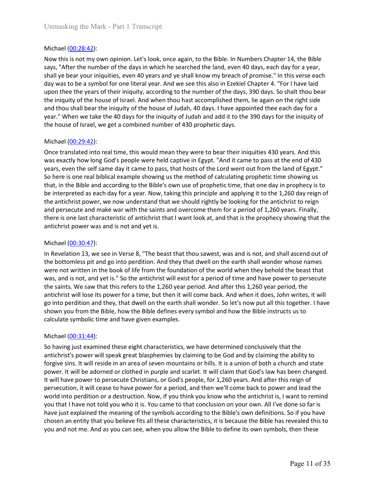Unmasking the Mark - Part 1 Transcript<br>
Michael (<u>00:28:42</u>):<br>
Now this is not my own opinion. Let's look, once again, to the Bible. In Numbers C<br>
says, "After the number of the days in which he searched the land, even 40 Unmasking the Mark - Part 1 Transcript<br>Michael (<u>00:28:42)</u>:<br>Now this is not my own opinion. Let's look, once again, to the Bible. In Numbers Chapter 14, the Bible<br>says, "After the number of the days in which he searched t Unmasking the Mark - Part 1 Transcript<br>
Michael (<u>00:28:42)</u>:<br>
Now this is not my own opinion. Let's look, once again, to the Bible. In Numbers Chapter 14, the Bible<br>
says, "After the number of the days in which he searche Unmasking the Mark - Part 1 Transcript<br>
Michael (<u>00:28:42</u>):<br>
Now this is not my own opinion. Let's look, once again, to the Bible. In Numbers Chapter 14, the Bible<br>
says, "After the number of the days in which he searche Unmasking the Mark - Part 1 Transcript<br>Michael (<u>00:28:42</u>):<br>Now this is not my own opinion. Let's look, once again, to the Bible. In Numbers Chapter 14, the Bible<br>says, "After the number of the days in which he searched t Unmasking the Mark - Part 1 Transcript<br>Nichael (<u>00:28:42</u>):<br>Now this is not my own opinion. Let's look, once again, to the Bible. In Numbers Chapter 14, the Bible<br>Says, "After the number of the days in which he searched t Unmasking the Mark - Part 1 Transcript<br>
Nichael (<u>00:28:42</u>):<br>
Now this is not my own opinion. Let's look, once again, to the Bible. In Numbers Chapter 14, the Bible<br>
say, "After the number of the days in which he searched Unmasking the Mark - Part 1 Transcript<br>
Nichael <u>(00:28:42</u>):<br>
Now this is not my own opinion. Let's look, once again, to the Bible. In Numbers Chapter 14, the Bible<br>
Now this is not my own opinion. Let's look, once again, Unmasking the Mark - Part 1 Transcript<br>
Now this is not my own opinion. Let's look, once again, to the Bible. In Numbers Chapter 14, the Bible<br>
says, "After the number of the days in which he searched the land, even 40 day Unmasking the Mark - Part 1 Transcript<br>
Michael (00:28:42):<br>
Now this is not my own opinion. Let's look, once again, to the Bible. In Numbers Chapter 14, the Bible<br>
says, "After the number of the days in which he searched Unmasking the Mark - Part 1 Transcript<br>
Michael ( $0.228.42$ ):<br>
Now this is not my own opinion. Let's look, once again, to the Bible. In Numbers C<br>
stay, "After the number of the days in which he searched the land, even 40 Unmasking the Mark - Part 1 Transcript<br>
Michael (<u>00:28:42</u>):<br>
Now this is not my own opinion. Let's look, once again, to the Bible. In Numbers Chapter 14, the Bible<br>
stays, "After the number of the days in which he search Unmasking the Mark - Part 1 Transcript<br>
Michael (<u>00:28:42</u>):<br>
Now this is not my own opinion. Let's look, once again, to the Bible. In Numbers Chapter 14, the Bible<br>
Raws, "After the number of the days in which he searche Unmasking the Mark - Part 1 Transcript<br>
Now this is not my own opinion. Let's look, once again, to the Bible. In Numbers Chapter 14, the Bible<br>
Now this is not my own opinion. Let's look, once again, to the Bible. In Numbe

Unmasking the Mark - Part 1 Transcript<br>
Michael (<u>00:28:42</u>):<br>
Now this is not my own opinion. Let's look, once again, to the Bible. In Numbers Chapter 14, the Bible<br>
says, "After the number of the days in which he searche Michael (<u>00:28:42</u>):<br>Now this is not my own opinion. Let's look, once again, to the Bible. In Numbers Chapter 14, the Bible<br>says, "After the number of the days in which he searched the land, even 40 days, each day for a y Michael (<u>00.28:42</u>):<br>Now this is not my own opinion. Let's look, once again, to the Bible. In Numbers Chapter 14, the Bible<br>says, "After the number of the days in which he searched the land, even 40 days, each day for a y Michael (<u>00:29:42)</u>:<br>Mow this is not my own opinion. Let's look, once again, to the Bible. In Numbers Chapter 14, the Bible<br>asys, "After the number of the days in which he searched the land, even 40 days, each day for a y Now this is not my own opinion. Let's look, once again, to the Bible. In Numbers Chapter 14, the Bible and years, "salter the number of the days in which a back make war shall know my breach of promise." In this verse each says, "After the number of the days in which he searched the land, even 40 days, each day for a year,<br>shall ye bear your iniquities, even 40 years and ye shall know my beeach of promise." It in this verse each<br>day was to b shall ye bear your iniquities, even 40 years and ye shall know my breach of promise." In this verse each<br>doy was to be a symbol for one literal year. And we see this also in Eckele Chapter 4. "For I have laid<br>upon thee the upon thee the years of their iniquity, according to the number of the days, 390 dat<br>the iniquity of the house of Israel. And when thou hast accomplished then, lie ages<br>and thou shall bear the iniquity of the house of Judah the miquity or the noute or israel. And when thou nast accomplished them, le eigain on the rights older and thous that thous of strael, we get a combined in the particle and thous that thous of strael, we get a combined nu and mous shall been lingury of the nouse or Juana, an ones, a riave appointed thee earth day to the house of Israel, we get a combined number of 430 prophetic days.<br>
Michael (<u>00:29:42</u>):<br>
Once translated into real time, t year. When we take the 40 update the book of life from the foundation of the world when it does, John writes, it will<br>show you for the Bissue of Israel, we get a combined number of 430 prophetic days.<br>The certainstated int the nouse of israel, we get a combined number or 4:30 prophetic days.<br>
Michael (<u>00:29:42</u>):<br>
Once translated into real time, this would mean they were to bear their iniquities 430 years. And this<br>
Once translated into rea Michael (<u>00:29:42</u>):<br>Once translated into real time, this would mean they were to bear their iniquities 430 years. And this<br>was exactly how long God's people were held captive in Egypt. "And it came to pass a tthe end of Michael (<u>00:30:4</u>2):<br>Ance translated into real time, this would mean they were to bear their iniquities 430 years. And this<br>was exactly how long God's people were held captive in Egypt. "And it came to pass at the end of Once translated into real time, this would mean they were to bear their iniquities 430 years. And this was exactly how long God's people were held captive in Egypt. "And it came to pass at the end of Egypt."<br>So here is one

was exactly how long God's people were held captive in Egypt. "And it came to pass at the end of 430<br>years, even the self same day it came to pass, that hosts of the Lord went out from the land of Egypt."<br>So here is one re years, even the self same day it came to pass, that hosts of the Lord went out from the land of Egypt."<br>So here is one real biblical example showing us the method of calculating prophetic time showing stands that, in the B that, in the Bible and according to the Bible's own use of prophetic time, that one<br>be interpreted as each day for a year. Now, taking this principle and applying it to<br>the antichrist power, we now understand that we shou be interted as escar tany of a syet. Now, tasking this principle and gaphying it to the 1,260 day regin one them for a percepted and make war with the saints and overcome them for a period of 1,260 vears. Finally, and pers the antichrist power, we how unoestand that we should ngintly be looking for the antichrist to reign<br>and persecute and make war with the saints and overcome them for a period of 1,260 years. Finally,<br>there is one last char and persecute and maxe war with the sames and overcome them for a persion or 1,200 years. Finally, there is one last characteristic of antichrist that I want look at, and that is the prophecy showing that the antichrist po

there is one last craatacers or anticipations at the prophecy showing that the adoption and the sect of anticlaint of the bottomics pit and sect of the bottomics pit and go into perdiction. And they that dwell on the earth anticninst power was ano is not and yet is.<br>
Michael (<u>00:30:47</u>):<br>
In Revelation 13, we see in Verse 8, "The beast that thou sawest, was and is not, and shall ascend out of<br>
In Revelation 13, we see in Verse 8, "The beast Michael (<u>00-30-4</u>7):<br>In Revelation 13, we see in Verse 8, "The beast that thou sawest, was and is not, and shall ascend out of<br>the bottomless pit and go into perdition. And they that dwell on the earth shall wonder whose Michael (<u>U0331-44</u>):<br>In Revelation 13, we see in Verse 8, "The beast that thou sawest, was and is not, and shall ascend out of<br>the bottomless pit and go into perdition. And they that dwell on the earth shall wonder whose In Revelation 13, we see in Verse 8, "The beast that hou sawest, was and is not, and shall ascend out of<br>the bottomess pit and go into perdition. And they that dwell on the earth shall wonder whose names<br>were not written i the bottomless pit and go into perdition. And they that dwell on the earth shall wonder whose names<br>was, and is not, withen in the book of life from the foundation of the world when they behold the beast that<br>was, and is n wers not written in the book of life from the foundation of the world when they belied the beast that you be an the window to the saints. We saw that this refers to the 1,260 year period. And after this 1,260 year period, was, and is not, and yet is." So the antichrist will exist for a period of time and have power to persecute<br>the siants. We saw that this refers to the 1,260 year period. And after this 1,260 year period, the<br>antichrist wil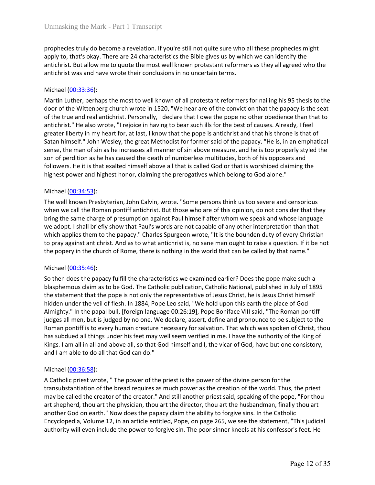Unmasking the Mark - Part 1 Transcript<br>prophecies truly do become a revelation. If you're still not quite sure who all these prophecies might<br>apply to, that's okay. There are 24 characteristics the Bible gives us by which Unmasking the Mark - Part 1 Transcript<br>prophecies truly do become a revelation. If you're still not quite sure who all these prophecies might<br>apply to, that's okay. There are 24 characteristics the Bible gives us by which Unmasking the Mark - Part 1 Transcript<br>prophecies truly do become a revelation. If you're still not quite sure who all these prophecies might<br>apply to, that's okay. There are 24 characteristics the Bible gives us by which Unmasking the Mark - Part 1 Transcript<br>prophecies truly do become a revelation. If you're still not quite sure who all these prophecies might<br>apply to, that's okay. There are 24 characteristics the Bible gives us by which

Unmasking the Mark - Part 1 Transcript<br>prophecies truly do become a revelation. If you're still not quite sure who all these<br>apply to, that's okay. There are 24 characteristics the Bible gives us by which we ca<br>antichrist. Unmasking the Mark - Part 1 Transcript<br>prophecies truly do become a revelation. If you're still not quite sure who all these prophecies might<br>apply to, that's okay. There are 24 characteristics the Bible gives us by which Unmasking the Mark - Part 1 Transcript<br>prophecies truly do become a revelation. If you're still not quite sure who all these prophecies might<br>apply to, that's okay. There are 24 characteristics the Bible gives us by which Unmasking the Mark - Part 1 Transcript<br>prophecies truly do become a revelation. If you're still not quite sure who all these prophecies might<br>apply to, that's okay. There are 24 characteristics the Bible gives us by which Unmasking the Mark - Part 1 Transcript<br>prophecies truly do become a revelation. If you're still not quite sure who all these prophecies might<br>apply to, that's okay. There are 24 characteristics the Bible gives us by which Unmasking the Mark - Part 1 Transcript<br>prophecies truly do become a revelation. If you're still not quite sure who all these prophecies might<br>apply to, that's okay. There are 24 characteristics the Bible gives us by which Unmasking the Mark - Part 1 Transcript<br>prophecies truly do become a revelation. If you're still not quite sure who all these prophecies might<br>apply to, that's okay. There are 24 characteristics the Bible gives us by which Unmasking the Mark - Part 1 Transcript<br>prophecies truly do become a revelation. If you're still not quite sure who all these prophecies might<br>apply to, that's okay. There are 24 characteristics the Bible gives us by which Unmasking the Mark - Part 1 Transcript<br>prophecies truly do become a revelation. If you're still not quite sure who all these prophecies might<br>apply to, that's okay. There are 24 characteristics the Bible gives us by which Unmasking the Mark - Part 1 Transcript<br>prophecies truly do become a revelation. If you're still not quite sure who all these prophecies might<br>apply to, that's okay. There are 24 characteristics the Bible gives us by which Unmasking the Mark - Part 1 Transcript<br>prophecies truly do become a revelation. If you're still not quite sure who all these prophecies might<br>apply to, that's okay. There are 24 characteristics the Bible gives us by which prophecies truly do become a revelation. If you're still not quite sure who all these apply to, that's okay. There are 24 characteristics the Bible gives us by which we cantichrist. But allow me to quote the most well know propneces truny aro oecome a revealiton. It you re still not quite sure won all three propneces may<br>apply to, that's okay. There are 24 characteristics the Bible gives us by which we can identify the<br>antichrist. But allow appy to, that is oxay. There are 24 charactersticts the bloog tyeos to sy which we can loentify the antichrist. But allow me to quote the most well known protestant reformers as they all agreed who the antichrist was and h anticrinst. But allow me to quote the most well known protestant renomers as they all agreed who the<br>antichrist was and have wrote their conclusions in no uncertain terms.<br>Michael (00:33:36):<br>Martin Luther, perhaps the mos anticninst was ann nave wrote their conclusions in no uncertain terms.<br>
Michael (<u>00:33:36</u>):<br>
Martin Luttler, perhaps the most to well known of all protestant reformers for nailing his 95 thesis to the<br>
door of the Witteh Michael <u>(00:33:36):</u><br>Martin Luther, perhaps the most to well known of all protestant reformers for nailing his 95 thesis to the<br>door of the Wittehberg church vrote in 1520, "We hear are of the conviction that the papacy i Michael (<u>00:34:53</u>):<br>Martin Luther, perhaps the most to well known of all protestant reformers for nailing his 95 thesis to the<br>door of the Wittenberg church wrote in 1520, "We hear are of the conviction that the papacy i Martin Lutter, perhaps the most to well known of all protestant reformers for nailing his 95 thesis to the<br>door of the Wittenberg church worde in 1520, "We hear are of the convicton that the papary is the seat<br>of the true of the true and real antichrist. Personally, I declare that I owe the pope no other ontichrist." He also worte, "I rejoice in having to bear such ills for the best of causes in procent in the specter libertly in my heart f

antucrinc. He also wore, I repote in naving to bear such its ore best or causes. Alreay, I rest<br>greater liberty in my heart for, at last, I know that the pope is antichrist and that his throne is that of<br>Satan himself." Jo

greater linery in my neart ror, at ass, it smow that the pope is antichars and that nis nother is thore to be subject to the papacy. "He is, in an emphatical sense, the man of sin as he increases all manner of sin above me Statin nimster." Jonn weesley, roe great Mentouattro fromer said or the papacy. Het, in an emphatical<br>sense, the man of sin as he increases all manner of sin above measure, and he is too properly styled the<br>ston of perditi sens, the man or sin as he increases all manner or sin a nowe measure, and ne is too propery styred the same in the sumplement of sin deposes and the veil of the veil of the veil of the veil of the veil of the veil of the son or peranton as ne nas caused to eacato the causto munnoleness multitudes, both or nis opposers and prights tho followers. He it is that exalted himself above all that is called God or that is worshiped claiming the hig rolloudes all men exalted nimes and the preceptives which belong to God alone."<br>
Michael (00:34:53):<br>
The well known Presbyterian, John Calvin, wrote. "Some persons think us too severe and censorious<br>
when we call the Roma mignest power and nighest nonor, ciaming the prerogatives which belong to God alone.<br>The well linown Presbyterian, John Calvin, wrote. "Some persons think us too severe and censorious<br>The well linown Presbyterian, John Cal Michael <u>(00:34:53)</u>:<br>The well known Presbyterian, John Calvin, wrote. "Some persons think us too severe and censorious<br>when we call the Roman pontiff antichinst. But those who are of this opinion, do not consider that the Michael (<u>U0:33-53</u>):<br>The well known Presbyterian, John Galvin, wrote. "Some persons think us too severe and censorious<br>when we call the Roman pontiff antichrist. But those who are of this opinion, do not consider that the The well is more restyterian, John Calvin, worte. "Some persons think us to o severe and censorious<br>when we call the Roman pontiff antichrist. But those who are of this opinon, do not consider that they<br>bring the same char bring the same charge of presumption against Paul himself after whom we speak we adopt. I shall briefly show that Paul's words are not capable of any other interpretry.<br>Which applies them to the papacy." Charles Spurgeon w We adopt: I snall of the paper show that Pauls words are not capable of rany other interpretation than that the<br>expected to pray against antichrist. And as to what antichrist is, no sane man ought to raise a question. If i which applies them to the papacy. "Charles spurgeon worre, "it's the bounden duty of very against antichrist. And as to what antichrist is, no sane man ought to raise a question. If it be not the popery in the church of Ro fo pray against anticitions are one of the creator. The creator of the poper yin the church of Rome, there is nothing in the world that can be called by that name."<br>
Michael (<u>00:35:46</u>):<br>
So then does the papacy fulfill t the popery in the church of Kome, there is nothing in the world that can be called by that hame."<br>
Shoten does the papacy fulfill the characteristics we examined earlier? Does the pope make such a<br>
Shasphemous claim as to Michael (<u>00.35:46):</u><br>So then does the papacy fulfill the characteristics we examined earlier? Does the pope make such a<br>blasphenous claim as to be 60.d Ine Catholic publication, Catholic National, published in July of 189 Michael (<u>U0:36:49</u>):<br>So then does the papacy fulfill the characteristics we examined earlier? Does the pope make such a blasphemous claim as to be God. The Catholic publication, Catholic National, published in July of 189 So then does the popary fulfill the characteristics we examined earlier? Does the pope make such a<br>biasphemous claim as to be God. The Catholic publication, Catholic National, published in July of 1895<br>the statement that t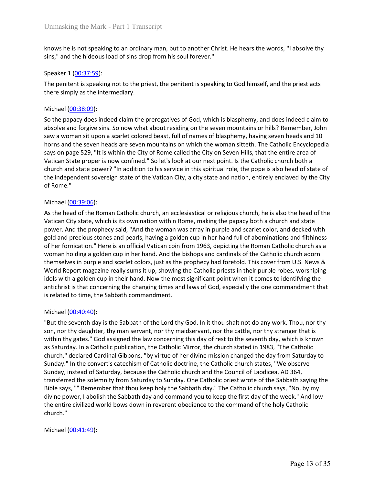Unmasking the Mark - Part 1 Transcript<br>knows he is not speaking to an ordinary man, but to another Christ. He hears the words, "I absolve thy<br>sins," and the hideous load of sins drop from his soul forever."<br>Speaker 1 <u>(00:</u> Unmasking the Mark - Part 1 Transcript<br>knows he is not speaking to an ordinary man, but to another Christ. He hears the words, "I absolve thy<br>sins," and the hideous load of sins drop from his soul forever."<br>Speaker 1 <u>(00:</u> Unmasking the Mark - Part 1 Transcript<br>
knows he is not speaking to an ordinary man, but to another Christ. He hears the words<br>
sins," and the hideous load of sins drop from his soul forever."<br>
Speaker 1 (<u>00:37:59</u>):<br>
The Unmasking the Mark - Part 1 Transcript<br>
knows he is not speaking to an ordinary man, but to another Christ. He hears the words, "I absolve thy<br>
sins," and the hideous load of sins drop from his soul forever."<br>
Speaker 1 <u>(</u>

Unmasking the Mark - Part 1 Transcript<br>
knows he is not speaking to an ordinary man, but to another Christ. He hears the words, "I ab<br>
sins," and the hideous load of sins drop from his soul forever."<br>
Speaker 1 <u>(00:37:59)</u> Unmasking the Mark - Part 1 Transcript<br>
knows he is not speaking to an ordinary man, but to another Christ. He hears the v<br>
sins," and the hideous load of sins drop from his soul forever."<br>
Speaker 1 (<u>00:37:59):</u><br>
The pen Unmasking the Mark - Part 1 Transcript<br>
knows he is not speaking to an ordinary man, but to another Christ. He hears the words, "I absolve thy<br>
sins," and the hideous load of sins drop from his soul forever."<br>
Speaker 1 (<u></u> Unmasking the Mark - Part 1 Transcript<br>
knows he is not speaking to an ordinary man, but to another Christ. He hears the words, "I absolve thy<br>
sins," and the hideous load of sins drop from his soul forever."<br>
Speaker 1 <u>(</u> Unmasking the Mark - Part 1 Transcript<br>
knows he is not speaking to an ordinary man, but to another Christ. He hears the words, "I absolve thy<br>
sins," and the hideous load of sins drop from his soul forever."<br>
Speaker 1 <u>(</u> Unmasking the Mark - Part 1 Transcript<br>
knows he is not speaking to an ordinary man, but to another Christ. He hears the words, "I absolve thy<br>
sins," and the hideous load of sins drop from his soul forever."<br>
Speaker 1 (0 Unmasking the Mark - Part 1 Transcript<br>
knows he is not speaking to an ordinary man, but to another Christ. He hears the words, "I absolve thy<br>
sins," and the hideous load of sins drop from his soul forever."<br>
Speaker 1 <u>(</u> Unmasking the Mark - Part 1 Transcript<br>
knows he is not speaking to an ordinary man, but to another Christ. He hears the words, "I absolve thy<br>
sins," and the hideous load of sins drop from his soul forever."<br>
Speaker 1 (<u></u> Unmasking the Mark - Part 1 Transcript<br>
knows he is not speaking to an ordinary man, but to another Christ. He hears the words, "I absolve thy<br>
sins," and the hideous load of sins drop from his soul forever."<br>
Speaker 1 (<u></u> Unmasking the Mark - Part 1 Transcript<br>
knows he is not speaking to an ordinary man, but to another Christ. He hears the words, "I absolve thy<br>
sins," and the hideous load of sins drop from his soul forever."<br>
Speaker 1 (0 knows he is not speaking to an ordinary man, but to another Christ. He hear<br>sins," and the hideous load of sins drop from his soul forever."<br>Speaker 1 (<u>00:37:59</u>):<br>The penitent is speaking not to the priest, the penitent knows he is not speaking to an ordinary man, but to another chirst. He hears the vins," and the hideous load of sins drop from his soul forever."<br>Speaker 1 (<u>00:37:59)</u>:<br>The penitent is speaking not to the priest, the peni Expective 1. The priories of the priories and the priories and the priest and the priest acts<br>The penitent is speaking not to the priest, the penitent is speaking to God himself, and the priest acts<br>there simply as the int Speaker 1 <u>(00:37:59</u>):<br>The penitent is speaking not to the priest, the penitent is speaking to God himself, and the priest acts<br>there simply as the intermediary.<br>Michael (<u>00:38:09</u>):<br>Michael (<u>00:38:09</u>):<br>So the papacy d The penitent is speaking not to the priest, the penitent is speaking to God himself, and the priest acts<br>there simply as the intermediary.<br>Michael <u>(00:38:09):</u><br>So the papacy does indeed claim the prerogatives of God, whic

Ine pentient is spearly and to the precise stock of the pearls, and the pearls, and the precise stock the papacy does indeed claim to the papacy does indeed claim the prerogatives of God, which is blaspherny, and does inde there simply as the intermediary.<br>
So her papaxy does indeed claim the prerogatives of God, which is blaspherny, and does indeed claim to<br>
So her papaxy does indeed claim the prerogatives of God, which is blaspherny, havin Michael (<u>00-38:09</u>):<br>So the papacy does indeed claim the prerogatives of God, which is blasphemy, and does indeed claim to<br>absolve and forgive sins. So now what about residing on the seven mountains or hills? Remember, Jo Michael (<u>U0:38:09</u>):<br>So the papacy does indeed claim the prerogatives of God, which is blasphemy, and does indeed claim to<br>shable and forgive sins. So now what about residing on the seven mountains or hills? Remember, Joh So the papacy does indeed calimit the prenegatives of God, which is blaspheny, and does indeed claim to absolve and forgive sins. So now what about residing on the seven mountains or bills? Remember, John saw a woman sit u absolve and forgive sins. So now what about residing on the seven mountains or hills? Remember, John<br>saw a woman sit upon a scare seven mountains on which the woman sitteth. The Catholic Encyclopedia<br>borns and the seven he saw a woman sit upon a scarlet colored besat, full of names of blasphemy, having seven heads and 10<br>horses and the seven heads are seven mountains on which the woman sittent. The Catholic Encyclopedia<br>asys on page 529, "It horns and the seven heads are seven mountains on which the woman sitteth. The Catholic Encyclopedia<br>says on page 529, "It is within the City of Rome called the City on Seven Hills, that the entire area of<br>Vatican State pro Vatican State proper is now confined." So let's look at our next point. Is the Cathol<br>church and state power? "In addition to his service in this spiritual role, the pope i<br>church and state power? "In addition to his servi rburch and state power? "In addition to his service in this spiritual role, the pope is also head of state or<br>the independent sovereign state of the Vatican City, a city state and nation, entirely enclaved by the City<br>of R the meependent sovereign state or the vatican litty, a city state and nation, entirely enclaved by the city<br>of Rome."<br>As the head of the Roman Catholic church, an ecclesiastical or religious church, he is also the head of or kome.<br>
Michael (0<u>0:39:06)</u>:<br>
Michael (00:39:06):<br>
As the head of the Roman Catholic church, an ecclesiastical or religious church, he is also the head of the<br>
Vatican City state, which is its own nation within Rome, ma Michael <u>(00:39:06):</u><br>As the head of the Roman Catholic church, an ecclesiastical or religious church, he is also the head of the varuan City state, which is tis own nation within Rome, making the papacy both a church and Michael (<u>00340</u>):<br>Michael endo of the Roman Catholic church, an ecclesiastical or religious church, he is also the head of the<br>Vation City state, which is its own nation within Rome, making the papacy both a church and st

As the head of the Roman Catholic church, an ecclesiastical or religious church, he is also the head of the National City state, which is its own nation within Rome, making the papacy both a church and state<br>power. And the Vatican City stete, which is it so won nation within Rome, making the papacy both a church and state<br>gold and precious stones and pearls, having a golden cup in her hand full of abominations and filthiness<br>gold and preciou power. And the prophecy said, "And the woman was array in purple and scarlet color, and decked with<br>gold and precious stones is medical variag a golden cup in her hand full of abominations and filthiness<br>of her formication gold and precious stones and pearls, having a golden cup in he rhand full of abominations and filthiness<br>of her formication." Here is an official Vatican coin from 1963, depicting the Roman Catholic church as<br>or oman holdi of her fornication." Here is an official Vatican coin from 1963, depicting the Roman Catholic church as a<br>woman holding a golden cup in her hand. And the bishops and cardinals of the Catholic church adom<br>themselves in purp woman holding a golden cup in her hand. And the bishops and cardinals of the Catholic clurch adom<br>themselves in purple and scaret colors, just as the prophecy had forestol a. This cover from U.S. News &<br>World Report magazi church." idols with a golden cup in their hand. Now the most significant point when it com<br>antichrist is that concerning the changing times and laws of God, especially the on<br>is related to time, the Sabbath commandment.<br>Wichael (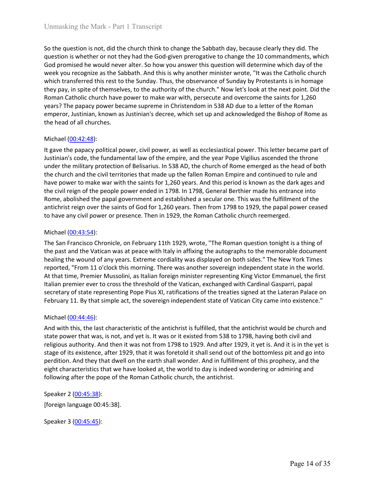Unmasking the Mark - Part 1 Transcript<br>So the question is not, did the church think to change the Sabbath day, because clearly they did. The<br>question is whether or not they had the God-given prerogative to change the 10 co Unmasking the Mark - Part 1 Transcript<br>So the question is not, did the church think to change the Sabbath day, because clearly they did. The<br>question is whether or not they had the God-given prerogative to change the 10 co Unmasking the Mark - Part 1 Transcript<br>So the question is not, did the church think to change the Sabbath day, because clearly they did. The<br>question is whether or not they had the God-given prerogative to change the 10 co Unmasking the Mark - Part 1 Transcript<br>So the question is not, did the church think to change the Sabbath day, because clearly they did. The<br>question is whether or not they had the God-given prerogative to change the 10 co Unmasking the Mark - Part 1 Transcript<br>So the question is not, did the church think to change the Sabbath day, because clearly they did. The<br>question is whether or not they had the God-given prerogative to change the 10 co Unmasking the Mark - Part 1 Transcript<br>So the question is not, did the church think to change the Sabbath day, because clearly they did. The<br>question is whether or not they had the God-given prerogative to change the 10 co Unmasking the Mark - Part 1 Transcript<br>So the question is not, did the church think to change the Sabbath day, because clearly they did. The<br>question is whether or not they had the God-given prerogative to change the 10 co Unmasking the Mark - Part 1 Transcript<br>So the question is not, did the church think to change the Sabbath day, because clearly they did. The<br>question is whether or not they had the God-given prerogative to change the 10 co Unmasking the Mark - Part 1 Transcript<br>
So the question is mot, did the church think to change the Sabbath day, because clearly they did. The<br>
question is whether or not they had the God-given prerogative to change the 10 Unmasking the Mark - Part 1 Transcript<br>
So the question is not, did the church think to change the Sabbath day, because clearly t<br>
question is whether or not they had the God-given prerogative to change the 10 comma<br>
God p Unmasking the Mark - Part 1 Transcript<br>
So the question is not, did the church think to change the Sabbath day, because cl<br>
question is whether or not they had the God-given prerogative to change the 10 c<br>
God promised he Unmasking the Mark - Part 1 Transcript<br>
So the question is not, did the church think to change the Sabbath day, because clearly they did. The<br>
question is whether or not they had the God-given prerogative to change the 10 Unmasking the Mark - Part 1 Transcript<br>So the question is not, did the church think to change the Sabbath day, because clearly they did. The<br>question is whether or not they had the God-given prerogative to change the 10 co Unmasking the Mark - Part 1 Transcript<br>
So the question is not, did the church think to change the Sabbath day, because clearly they did. The<br>
question is whether or not they had the God-given prerogative to change the 10 Unmasking the Mark - Part 1 Transcript<br>So the question is not, did the church think to change the Sabbath day, because clearly they did. The<br>question is whether or not they had the God-given prerogative to change the 10 co bay the same of the same of the saints for the saints for the Gale given percept and the Gale given percept at the Gale given percept at the Gale given propare this question will determine which day of the Gale given propa So the question is not, did the church think to change the Sabbath day, because clearly they did. The question is whether or not they had the God-given prerogative to change the 10 commandments, which God promised he would So the question is not, did the church think to change the Sabbath day, because clearly they did. The God given to at the God given prerogative to change the 10 commandments, which God given this destablant. And this is wh question is whether or not they had the God-given prerogative to change the 10 commandments, which<br>God promised he would never alter. So how you answer this question will determine which day of the<br>week you recognize as th

God promised he would never alter. So how you answer this question will determine which day of the wealth and the which aver altern which transferred this rest to the Sunday. Thus, the observance of Sunday by Protestants i which transferred this rest to the Sunday. Thus, the observance of Sunday by Prot<br>they pay, in spite of themselves, to the authority of the church." Now let's look at<br>Roman Catholic church have power to make war with, pers they pay, in spire or the menselves, to the automity of the church. "Now ite's look at the next point beyong the paper, but they ally a men the sints for 1,260 wears? The papecy power became supreme in Christendom in 538 A koman Latnoic cnuroch nave power to make was wuth, persecute and overcome the sains for 1,260<br>years? The papacy power became supreme in Christendom in 538 AD due to a letter of the Roman<br>emperor, Justinian, known as Justi years? The papal power became supernent narrastemation in 538 AD due to a letter of the Noman<br>emperor, Justinian, known as Justinian's decree, which set up and acknowledged the Bishop of Rome as<br>the head of all churches.<br>M emperor, ustimian, known as Justinian's decree, which set up and acknowledged the ushop of Nome as<br>the head of all churches.<br>If gave the papacy political power, civil power, as well as ecclesiastical power. This letter bec the nead or all churches.<br>
Michael (<u>00-42-48</u>):<br>
It gave the papacy political power, civil power, as well as ecclesiastical power. This letter became part of<br>
It gave the papacy political power, civil power, as well as ec Michael (<u>00-42-48)</u>:<br>It gave the papacy political power, civil power, as well as ecclesiastical power. This letter became part of<br>Justimian's code, the fundamental law of the empire, and the year Pope Vigilius ascended t Michael (<u>U0-42-49</u>):<br>
Michael et papacy political power, civil power, as well as ecclesiastical power. This letter became part of<br>
distinian's orde, the fundamental law of the empire, and the year Pope Vigilius ascended t It gave the papacy political power,  $\sigma$  civil power, a well as eccelssiatel power. This letter became part of<br>under the mulitary protection of Bellsarius. In 538 AD, the church of Rome emerged as the head of both<br>under th

under the military protection of Belisarius. In 538 AD, the church of Rome emerge<br>the church and the civil territories that made up the fallen Roman Empire and con<br>the civil reign of the people power ended in 1798. In 1798 the church and the church and the compete that made up the failed more predictions and the church and the propert to make bare worw the this stantist for 1,260 years. And this period is known as the dark ages and<br>the civil nave power to make war with the salms for 1,200 years. And this period is stown as the earaw ages and the civil reign of the people power ended in 1798. In 1798, General Berthier made his entrance into<br>Reme, abolished the the couriego or the people power enear in 1798. In 1798, coereral sertiner made nis entrative incomes and the papal government and established a secular one. This was the fulfillment of the antichrist reign over the saints storm, allows are papal government and estations are securations. In the was the unilliment of the same transmission is activated to have any civil power or presence. Then in 1929, the Roman Catholic church reemerged.<br>
Mic antucrinst regin over the samts or too tor 1,200 years. I nen from 1798 to 1929, the papal power ceased<br>to have any civil power or presence. Then in 1929, the Roman Catholic church reemerged.<br>Michael (<u>00:43:54</u>):<br>The San to have any civil power or presence. Inen in 1929, the koman Canolic church reemerged.<br>
Michael (<u>00:43:54</u>):<br>
The San Franctisco Chronicle, on February 11th 1929, wrote, "The Roman question tonight is a thing of<br>
the past Michael (<u>00-4a-5-</u>a):<br>The San Francisco Chronicle, on February 11th 1929, wrote, "The Roman question tonight is a thing of<br>the past and the Vatican was at peace with Italy in affixing the autographs to the memorable docum The San Francisco Chronicle, on February 11th 1929, wrote, "The Roman question to<br>the past and the Vatican was at peace with Italy in affixing the autographs to the me<br>healing the wound of any years. Extreme cordiality wa

the past and the vatical was a peace with it ally in artixing the autographs to the memorabion<br>the aling the wound of any years. Extreme cordiality was displayed on both sides." The New Y<br>reported, "From 11 o'clock this mo reported, rrom 11 0 clock nish miming. There was anomer soverely independent.<br>At that time, Premier Mussolini, as Italian foreign minister representing King Victor Italian premier ever to cross the threshold of the Vatican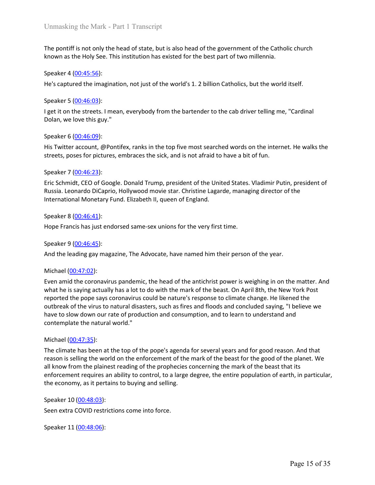Unmasking the Mark - Part 1 Transcript<br>The pontiff is not only the head of state, but is also head of the government of the Catholic church<br>known as the Holy See. This institution has existed for the best part of two mille Unmasking the Mark - Part 1 Transcript<br>The pontiff is not only the head of state, but is also head of the government of the Catholic church<br>known as the Holy See. This institution has existed for the best part of two mille Unmasking the Mark - Part 1 Transcript<br>The pontiff is not only the head of state, but is also head of the government of the C<br>known as the Holy See. This institution has existed for the best part of two millennia<br>Speaker 4 Unmasking the Mark - Part 1 Transcript<br>The pontiff is not only the head of state, but is also head of the government of the Catholic church<br>known as the Holy See. This institution has existed for the best part of two mille Unmasking the Mark - Part 1 Transcript<br>
The pontiff is not only the head of state, but is also head of the government of the C<br>
known as the Holy See. This institution has existed for the best part of two millennia<br>
Speak Unmasking the Mark - Part 1 Transcript<br>The pontiff is not only the head of state, but is also head of the government of the Catholic church<br>known as the Holy See. This institution has existed for the best part of two mille Unmasking the Mark - Part 1 Transcript<br>The pontiff is not only the head of state, but is also head of the government of the Catholic cl<br>known as the Holy See. This institution has existed for the best part of two millennia Unmasking the Mark - Part 1 Transcript<br>The pontiff is not only the head of state, but is also head of the government of the C<br>known as the Holy See. This institution has existed for the best part of two millennia<br>Speaker 4

Unmasking the Mark - Part 1 Transcript<br>The pontiff is not only the head of state, but is also head of the government of the Catholic church<br>Known as the Holy See. This institution has existed for the best part of two mill

Unmasking the Mark - Part 1 Transcript<br>The pontiff is not only the head of state, but is also head of the government of the Catholic church<br>Known as the Holy See. This institution has existed for the best part of two mille Unmasking the Mark - Part 1 Transcript<br>
The pontiff is not only the head of state, but is also head of the government of the C<br>
known as the Holy See. This institution has existed for the best part of two millennia<br>
Speake Eric Schmidt, CEO of Google. Donald Trump, President of the government of the Catholic church<br>Speaker 4 (00:45:56):<br>Speaker 4 (00:45:56):<br>He's captured the imagination, not just of the world's 1. 2 billion Catholics, but t The pontiff is not only the head of state, but is also head of the government of the Catholic church<br>known as the Holy See. This institution has existed for the best part of two millennia.<br>Speaker 4 (<u>00:45:55</u>):<br>He's capt The pontiff is not only the head of state, but is also head of the government of the Catholic church<br>Known as the Holy See. This institution has existed for the best part of two millennia.<br>Speaker 4 <u>(00:45:56)</u>:<br>He's capt Speaker 4 (<u>00:45:56</u>):<br>He's captured the imagination, not just of the world's 1. 2 billion Catholics, but the v<br>Speaker 5 (<u>00:46:03</u>):<br>I get it on the streets. I mean, everybody from the bartender to the cab driver telli Speaker 4 (<u>UU-49:35</u>b):<br>
Speaker 5 (<u>00-46:03</u>):<br>
Speaker 5 (<u>00-46:03</u>):<br>
Speaker 6 (00-46:09):<br>
Iget it on the streets. I mean, everybody from the bartender to the cab driver telling me, "Cardinal<br>
Dolan, we love this Speaker 5 (<u>00:46:03</u>):<br>
I get it on the streets. I mean, everybody from the bartender to the cab driver telling<br>
Dolan, we love this guy."<br>
Speaker 6 (<u>00:46:09)</u>:<br>
His Twitter account, @Pontifex, ranks in the top five mo Speaker 9 (<u>U0:48:45</u>):<br>
a pactic on the streets. I mean, everybody from the bartender to the cab driver telling me, "Cardinal<br>
Dolan, we love this guy."<br>
Speaker 6 (<u>00:46:09</u>):<br>
His Twitter account, @Pontifex, ranks in t

Dolan, we love this guy."<br>
Speaker 6 (<u>00:46:09</u>):<br>
His Twitter account, @Pontifex, ranks in the top five most searched words on the<br>
streets, poses for pictures, embraces the sick, and is not afraid to have a bit of fun<br> Speaker 6 (<u>00:46:09</u>):<br>His Twitter account, @Pontifex, ranks in the top five most searched words on the internet. He walks the<br>streets, poses for pictures, embraces the sick, and is not afraid to have a bit of fun.<br>Speake speaker o <u>(00/46:43)</u>:<br>
Speaker 7 (<u>00-46:23</u>):<br>
His Twitter account, @Pontifex, ranks in the top five most searched words on the internet. He walks the<br>
streets, poses for pictures, embraces the sick, and is not afraid t His Twitter account, @Pontifex, ranks in the top five most searched words on the internet. He walks the<br>streets, poses for pictures, embraces the sick, and is not afraid to have a bit of fun.<br>Speaker 7 (<u>00:46:23</u>):<br>Rick S streets, poses for pictures, embraces the sick, and is not afraid to have a bit of fun.<br>Speaker 7 <u>(00:46:23</u>):<br>Eric Schmidt, CEO of Google. Donald Trump, president of the United States. Vladimir Putin, president of<br>Russia Speaker 7 (<u>00.46:23</u>):<br>Eric Schmidt, CEO of Google. Donald Trump, president of the United States. Vladimir Putin, president of<br>Russia. Leonardo DiCaprio, Hollywood movie star. Christine Lagarde, managing director of the<br>I Speaker 7 <u>(00:46:23)</u>:<br>
Sircis Cshmidt, CEO of Google. Donald Trump, president of the United States. Vladimir Putin, preside<br>
Fruis Cshmidt, CEO of Google. Donald Trump, president of the United States. Vladimir Putin, pre Russia. Leonardo DiCaprio, Hollywood movie star. Christine Lagarde, managing dir<br>International Monetary Fund. Elizabeth II, queen of England.<br>Speaker 8 (<u>00:46:41)</u>:<br>Speaker 8 (<u>00:46:41)</u>:<br>Hope Francis has just endorsed s International Monetary Fund. Elizabeth II, queen of England.<br>Speaker 8 (<u>00:46:41)</u>:<br>Hope Francis has just endorsed same-sex unions for the very first time.<br>Speaker 9 (<u>00:46:45</u>):<br>And the leading gay magazine, The Advocat Speaker 8 (<u>00.46:41</u>):<br>
Hope Francis has just endorsed same-sex unions for the very first time.<br>
Speaker 9 (<u>00:46:45</u>):<br>
And the leading gay magazine, The Advocate, have named him their person of the year.<br>
Michael (<u>00:</u> Speaker 8 (<u>00:46:41)</u>:<br>Speaker 9 (<u>00:46:45)</u>:<br>Speaker 9 (0<u>0:46:45)</u>:<br>Speaker 9 (0<u>0:46:45)</u>:<br>And the leading gay magazine, The Advocate, have named him their person of the year.<br>Michael (<u>00:47:02):</u><br>And the leading ga Hope Francis has just endorsed same-sex unions for the very first time.<br>Speaker 9 (<u>00:46:45</u>):<br>And the leading gay magazine, The Advocate, have named him their person of the year.<br>Michael (<u>00:47:02</u>):<br>Even amid the coron Speaker 9 (<u>00:46:45</u>):<br>
Speaker 9 (<u>00:46:45</u>):<br>
And the leading gay magazine, The Advocate, have named him their person of the year.<br>
Michael (<u>00:47:02)</u>:<br>
Michael (<u>00:47:02)</u>:<br>
Michael (00:47:02):<br>
And the coromaviru And the leading gay magazine, The Advocate, have named him their person of the ye<br>And the leading gay magazine, The Advocate, have named him their person of the ye<br>Nichael (<u>00:47:02</u>):<br>Even amid the coronavirus pandemic, Michael (00-47:02):<br>Even amid the coronavirus pandemic, the head of the antichrist power is weighing in on the matter. And<br>what he is saying actually has a lot to do with the mark of the beast. On April 8th, the New York Even amid the coronavirus pandemic, the head of the antichrist power is weighing in<br>
Even amid the coronavirus pandemic, the head of the mark of the beast. On April 8th, the<br>
reported the pope says coronavirus could be na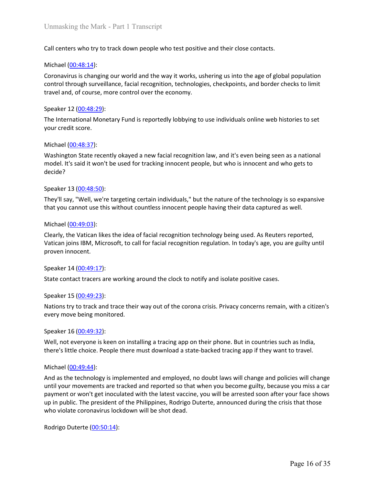Unmasking the Mark - Part 1 Transcript<br>Call centers who try to track down people who test positive and their close contacts.<br>Michael (<u>00:48:14</u>):<br>Coronavirus is changing our world and the way it works, ushering us into th Unmasking the Mark - Part 1 Transcript<br>
Call centers who try to track down people who test positive and their close contac<br>
Michael (<u>00:48:14</u>):<br>
Coronavirus is changing our world and the way it works, ushering us into th Unmasking the Mark - Part 1 Transcript<br> **Call centers who try to track down people who test positive and their close contacts.**<br>
Michael (<u>00:48:14</u>):<br>
Coronavirus is changing our world and the way it works, ushering us in Unmasking the Mark - Part 1 Transcript<br>Call centers who try to track down people who test positive and their close contacts.<br>Michael (<u>00:48:14</u>):<br>Coronavirus is changing our world and the way it works, ushering us into th Unmasking the Mark - Part 1 Transcript<br>Call centers who try to track down people who test positive and their close contacts.<br>Michael <u>(00:48:14)</u>:<br>Coronavirus is changing our world and the way it works, ushering us into th Unmasking the Mark - Part 1 Transcript<br>
Call centers who try to track down people who test positive and their close contacts.<br>
Michael (<u>00:48:14</u>):<br>
Coronavirus is changing our world and the way it works, ushering us into Unmasking the Mark - Part 1 Transcript<br>Call centers who try to track down people who test positive and their close contacts.<br>Michael (<u>00:48:14</u>):<br>Coronavirus is changing our world and the way it works, ushering us into th Unmasking the Mark - Part 1 Transcript<br>Call centers who try to track down people who test positive and their close contacts.<br>Michael (<u>00:48:14</u>):<br>Coronavirus is changing our world and the way it works, ushering us into th Unmasking the Mark - Part 1 Transcript<br>
Call centers who try to track down people who test positive and their close contac<br>
Michael (<u>00:48:14):</u><br>
Coronavirus is changing our world and the way it works, ushering us into t Unmasking the Mark - Part 1 Transcript<br>Call centers who try to track down people who test positive and their close contacts.<br>Michael (<u>00:48:14</u>):<br>Coronavirus is changing our world and the way it works, ushering us into th Unmasking the Mark - Part 1 Transcript<br>
Call centers who try to track down people who test positive and their close contacts.<br>
Michael (<u>00:48:14</u>):<br>
Michael (<u>00:48:14):</u><br>
Connoviroi through surveillance, facial recogniti Call centers who try to track down people who test positive and their close contacts.<br>
Michael (<u>00:48:14</u>):<br>
Coronavirus is changing our world and the way it works, ushering us into the age of g<br>
control through surveilla Call centers who try to track down people who test positive and their close contacts.<br>
Michael (<u>00:48:14</u>):<br>
Coronavirus is changing our world and the way it works, ushering us into the age of global population<br>
control t Michael (<u>00:48:14)</u>:<br>Coronavirus is changing our world and the way it works, ushering us into the age of global population<br>control through surveillance, facial recognition, technologies, checkpoints, and border checks to Coronavirus is changing our world and the way it works, ushering us into the age control through surveillance, facial recognition, technologies, checkpoints, and bo<br>travel and, of course, more control over the economy.<br>Spe

decide?

control through surveillance, facial recognition, technologies, checkpoints, and border checks to limit<br>travel and, of course, more control over the economy.<br>Speaker 12 (<u>00:48:29</u>):<br>Washington State recently okayed a new travel and, of course, more control over the economy.<br>Speaker 12 (<u>00:48:29</u>):<br>The International Monetary Fund is reportedly lobbying to use individuals online web histories to set<br>Your credit score.<br>Washington State recen Speaker 12 (<u>00:48:39)</u>:<br>The International Monetary Fund is reportedly lobbying to use individuals online<br>your credit score.<br>Michael (<u>00:48:37</u>):<br>Washington State recently okayed a new facial recognition law, and it's eve The International Monetary Fund is reportedly lobbying to use individuals online web<br>your credit score.<br>Michael (<u>00:48:37</u>):<br>Washington State recently okayed a new facial recognition law, and it's even being se<br>model. It' Wour credit score.<br>
Michael (<u>00:48:37</u>):<br>
Washington State recently okayed a new facial recognition law, and it's even being seen as a national<br>
model. It's said it won't be used for tracking innocent people, but who is i Michael (<u>00:48:37</u>):<br>Washington State recently okayed a new facial recognition law, and it's even being se<br>model. It's said it won't be used for tracking innocent people, but who is innocent and<br>decide?<br>Speaker 13 (<u>00:48</u> Washington State recently okayed a new facial recognition law, and it's even being seen as a national<br>model. It's said it won't be used for tracking innocent people, but who is innocent and who gets to<br>Speaker 13 (<u>00:48:5</u> model. It's said it won't be used for tracking innocent people, but who is innocent and who q<br>decide?<br>Speaker 13 (<u>00:48:50)</u>:<br>They'll say, "Well, we're targeting certain individuals," but the nature of the technology is s Speaker 13 (<u>00:48:50</u>):<br>They'll say, "Well, we're targeting certain individuals," but the nature of the technolo<br>that you cannot use this without countless innocent people having their data capture<br>Michael (<u>00:49:03</u>):<br>C Speaker 13 (<u>00/49:33</u>):<br>They'll say, "Well, we're targeting certain individuals," but the nature of the technology is so expansive<br>that you cannot use this without countless innocent people having their data captured as w They'll say, "Well, we're targeting certain individuals," but the nature of the technology is so expansive<br>that you cannot use this without countless innocent people having their data captured as well.<br>Michael (<u>00:49:03):</u>

Michael (<u>00:49:03</u>):<br>Clearly, the Vatican likes the idea of facial recognition technology being used. As R<br>Vatican joins IBM, Microsoft, to call for facial recognition regulation. In today's age<br>proven innocent.<br>Speaker 1 Michael (<u>0049944</u>):<br>
Michael Control and the technology being used. As Reuters reported,<br>
Vatican joins IBM, Microsoft, to call for facial recognition regulation. In today's age, you are guilty until<br>
Proven innocent.<br>
Sp Clearly, the Vatican likes the idea of facial recognition technology being used. As Reuters reported,<br>Vatican joins IBM, Microsoft, to call for facial recognition regulation. In today's age, you are guilty until<br>proven inn Vatican joins IBM, Microsoft, to call for facial recognition regulation. In today's age, you are guilty until<br>Speaker 14 (<u>00:49:17</u>):<br>Speaker 15 (<u>00:49:17</u>):<br>State contact tracers are working around the clock to notify a proven innocent.<br>Speaker 14 (<u>00:49:17</u>):<br>State contact tracers are working around the clock to notify and isolate positive cases.<br>Speaker 15 (<u>00:49:23</u>):<br>Nations try to track and trace their way out of the corona crisis. Speaker 14 (<u>00:49:17</u>):<br>State contact tracers are working around the clock to notify and isolate positive cases.<br>Speaker 15 (<u>00:49:23</u>):<br>Nations try to track and trace their way out of the corona crisis. Privacy concerns State contact tracers are working around the clock to notify and isolate positive cases.<br>Speaker 15 (<u>00:49:23</u>):<br>Nations try to track and trace their way out of the corona crisis. Privacy concerns remain, vevery move bein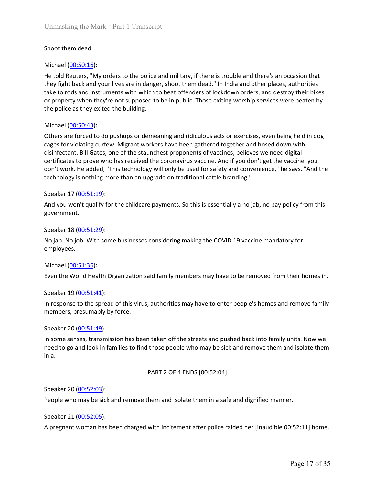Unmasking the Mark - Part 1 Transcript<br>Shoot them dead.<br>Michael (<u>00:50:16</u>):<br>He told Reuters, "My orders to the police and military, if there is trouble and there's a<br>they fight back and your lives are in danger, shoot th Unmasking the Mark - Part 1 Transcript<br>
Shoot them dead.<br>
Michael (<u>00:50:16)</u>:<br>
He told Reuters, "My orders to the police and military, if there is trouble and there<br>
they fight back and your lives are in danger, shoot th Unmasking the Mark - Part 1 Transcript<br>Shoot them dead.<br>Michael (<u>00:50:16</u>):<br>He told Reuters, "My orders to the police and military, if there is trouble and there's an occasion that<br>they fight back and your lives are in d Unmasking the Mark - Part 1 Transcript<br>Shoot them dead.<br>Michael (<u>00:50:16)</u>:<br>He told Reuters, "My orders to the police and military, if there is trouble and there's an occasion that<br>they fight back and your lives are in d Unmasking the Mark - Part 1 Transcript<br>Shoot them dead.<br>
Michael <u>(00:50:16)</u>:<br>
He told Reuters, "My orders to the police and military, if there is trouble and there's an occasion that<br>
they fight back and your lives are Unmasking the Mark - Part 1 Transcript<br>
Shoot them dead.<br>
Michael (<u>00:50:16</u>):<br>
He told Reuters, "My orders to the police and military, if there is trouble and there's an occasion that<br>
they fight back and your lives are Unmasking the Mark - Part 1 Transcript<br>
Shoot them dead.<br>
Michael (<u>00:50:16)</u>:<br>
He told Reuters, "My orders to the police and military, if there is trouble and there's an occasion that<br>
they fight back and your lives are Unmasking the Mark - Part 1 Transcript<br>
Shoot them dead.<br>
Michael (<u>00:50:16)</u>:<br>
He told Reuters, "My orders to the police and military, if there is trouble and there<br>
they fight back and your lives are in danger, shoot th

Unmasking the Mark - Part 1 Transcript<br>
Shoot them dead.<br>
Michael (<u>00:50:16)</u>:<br>
He told Reuters, "My orders to the police and military, if there is trouble and there's an occasion that<br>
they fight back and your lives are Unmasking the Mark - Part 1 Transcript<br>Shoot them dead.<br>Michael (<u>00:50:16)</u>:<br>He told Reuters, "My orders to the police and military, if there is trouble and there's an occasion that<br>they fight back and your lives are in d Unmasking the Mark - Part 1 Transcript<br>Shoot them dead.<br>Michael (<u>00:50:16)</u>:<br>He told Reuters, "My orders to the police and military, if there is trouble and there's an occasion that<br>they fight back and your lives are in d Unmasking the Mark - Part 1 Transcript<br>
Shoot them dead.<br>
Michael (<u>00:50:16</u>):<br>
He told Reuters, "My orders to the police and military, if there is trouble and there's an occasion that<br>
He told Reuters, "My orders are in Unmasking the Mark - Part 1 Transcript<br>
Shoot them dead.<br>
Michael (00:50:16):<br>
He told Reuters, "My orders to the police and military, if there is trouble and there's an occasion that<br>
they fight back and your lives are in Unmasking the Mark - Part 1 Transcript<br>
Shoot them dead.<br>
Michael (<u>00:50:16</u>):<br>
Here told Reuters, "My orders to the police and military, if there is trouble and there's an occasion that<br>
they light back and your lives ar Shoot them dead.<br>
Shoot them dead.<br>
Michael (<u>00:50:16</u>):<br>
He told Reuters, "My orders to the police and military, if there is trouble and there's<br>
they fight back and your lives are in danger, shoot them dead." In India And for the child (00.50.16):<br>
Michael (00.50.16):<br>
He told Reuters, "My orders to the police and military, if there is trouble and there's an occasion that<br>
the to rods and instruments with which to beat offenders of loc He to to teaters, my orders to the pointe and militarly, it mere to stoodbe and there see the stand there in denter and the present the present the present of the present of the present and the present the present the prop take to rods and instruments with which to beat offenders of lockdown orders, and destroy their bikes<br>take to rods and instruments with which to beat offenders of lockdown orders, and destroy their bikes<br>or property when t Michael  $(Q0:50:43)$ :<br>
Others are forced to do pushups or demeaning and ridiculous acts or exercises, exercuses, the organs of violating curfew. Migrant workers have been gathered together and hos<br>
disinfectant. Bill Gate Michael (<u>00-50-43)</u>:<br>Others are forced to do pushups or demeaning and ridiculous acts or exercises, even being held in dog<br>Ocages for violating curfew. Migrant workers have been gathered together and hosed down with<br>disin cages for violating curfew. Migrant workers have been gathered together and hosed<br>disinfectant. Bill Gates, one of the staunchest proponents of vaccines, believes we neer<br>distrificitiest to prove who has received the coron disinfectant. Bill Gates, one of the stanchest proponents of vaccines, believes we need digital<br>ecertificates to prove who has received the coronavirus vaccine. And if you don't get the vaccine, you<br>don't work. He added, " certificates to prove who has received the coronavirus vaccine. And if you don't get the vaccine, you<br>char't work. He added, "This technology will only be used for safety and convenience," he says. "And<br>technology is nothi

government.

employees.

technology is nothing more than an upgrade on traditional cattle branding."<br>
Speaker 17 (<u>00:51:19</u>):<br>
And you won't qualify for the childcare payments. So this is essentially a no jab, no pay<br>
government.<br>
Speaker 18 (<u>00</u> Speaker 17 (<u>00:51:19</u>):<br>
And you won't qualify for the childcare payments. So this is essentially a no jab, no pay policy from this<br>
government.<br>
Speaker 18 (<u>00:51:29</u>):<br>
No jab. No job. With some businesses considering Speaker 17 (<u>UUS1119</u>):<br>
Speaker 18 (<u>O0-51:29</u>):<br>
Speaker 18 (<u>O0-51:29</u>):<br>
Speaker 18 (<u>O0-51:29</u>):<br>
No jab. No job. With some businesses considering making the COVID 19 vaccine mandatory for<br>
michael (<u>O0-51:36</u>):<br>
Nich And you won't qualify for the childcare payments. So this is essentially a no<br>government.<br>Speaker 18 (00:51:29):<br>No jab. No job. With some businesses considering making the COVID 19 vace<br>employees.<br>Michael (<u>00:51:36):</u><br>E considering making the COVID 19 vaccine mandatory for<br>aid family members may have to be removed from their homes in.<br>authorities may have to enter people's homes and remove family<br>taken off the streets and pushed back into No jab. No job. With some businesses considering making the COVID 19 vaccine manu<br>employees.<br>Michael <u>(00:51:36</u>):<br>Even the World Health Organization said family members may have to be removed fr<br>Speaker 19 (<u>00:51:41)</u>:<br>I employees.<br>
Michael (<u>00:51:36)</u>:<br>
Even the World Health Organization said family members may have to be removed from their homes in.<br>
Speaker 19 (<u>00:51:41)</u>:<br>
In response to the spread of this virus, authorities may have Michael (<u>00:51:36)</u>:<br>Even the World Health Organization said family members may have to be removed fr<br>Speaker 19 (<u>00:51:41)</u>:<br>In response to the spread of this virus, authorities may have to enter people's homes<br>members, Even the World Health Organization said family members may have to be removed from their homes in.<br>
Speaker 19 (<u>00:51:41)</u>:<br>
In response to the spread of this virus, authorities may have to enter people's homes and remove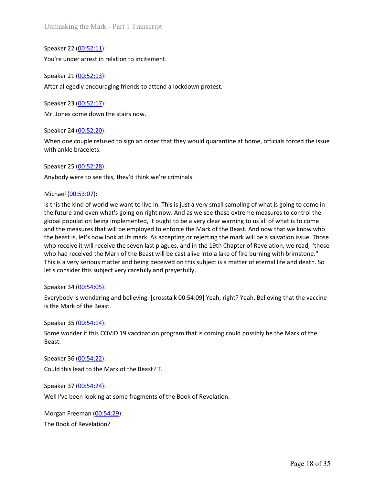Unmasking the Mark - Part 1 Transcript<br>Speaker 22 <u>(00:52:11</u>):<br>You're under arrest in relation to incitement.<br>Speaker 21 <u>(00:52:13</u>):<br>After allegedly encouraging friends to attend a lockdown protest. Unmasking the Mark - Part 1 Transcript<br>Speaker 22 <u>(00:52:11)</u>:<br>You're under arrest in relation to incitement.<br>Speaker 21 <u>(00:52:13</u>):<br>After allegedly encouraging friends to attend a lockdown protest.<br>Speaker 23 (00:52:17 Unmasking the Mark - Part 1 Transcript<br>Speaker 22 <u>(00:52:11</u>):<br>You're under arrest in relation to incitement.<br>Speaker 21 <u>(00:52:13):</u><br>After allegedly encouraging friends to attend a lockdown protest.<br>Speaker 23 <u>(00:52:1</u> Unmasking the Mark - Part 1 Transcript<br>Speaker 22 (<u>00:52:11</u>):<br>You're under arrest in relation to incitement.<br>Speaker 21 (<u>00:52:13</u>):<br>After allegedly encouraging friends to attend a lockdown protest.<br>Speaker 23 (<u>00:52:1</u>

Unmasking the Mark - Part 1 Transcript<br>
Speaker 22 <u>(00:52:11)</u>:<br>
You're under arrest in relation to incitement.<br>
Speaker 21 <u>(00:52:13)</u>:<br>
After allegedly encouraging friends to attend a lockdown protest.<br>
Speaker 23 (<u>00</u> Unmasking the Mark - Part 1 Transcript<br>Speaker 22 <u>(00:52:11</u>):<br>You're under arrest in relation to incitement.<br>Speaker 21 <u>(00:52:13)</u>:<br>After allegedly encouraging friends to attend a lockdown protest.<br>Speaker 23 <u>(00:52:1</u> Unmasking the Mark - Part 1 Transcript<br>
Speaker 22 (<u>00:52:11)</u>:<br>
You're under arrest in relation to incitement.<br>
Speaker 21 (<u>00:52:13</u>):<br>
After allegedly encouraging friends to attend a lockdown protest.<br>
Speaker 23 (<u>00</u> Unmasking the Mark - Part 1 Transcript<br>Speaker 22 <u>(00:52:11</u>):<br>Speaker 21 <u>(00:52:11</u>):<br>Speaker 21 <u>(00:52:13</u>):<br>After allegedly encouraging friends to attend a lockdown protest.<br>Speaker 23 <u>(00:52:20)</u>:<br>Mr. Jones come do Unmasking the Mark - Part 1 Transcript<br>Speaker 22 <u>(00:52:11)</u>:<br>You're under arrest in relation to incitement.<br>Speaker 21 <u>(00:52:13)</u>:<br>After allegedly encouraging friends to attend a lockdown protest.<br>Speaker 23 <u>(00:52:1</u> Unmasking the Mark - Part 1 Transcript<br>
Speaker 22 (<u>00:52:11)</u>:<br>
Speaker 21 (<u>00:52:13</u>):<br>
Speaker 21 (<u>00:52:13</u>):<br>
After allegedly encouraging friends to attend a lockdown protest.<br>
Speaker 23 (<u>00:52:17</u>):<br>
Mr. Jones c

Unmasking the Mark - Part 1 Transcript<br>
Speaker 22 (<u>00:52:11)</u>:<br>
You're under arrest in relation to incitement.<br>
Speaker 21 (<u>00:52:13)</u>:<br>
Speaker 23 (<u>00:52:20)</u>:<br>
Speaker 24 (<u>00:52:20)</u>:<br>
Vhen one couple refused to sig Speaker 22 (<u>00:52:11)</u>:<br>
You're under arrest in relation to incitement.<br>
Speaker 21 (<u>00:52:13</u>):<br>
After allegedly encouraging friends to attend a lockdown protest.<br>
Speaker 23 (<u>00:52:17</u>):<br>
Mr. Jones come down the stair **ISONT THE CONDENT SOLUTE THE CONDENT SPECT AT A CONDENT SPECT 2010**<br>
Speaker 21 (<u>00:52:13</u>):<br>
Speaker 23 (<u>00:52:17</u>):<br>
Speaker 23 (<u>00:52:20)</u>:<br>
When one couple refused to sign an order that they would quarantine at hom for the future and even what's going on right now. And as we see these there are first on right on right on right on right on right on right on right on the state of a summer of  $23(00.52.22)$ :<br>
When one couple refused to Speaker 21 (<u>00-52-13</u>):<br>Speaker 23 (<u>00-52-17</u>):<br>Speaker 23 (<u>00-52-17)</u>:<br>Mr. Jones come down the stairs now.<br>Memon end comple refused to sign an order that they would quarantine at home, officials forced the issue<br>with a speaker 21 <u>(UU:S2:13</u>):<br>Speaker 23 <u>(00:52:13</u>):<br>Speaker 23 (<u>00:52:17</u>):<br>Mr. Jones come down the stairs now.<br>When one couple refused to sign an order that they would quarantine at home, officials forced the issue<br>With on After allegedly encouraging friends to attend a lockdown protest.<br>Speaker 23 (<u>00:52:1</u>7):<br>Mr. Jones come down the stairs now.<br>Speaker 24 (<u>00:52:20</u>):<br>When one couple refused to sign an order that they would quarantine at Speaker 23 (00:52:17):<br>
Mr. Jones come down the stairs now.<br>
Speaker 24 (00:52:20):<br>
When one couple refused to sign an order that they would quarantine at home, officials forced the issue<br>
with ankle bracelets.<br>
Speaker 2 Speaker 23 (<u>00:52:17</u>):<br>Speaker 24 (<u>00:52:20</u>):<br>Speaker 24 (<u>00:52:20</u>):<br>When one couple refuseed to sign an order that they would quarantine at home, officials forced the issue<br>With ankle bracelets.<br>Speaker 25 (<u>00:52:2</u> Mr. Jones come down the stairs now.<br>Speaker 24 (<u>00:52:20</u>):<br>When one couple refused to sign an order that they would quarantine at home, officials forced the issue<br>with ankle bracelets.<br>Speaker 25 (<u>00:52:28</u>):<br>Anybody we Speaker 24 (<u>00:52:0</u>):<br>
Speaker 24 (<u>00:52:0)</u>:<br>
When one couple refused to sign an order that they would quarantine at home, officials forced the issue<br>
with ankie bracelets.<br>
Speaker 25 (00:52:28):<br>
Speaker 25 (00:52:2 When one couple refused to sign an order that they would quarantine at home, offici<br>with ankle bracelets.<br>Speaker 25 (<u>00:52:28</u>):<br>Anybody were to see this, they'd think we're criminals.<br>Michael (<u>00:53:07</u>):<br>Anybody were With ankle bracelets.<br>
Speaker 25 (00:52:28):<br>
Speaker 25 (00:52:28):<br>
Anybody were to see this, they'd think we're criminals.<br>
Michael (00:53:07):<br>
Is this the kind of world we want to live in. This is just a very small s Speaker 25 (0<u>0:52:28)</u>:<br>
Speaker 25 (0<u>0:52:28)</u>:<br>
Anybody were to see this, they'd think we're criminals.<br>
Michael (00:53:07):<br>
Is this the kind of world we want to live in. This is just a very small sampling of what is Faymout vert to see this, they'd think we're criminals.<br>
Anybody were to see this, they'd think we're criminals.<br>
Is this the kind of world we want to live in. This is just a very small sampling of what is<br>
It is this the Michael (<u>00.53.07</u>):<br>
So this the kind of world we want to live in. This is just a very small sampling of what is going to come in<br>
the future and even what's going on right now. And as we see these extreme measures to co Is the Kindo i wolonia we want to live in. This Is just a very shall sampling on what is entered for the future and even what's going on right now. And as we see these extreme measure global population being implemented, i global population being implemented, it ought to be a very clear warning to us all of what is to come<br>and the measures that will be employed to enforce the Mark of the Beast. And now that we know who<br>the beast is, let's no the beast is, let's now look at its mark. As accepting or rejecting the mark will be a sal<br>who receive it will receive the seven last plagues, and in the 19th Chapter of Revelation<br>who had received the Mark of the Beast wi who receive it will receive the seven last plagues, and in the 19th Chapter of Revelation, we read, "those<br>who had received the Mark of the Beast will be cast alive into a lake of fire burning with brimstone."<br>This is a ve

This is a very serious matter and being deceived on this subject is a matter of eternal life an let's consider this subject very carefully and prayerfully,<br>Speaker 34 (<u>00:54:05):</u><br>Speaker 34 (<u>00:54:05):</u><br>Everybody is won ers consider this subject very carefully and prayerfully,<br>Speaker 34 (<u>00:54:05</u>):<br>Everybody is wondering and believing. [crosstalk 00:54:09] Yeah, right? Yeah. Believin<sub>is</sub><br>is the Mark of the Beast.<br>Speaker 35 (<u>00:54:24</u>

Beast.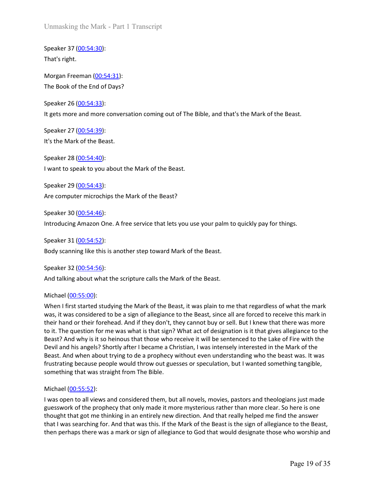Unmasking the Mark - Part 1 Transcript

Unmasking the Mark - Part 1 Transcript<br>Speaker 37 <u>(00:54:30</u>):<br>That's right.<br>Morgan Freeman <u>(00:54:31</u>):<br>The Book of the End of Days? Unmasking the Mark - Part 1 Transcript<br>Speaker 37 <u>(00:54:30</u>):<br>That's right.<br>Morgan Freeman <u>(00:54:31</u>):<br>The Book of the End of Days?<br>Speaker 26 (00:54:33):

Unmasking the Mark - Part 1 Transcript<br>Speaker 37 <u>(00:54:30)</u>:<br>That's right.<br>Morgan Freeman <u>(00:54:31)</u>:<br>The Book of the End of Days?<br>Speaker 26 <u>(00:54:33</u>):<br>It gets more and more conversation coming out of The Bible, a Unmasking the Mark - Part 1 Transcript<br>Speaker 37 <u>(00:54:30):</u><br>That's right.<br>Morgan Freeman <u>(00:54:31)</u>:<br>The Book of the End of Days?<br>Speaker 26 (<u>00:54:33</u>):<br>It gets more and more conversation coming out of The Bible, a Unmasking the Mark - Part 1 Transcript<br>Speaker 37 <u>(00:54:30):</u><br>That's right.<br>Morgan Freeman <u>(00:54:31)</u>:<br>Speaker 26 (<u>00:54:33</u>):<br>It gets more and more conversation coming out of The Bible, and that's the Mark of t<br>Speak Unmasking the Mark - Part 1 Transcript<br>Speaker 37 (<u>00:54:30):</u><br>That's right.<br>Morgan Freeman (<u>00:54:31):</u><br>Speaker 26 (<u>00:54:33):</u><br>Speaker 26 (0<u>0:54:33):</u><br>It gets more and more conversation coming out of The Bible, and t

Unmasking the Mark - Part 1 Transcript<br>Speaker 37 (<u>00:54:30)</u>:<br>That's right.<br>Morgan Freeman (<u>00:54:31</u>):<br>The Book of the End of Days?<br>Speaker 26 (<u>00:54:33)</u>:<br>It gets more and more conversation coming out of The Bible, a Unmasking the Mark - Part 1 Transcript<br>Speaker 37 <u>(00:54:30)</u>:<br>That's right.<br>Morgan Freeman <u>(00:54:31):</u><br>The Book of the End of Days?<br>Speaker 26 <u>(00:54:33):</u><br>It gets more and more conversation coming out of The Bible, a Unmasking the Mark - Part 1 Transcript<br>Speaker 37 (<u>00:54:30)</u>:<br>That's right.<br>Morgan Freeman (<u>00:54:31</u>):<br>The Book of the End of Days?<br>Speaker 26 (<u>00:54:33)</u>:<br>It gets more and more conversation coming out of The Bible, a Unmasking the Mark - Part 1 Transcript<br>Speaker 37 <u>(00:54:30)</u>:<br>That's right.<br>Morgan Freeman <u>(00:54:31):</u><br>Speaker 26 (<u>00:54:33</u>):<br>Speaker 26 (<u>00:54:33</u>):<br>It gets more and more conversation coming out of The Bible, and t

Speaker 37 (<u>00:54:30)</u>:<br>That's right.<br>Morgan Freeman (<u>00:54:31)</u>:<br>The Book of the End of Days?<br>Speaker 26 (<u>00:54:33)</u>:<br>It gets more and more conversation coming out of The Bible, and that's the Mark of t<br>Speaker 27 (<u>00</u> Speaker 37 <u>(00:54:30)</u>:<br>That's right.<br>Morgan Freeman <u>(00:54:31)</u>:<br>Speaker 26 <u>(00:54:33)</u>:<br>Speaker 26 (<u>00:54:33)</u>:<br>tt gets more and more conversation coming out of The Bible, and that's the Mark of the Beast.<br>Speaker 27 That s right.<br>
Morgan Freeman (<u>00:54:31)</u>:<br>
The Book of the End of Days?<br>
Speaker 26 (<u>00:54:33)</u>:<br>
It gets more and more conversation coming out of The Bible, and that's the Mark of t<br>
Speaker 27 (<u>00:54:39)</u>:<br>
It's the Morgan Freeman (<u>00:54:31)</u>:<br>The Book of the End of Days?<br>Speaker 26 (<u>00:54:33)</u>:<br>It gets more and more conversation coming out of The Bible, and that's the Mark of the Beast.<br>Speaker 28 (<u>00:54:40)</u>:<br>It's the Mark of the The Book of the End of Days?<br>Speaker 26 (<u>00:54:33)</u>:<br>It gets more and more conversation coming out of The Bible, and that's the Mark of t<br>Speaker 27 (<u>00:54:39</u>):<br>It's the Mark of the Beast.<br>Speaker 28 (<u>00:54:40</u>):<br>Want Speaker 26 (<u>00:54:33)</u>:<br>
It gets more and more conversation coming out of The Bible, and that's the Mark of the Beast.<br>
Speaker 27 (<u>00:54:39</u>):<br>
It's the Mark of the Beast.<br>
Speaker 28 (<u>00:54:49</u>):<br>
It's the Mark of the It gets more and more conversation coming out of the Beast, and that's the Wark of the Speaker 27 (00:54:39):<br>
It's the Mark of the Beast.<br>
Speaker 28 (00:54:40):<br>
It want to speak to you about the Mark of the Beast.<br>
Spea

Speaker 27 (<u>00:54:39)</u>:<br>
It's the Mark of the Beast.<br>
Speaker 28 (<u>00:54:40</u>):<br>
Speaker 29 (<u>00:54:43</u>):<br>
Are computer microchips the Mark of the Beast.<br>
Speaker 30 (<u>00:54:45)</u>:<br>
And computer microchips the Mark of the B It is the Wiark of the Beast.<br>
Speaker 28 <u>(00:54:40)</u>:<br>
I want to speak to you about the Mark of the Beast.<br>
Speaker 29 (<u>00:54:43</u>):<br>
Are computer microchips the Mark of the Beast?<br>
Speaker 30 (<u>00:54:46</u>):<br>
Introducing Speaker 28 (<u>00:54:40</u>):<br>Speaker 29 (<u>00:54:43</u>):<br>Speaker 29 (<u>00:54:43</u>):<br>Are computer microchips the Mark of the Beast?<br>Speaker 31 (<u>00:54:46</u>):<br>Introducing Amazon One. A free service that lets you use your palm to quick **Example 10.**<br>
Want to speak to you about the Mark of the Beast?<br>
Speaker 29 (00:54:43):<br>
Speaker 30 (00:54:46):<br>
Introducing Amazon One. A free service that lets you use your palm to quickly pay for things.<br>
Speaker 31 (0 Speaker 29 (00:56:13):<br>Speaker 29 (00:54:43):<br>Speaker 30 (00:54:43):<br>Retection of the Mark of the Beast?<br>Speaker 31 (00:54:52):<br>Introducing Amazon One. A free service that lets you use your palm to quickly pay for things.<br> Speaker 29 <u>(00:54:43)</u>:<br>Speaker 30 <u>(00:54:43)</u>:<br>Speaker 30 (<u>00:54:46</u>):<br>Introducing Amazon One. A free service that lets you use your palm to quickly pay for things.<br>Speaker 31 (<u>00:54:52)</u>:<br>Body scanning like this is a Speaker 29 (<u>UUS-a443</u>):<br>Speaker 30 (<u>00,54:46</u>):<br>Speaker 30 (<u>00,54:46</u>):<br>Introducing Amazon One. A free service that lets you use your palm to quickly pay for things.<br>Speaker 31 (<u>00,54:55)</u>:<br>Speaker 31 (<u>00,54:55)</u>:<br>Spe Are computer microchips the Mark of the Beast?<br>Speaker 30 (<u>00:54:46</u>):<br>Introducing Amazon One. A free service that lets you use your palm to quickly pay for things.<br>Speaker 31 (<u>00:54:52)</u>:<br>Body scanning like this is anot Speaker 30 <u>(00:54:46)</u>:<br>Introducing Amazon One. A free service that lets you use your palm to quickly pay for things.<br>Speaker 31 <u>(00:54:52):</u><br>Body scanning like this is another step toward Mark of the Beast.<br>Speaker 32 <u></u> Speaker 30 <u>(00:54:46)</u>:<br>Speaker 31 (<u>00:54:52)</u>:<br>Introducing Amazon One. A free service that lets you use your palm to quickly pay for things.<br>Speaker 32 (<u>00:54:55)</u>:<br>Body scanning like this is another step toward Mark o Introducing Amazon One. A free service that lets you use your palm to quickly pay for things.<br>Speaker 31 (<u>00:54:52</u>):<br>Body scanning like this is another step toward Mark of the Beast.<br>Speaker 32 (00:54:56):<br>And talking ab Speaker 31 (<u>00:54:52):</u><br>
Body scanning like this is another step toward Mark of the Beast.<br>
Speaker 32 (<u>00:54:56</u>):<br>
And talking about what the scripture calls the Mark of the Beast.<br>
Michael (<u>00:55:00</u>):<br>
When I first Body scanning like this is another step toward Mark of the Beast.<br>Speaker 32 (<u>00:54:56</u>):<br>And talking about what the scripture calls the Mark of the Beast.<br>Michael (<u>00:55:00):</u><br>When I first started studying the Mark of t Example and the scripture and the propher was the Beast.<br>Speaker 32 (00:54:56):<br>And talking about what the scripture calls the Mark of the Beast.<br>When I first started studying the Mark of the Beast, it was plain to me that Speaker 32 (<u>00:54:56</u>):<br>And talking about what the scripture calls the Mark of the Beast.<br>Michael (<u>00:55:00</u>):<br>When I first started studying the Mark of the Beast, it was plain to me that regardless of what the mark<br>was From that Interest of the propher, that his. If the Mark of the Beast.<br>
Michael (<u>00:55:00</u>):<br>
When I first started studying the Mark of the Beast, it was plain to me that regardless of what the mark<br>
was, it was considere And talking about what the scripture calls the wark of the Beast.<br>
Michael (<u>00-55:00</u>):<br>
Michael first started studying the Mark of the Beast, it was plain to me that regardless of what the mark<br>
Was, it was considered t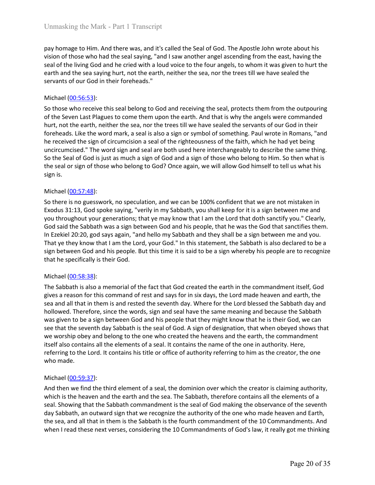Unmasking the Mark - Part 1 Transcript<br>pay homage to Him. And there was, and it's called the Seal of God. The Apostle John wrote about his<br>vision of those who had the seal saying, "and I saw another angel ascending from th Unmasking the Mark - Part 1 Transcript<br>pay homage to Him. And there was, and it's called the Seal of God. The Apostle John wrote about his<br>vision of those who had the seal saying, "and I saw another angel ascending from th Unmasking the Mark - Part 1 Transcript<br>pay homage to Him. And there was, and it's called the Seal of God. The Apostle John wrote about his<br>vision of those who had the seal saying, "and I saw another angel ascending from th Unmasking the Mark - Part 1 Transcript<br>pay homage to Him. And there was, and it's called the Seal of God. The Apostle John wrote about his<br>vision of those who had the seal saying, "and I saw another angel ascending from th Unmasking the Mark - Part 1 Transcript<br>pay homage to Him. And there was, and it's called the Seal of God. The Apostle John wrote about his<br>vision of those who had the seal saying, "and I saw another angel ascending from th Unmasking the Mark - Part 1 Transcript<br>pay homage to Him. And there was, and it's called the Seal of God. The Apostle Jol<br>vision of those who had the seal saying, "and I saw another angel ascending from<br>seal of the living

Unmasking the Mark - Part 1 Transcript<br>pay homage to Him. And there was, and it's called the Seal of God. The Apostle John wrote about his<br>pision of those who had the seal saying, "and I saw another angel ascending from th Unmasking the Mark - Part 1 Transcript<br>pay homage to Him. And there was, and it's called the Seal of God. The Apostle John wrote about his<br>vision of those who had the seal saying, "and I saw another angel ascending from th Unmasking the Mark - Part 1 Transcript<br>pay homage to Him. And there was, and it's called the Seal of God. The Apostle John wrote about his<br>pision of those who had the seal saying, "and Is aw another angel ascending from th Unmasking the Mark - Part 1 Transcript<br>pay homage to Him. And there was, and it's called the Seal of God. The Apostle John wrote about his<br>vision of those who had the seal saying, "and I saw another angel ascending from th Unmasking the Mark - Part I Transcript<br>pay homage to Him. And there was, and it's called the Seal of God. The Apostle John wrote about his<br>vision of those who had the seal saying, "and I saw another angel assedding from th Unmasking the Mark - Part 1 Transcript<br>pay homage to Him. And there was, and it's called the Seal of God. The Apostle John wrote about his<br>vision of those who had the seal asying, "and I saw another angel ascending from th Unmasking the Mark - Part 1 Transcript<br>pay homage to Him. And there was, and it's called the Seal of God. The Apostle John wrote about his<br>vision of those who had the seal saying, "and I saw another angel ascending from th Unmasking the Mark - Part 1 Transcript<br>pay homage to Him. And there was, and it's called the Seal of God. The Apostle John wrote about his<br>vision of those who had the seal saying, "and I saw another angel ascending from th Unmasking the Mark - Part 1 Transcript<br>pay homage to Him. And there was, and it's called the Seal of God. The Apostly<br>sision of those who had the seal saying, "and I saw another angel ascending fr<br>seal of the living God an pay homage to Him. And there was, and it's called the Seal of God. The Apostle Jovision of those who had the seal saying, "and I saw another angel ascending from<br>seal of the living God and he cried with a loud voice to the pay nomage to him. And there was, and it scales the easi of ood. The Aposte Jomi wrote about his special to the sear, and it can be easily a proper search of the living God and he cried with a loud voice to the four angel, vision of trose wino raa the east ayying, "and is swarphora angel ascenting from the east, naving the<br>seal of the living God and he cried with a loud voice to the four angels, to whom it was given to hurt the<br>earth and the seal or the living Good and me creaw with a loud volice to the torour anges, to whom it was given to nurthe<br>earth and the sea saying burt, not the earth, neither the sea, nor the trees till we have sealed the<br>servants of o earth and the sea saying nurr, not the earth, nether the sea, nor the trees till we have sealed the<br>sevants of our God in their foreheads."<br>So those who receive this seal belong to God and receiving the seal, protects them servants or our toot in their roreneads.<br>
So those who receive this seal belong to God and receiving the seal, protects them from the outpouring<br>
So those who receive this seal belong to God and receiving the seal, protect Michael <u>(00-56:53</u>):<br>So those who receive this seal belong to God and receiving the seal, protects them from the outpouring<br>of the Seven Last Plagues to come them upon the earth. And that is why the angels were commanded<br> Michael (<u>W3-be-32</u>):<br>So those who receive this seal belong to God and receiving the seal, protects them from the outpouring<br>of the Seven Last Plagues to come them upon the earth. And that is why the angels were commanded<br> So those who receive this seal belong to God and receiving the seal, protects them from the outpoon<br>of the Seven Last Palgues to come them upon the earth. And that is why the angles were commande<br>burt, not the secht at Pal

hurt, not the earth, neither the sea, nor the trees till we have sealed the servants<br>foreheads. Like the word mark, a seal is also a sign or symbol of something. Paul<br>the received the sign of circumcision a seal of the rig foremeass. Like the Word mark, a sean is also a sign or symnol or sometring, Paul worde in formans, and the received the sign of circumcision a seal of the righteousness of the faith, which he had yet being oncircumcised." ne received the sign of recurruncison a seal or the regnonsents of the raint, which ne near yet being<br>uncircumided." The word sign and seal are both used here interchangeably to describe the same thing.<br>So the Seal of God

uncircumcesco." Ine words rign and seal are born used nere intercreanageauly to describe the seal of God is just as much a sign of God and a sign of those who belong to God? Once again, we will allow God himself to tell us so the seal or tool so just as much a sign or too and a sign or those who belong to Him. So then what is<br>sign is.<br>The seal or sign of those who belong to God? Once again, we will allow God himself to tell us what his<br>sign the sear or sign or those who belong to soor? Once again, we will allow ob nimisel to tell us what his sign is.<br>So there is no guesswork, no speculation, and we can be 100% confident that we are not mistaken in Exodus 31:1 sign is.<br>So there is no guesswork, no speculation, and we can be 100% confident that we are not mistaken in<br>Exodus 31:13, God spoke saying, "verily in my Sabbath, you shall keep for it is a sign between me and<br>you througho Michael (<u>00:57:48)</u>:<br>So there is no guesswork, no speculation, and we can be 100% confident that we are not mistaken in<br>Exotus 31:13, God spoke saying, "verily in my Sabbath, you shall keep for it is a sign between me and Michael (<u>U03-5/48)</u>:<br>So there is no guesswork, no speculation, and we can be 100% confident that we are not mistaken in Exolus 31:13, God spoke saying, "verily in my Sabbath, you shall keep for it is a sign between me and So there is no guesswork, no speculation, and we can be 100% confident that we are not mistaken in the contained byou throughout byou generations; that ye may know that I am the Lord that doth sanctify you." Clearly, you t Exodus 31:13, God spoke saying, "verily in my Sabbath, you shall keep for it is is<br>you throughout your generations; that ye may know that I am the Lord that do<br>God said the Sabbath was a sign between God and his people, th God said the Sabbath was a sign between God and his people, that he was the Goor<br>In Erekiel 20:20, god says again, "and hello my Sabbath and they shall be a sign between God In the Vand The tellomy Sabbath and they shall In Exekte 10:10.0, goo says again, and neuto my saboard and they shall to a sign between me and you.<br>That ye they know that I am the Lord, your God." In this statement, the Sabbath is also declared to be a<br>sign between God In at ye mey know that I am the Loro, your Goo." In this statement, the Sabbath is also becaree to be a<br>sign between God and his people. But this time it is said to be a sign whereby his people are to recognize<br>that he spe sign oetween too and mis people. But this time it is said to be a sign whereby his people are to recognize<br>
Michael (00:58:38):<br>
The Sabbath is also a memorial of the fact that God created the earth in the commandment itse that he spectrically is their Goo.<br>
Michael (<u>00-58:38</u>):<br>
The Sabbath is also a memorial of the fact that God created the earth in the commandment itself, God<br>
The Sabbath is also a memorial of rest and says for in six da Michael <u>(00:58:38):</u><br>The Sabbath is also a memorial of the fact that God created the earth in the commandment itself, God<br>gives a reason for this command of rest and says for in six days, the Lord made heaven and earth, t Michael (<u>UD-59:3</u>2):<br>The Sabbath is also a memorial of the fact that God created the earth in the commandment itself, God<br>gives a reason for this command of rest and says for in six days, the Lord made heaven and earth, t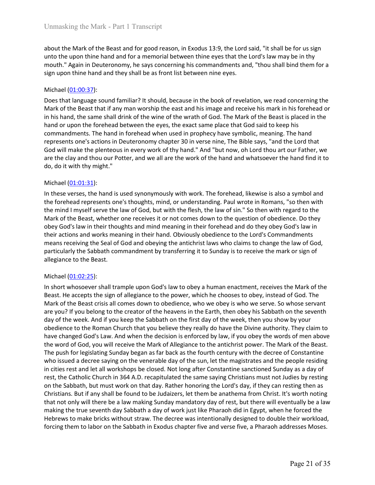Unmasking the Mark - Part 1 Transcript<br>about the Mark of the Beast and for good reason, in Exodus 13:9, the Lord said, "it shall be for us sign<br>unto the upon thine hand and for a memorial between thine eyes that the Lord's Unmasking the Mark - Part 1 Transcript<br>about the Mark of the Beast and for good reason, in Exodus 13:9, the Lord said, "it shall be for us sign<br>unto the upon thine hand and for a memorial between thine eyes that the Lord's Unmasking the Mark - Part 1 Transcript<br>about the Mark of the Beast and for good reason, in Exodus 13:9, the Lord said, "it shall be for us sign<br>unto the upon thine hand and for a memorial between thine eyes that the Lord's Unmasking the Mark - Part 1 Transcript<br>about the Mark of the Beast and for good reason, in Exodus 13:9, the Lord said, "it shall be for us sign<br>unto the upon thine hand and for a memorial between thine eyes that the Lord's

Unmasking the Mark - Part 1 Transcript<br>about the Mark of the Beast and for good reason, in Exodus 13:9, the Lord said, "it<br>unto the upon thine hand and for a memorial between thine eyes that the Lord's l<br>mouth." Again in D Unmasking the Mark - Part 1 Transcript<br>about the Mark of the Beast and for good reason, in Exodus 13:9, the Lord said, "it shall be for us sign<br>unto the upon thine hand and for a memorial between thine eyes that the Lord's Unmasking the Mark - Part 1 Transcript<br>about the Mark of the Beast and for good reason, in Exodus 13:9, the Lord said, "it shall be for us sign<br>anto the upon thine hand and for a memorial between thine eyes that the Lord's Unmasking the Mark - Part 1 Transcript<br>about the Mark of the Beast and for good reason, in Exodus 13:9, the Lord said, "It shall be for us sign<br>unto the upon thine hand and for a memorial between thine eyes that the Lord's Unmasking the Mark - Part 1 Transcript<br>about the Mark of the Beast and for good reason, in Exodus 13:9, the Lord said, "it shall be for us sign<br>anoto the upon thine hand and for a memorial between thine eyes that the Lord' Unmasking the Mark - Part 1 Transcript<br>about the Mark of the Beast and for good reason, in Exodus 13:9, the Lord said, "it shall be for us sign<br>unto the upon thine hand and for a memorial between thine eyes that the Lord's Unmasking the Mark - Part I Transcript<br>about the Mark of the Beast and for good reason, in Exodus 13:9, the Lord said, "it shall be for us sign<br>unto the upon thine hand and for a memorial between thine eyes that the Lord's Unmasking the Mark - Part 1 Transcript<br>about the Mark of the Beast and for good reason, in Exodus 13:9, the Lord said, "it shall be for us sign<br>unto the upon thine hand and for a memorial between thine eyes that the Lord's Unmasking the Mark - Part 1 Transcript<br>about the Mark of the Beast and for good reason, in Exodus 13:9, the Lord said, "It shall be for us sign<br>unto the upon thine hand and for a memorial between thine eyes that the Lord's Unmasking the Mark - Part 1 Transcript<br>about the Mark of the Beast and for good reason, in Exodus 13:9, the Lord said, "it shall be<br>unto the upon thine hand and for a memorial between thine eyes that the Lord's law may<br>mou about the Mark of the Beast and for good reason, in Exodus 13:9, the Lord said, "into the upon thine hand and for a memorial between thine eyes that the Lord's lmouth." Again in Deuteronomy, he says concerning his command about the Mark of the Beast and for good reason, in Exodus 13:9, the Lord said, "It shall be for us sign<br>unto the upon thine hand and for a memorial between thine eyes that the Lord's law may be in thy<br>mouth." Again in Deu about the ware of the least and ror good reasson, in Excolus 1:35, the Lord Sali, it snail be thought the turb is thought the turb is thought." Again in Deuteronomy, he says concerning his commandments and, "thou shall bin unto the upon tinne nano and or a memorial between thine eyes that the clors siaw may be in thy consider the law of God, The Mathelian of the sign upon thine hand and they shall be as front list between nine eyes.<br>
Michael mount. Again in Deuteronomy, ne says concerning nis commanaments and, thou shall bind them brid shall be as front list between inie eyes.<br>
Michael (01:00:37):<br>
Does that language sound familiar? It should, because in the b sign upon time hand and they shall be as front list between nine eyes.<br>
Michael (<u>01:00:37</u>):<br>
Michael (<u>01:00:37</u>):<br>
Mark of the Beast that if any man worship the east and his image and receive his mark in his forehead or Michael (01:00:37):<br>Does that language sound familiar? It should, because in the book of revelation, we read concerning the<br>Mark of the Beast that if any man worship the east and his image and receive his mark in his foreh Michael (<u>U1301-3</u>1):<br>Michael (U<u>1300-</u>25):<br>Does that language sound familiar? It should, because in the book of revelation, we read concerning the<br>Mark of the Beast that if any man worship the east and his image and recei Does that language sound familiar? It should, because in the book of revelation, we read concerning the Mark of the Beast test air my morship the east and his image and receive his mark of the Beast is placed or in his fan

Mark of the Beast that if any man worship the east and his image and receive his mark in h<br>alm his hand, the same shall drink of the wine of the wrath of God. The Mark of the Beast is<br>hand or upon the forehead between the hand or upon the forehead between the eyes, the exact same place that God said<br>commandments. The hand in forehead when used in prophecy have symbolic, me<br>represents one's actions in Deteronomy chapter 30 in verse nine, The commannents. In e hand in trorenear wore used in propney rave symonic, meaning, I ine hand<br>cepresents one's actions in Deuteronomy chapter 30 in verse nine, The Bible says, "and the Lord that<br>God will make the plenteous in represents one s actions in ueuteronomy cnapter 30 un werse nine, ine times any, "and the lord that the power all are the work of thy hand." And "but now, oh lord thou art our frather, we are the day and thou our Potter, a Goo will make the penteous in every work of thy that and and the based was the based with the Beast. And the Beast crisis all comes the Beast crisis all comes of the Beast crisis all comes do by the Wark of the Bead and Wa

are the clay and molu our Potter, and we all are the work of the hand and whatscever the nand nind it to do, the virth hymight."<br>
Michael (01:01:31):<br>
In these verses, the hand is used synonymously with work. The forehead, oo, ao it with imy might.<br>
Michael (<u>01-01-31</u>):<br>
Michael (0<u>1-01-31)</u>:<br>
In these verses, the hand is used synonymously with work. The forehead, likewise is also a symbol and<br>
the forehead represents one's thoughts, mind, Michael (<u>01:01:31)</u>:<br>In these verses, the hand is used synonymously with work. The forehead, likewise is also a symbol and<br>the forehead represents one's thoughts, mind, or understanding. Paul wrice in Romans, "so then wit michale (<u>U1302</u>:35):<br>Michanged Lundary is the sund is used synonymously with work. The forehead, likewise is also a symbol and<br>the forehead represents one's thoughts, mind, or understanding. Paul wrote in Romans, "so then In these verses, the hand is used synonymously with work. The forehaad, likewise is also a symbol and<br>the forehead represents one's thoughts, mid, or understanding. Paul words in." So then with regard to the<br>Mark of the Be the forehead represents one's thoughts, mind, or understanding. Paul wrote in Romans, "so then with regan to the<br>the mind I myself serve the law of God, but with the flesh, the law of sin." So then with regard to the<br>Mark the mind I myself serve the law of God, but with the flesh, the law of sin." So then with regrard to the summa the state that the summa that the flesh the law of solar state of the summa that the magistrate of the summa th Mark of the Beast, whether one receives it or not comes down to the question of obedience. Do they<br>obely God's law in their thoughts and mind meaning in their forehead and do they obey God's law in<br>their actions and works obey God's law in their thoughts and mind meaning in their forehead and do they obey God's law in<br>their actions and works meaning in their hand. Obviously obedience to the Lord's Commandments<br>means receiving the Seal of Go their actions and works meaning in their hand. Obviously obedience to the Lord's Commandments<br>means receiving the Seal of God and obeying the antichrist laws who claims to change the law of God,<br>anticularity the Sabbath co means receiving the Seal of God and obeying the antichrist laws who claims to change the law of God,<br>antigralizery the Sababit commandment by transferring it to Sunday is to receive the mark or sign of<br>allegiance to the Be particularly the Sabbath commandment by transferring it to Sunday is to receive the mark or sign of<br>Michael (<u>01:02:25</u>):<br>Michael (<u>01:02:25</u>):<br>Michael (<u>01:02:25</u>):<br>His hot two bosever shall trample upon God's law to obey allegiance to the Beast.<br>
Michael (01:02:25):<br>
In short whosoever shall trample upon God's law to obey a human enactment, receives the Mark of the<br>
Beast. He accepts the sign of allegiance to the power, which he chooses to Michael (<u>01:02:25</u>):<br>In short whosoever shall trample upon God's law to obey a human enactment, receives the Mark of the<br>Beast. He accepts the sign of allegance to the power, winh he chooses to obey, instead of God. The<br> Michael (<u>01:02:25</u>):<br>
Michael (0<u>1:02:25</u>):<br>
In short Whosoever shall trample upon God's law to obey a human enactment, receives the Mark of the Beast. He accepts the sign of allegiance to the power, which he chooses to o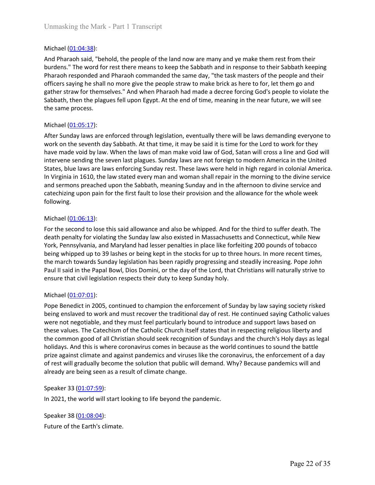Unmasking the Mark - Part 1 Transcript<br>
Michael (01:04:38):<br>
And Pharaoh said, "behold, the people of the land now are many and ye make the<br>
burdens." The word for rest there means to keep the Sabbath and in response to t<br> Unmasking the Mark - Part 1 Transcript<br>Michael (<u>01:04:38)</u>:<br>And Pharaoh said, "behold, the people of the land now are many and ye make them rest from their<br>burdens." The word for rest there means to keep the Sabbath and i Unmasking the Mark - Part 1 Transcript<br>Michael (<u>01:04:38)</u>:<br>And Pharaoh said, "behold, the people of the land now are many and ye make them rest from their<br>burdens." The word for rest there means to keep the Sabbath and i Unmasking the Mark - Part 1 Transcript<br>Michael (<u>01:04:38</u>):<br>And Pharaoh said, "behold, the people of the land now are many and ye make them rest from their<br>burdens." The word for rest there means to keep the Sabbath and i Unmasking the Mark - Part 1 Transcript<br>
Michael (<u>01:04:38</u>):<br>
And Pharaoh said, "behold, the people of the land now are many and ye make them rest from their<br>
burdens." The word for rest there means to keep the Sabbath an Unmasking the Mark - Part 1 Transcript<br>And Pharaoh said, "behold, the people of the land now are many and ye make them rest from their<br>And Pharaoh said, "behold, the people of the land now are many and ye make them rest fr Unmasking the Mark - Part 1 Transcript<br>
And Pharaoh said, "behold, the people of the land now are many and ye make them rest from their<br>
burdens: "The word for rest there means to keep the Sabbath and in response to their Unmasking the Mark - Part 1 Transcript<br>
Michael (<u>01:04:38</u>):<br>
And Pharaoh said, "behold, the people of the land now are many and ye make then<br>
burdens." The word for rest there means to keep the Sabbath and in response to Unmasking the Mark - Part 1 Transcript<br>
Michael (<u>01:04:38</u>):<br>
And Pharaoh said, "behold, the people of the land now are many and ye make the<br>
burdens." The word for rest there means to keep the Sabbath and in response to<br> Unmasking the Mark - Part I Transcript<br>
And Pharaoh said, "behold, the people of the land now are many and ye make them rest from their<br>
burdens." The word for rest three means to keep the Sabbath and in response to their

Unmasking the Mark - Part 1 Transcript<br>
Michael (<u>01:04:38)</u>:<br>
And Pharaoh said, "behold, the people of the land now are many and ye make them rest from their<br>
burdens." The word for rest there means to keep the Sabbath an Unmasking the Mark - Part 1 Transcript<br>
And Pharaoh said, "behold, the people of the land now are many and ye make them rest from their<br>
burdens." The word for rest there means to keep the Sabbath and in response to their Unmasking the Mark - Part 1 Transcript<br>
And Pharaoh said, "behold, the people of the land now are many and ye make them rest from their<br>
hordens." The word for rest there means to keep the Sabbath and in response to their Unmasking the Mark - Part 1 Transcript<br>
And Pharaoh said, "behold, the people of the land now are many and ye make them rest from their<br>
burdens." The word for rest there means to keep the Sabbath and in response to their Unmasking the Mark - Part 1 Transcript<br>
Michael (<u>01:04:38</u>):<br>
And Pharaoh said, "behold, the people of the land now are many and ye make them rest from their<br>
burdens." The word for rest there means to keep the Sabbath an Michael (<u>01:04:38</u>):<br>And Pharaoh said, "behold, the people of the land now are many and ye make them rest from their<br>burdens." The word for rest there means to keep the Sabbath and in response to their Sabbath keeping<br>Ph Michael (<u>01:04:38</u>):<br>And Pharaoh said, "behold, the people of the land now are many and ye make them rest from their<br>burdens." The word for rest there means to keep the Sabbath and in response to their Sabbath keeping<br>Pha following. burdens." The word for rest there means to keep the Sabbath and in response to tharaaoh responded and Pharaaoh commanded the same day, "the task masters of offerers saying he shall no more give the people straw to make bri Praraon responde and Praraon commandeo the saine day, the task masters of the people and the reflecters saying he shall no more give the people straw to make brick as here to for, let them go and gather straw for themselve omcers saying ne snail no more give the people straw to make onck as a fere to for, let them go and<br>gather straw for themselves." And when Pharaoh had made a decree forcing God's people to violate the<br>Sabbath, then the pla ganner straw for theresteres. "And when Pharanon nad made a decree forcing Goos s people to volate the<br>Sabbath, then the plagues fell upon Egypt. At the end of time, meaning in the near future, we will see<br>the same process saloatin, men the pagues tell upon Egypt. At the end of time, meaning in the hear tuttine, we will see<br>Michael (01:05:17):<br>Michael (01:05:17):<br>After Sunday laws are enforced through legislation, eventually there will be la the same process.<br>
Michael (<u>01:05:1</u>7):<br>
After Sunday laws are enforced through legislation, eventually there will be laws demanding everyone to<br>
After Sunday laws are enforced through legislation, eventually there will b Michael (<u>01:05:17</u>):<br>After Sunday Jaws are enforced through legislation, eventually there will be laws demanding everyone to<br>work on the seventh day Sabbath. At that time, it may be said it is time for the Lord to work fo Michael (<u>U130-13</u>):<br>Memondy havs are enforced through legislation, eventually there will be laws demanding everyone to<br>shork on the seventh day Sabbath. At that time, it may be said it is time for the Lord to work for the work on the seventh day Sabbath. At that time, it may be said it is time for the Lor<br>have made void by law. When the laws of man make void law of God, Satan will cr<br>intervene sending the seven last plagues. Sunday laws are

maye made votio by law. Wren the laws of man make votia law of coo, satan will cross a line and oo will cross<br>intervene sending the seven last plagues. Sunday laws are not foreign to modern America in the United<br>States, bl

Intervene senaing in seven last pagges. Sunday iaws are to troregin to modern American in the United States, blue laws are laws enforcing Sunday rest. These laws were held in high regard in colonial America.<br>In Virginia in states, bule laws are laws are not may encorrely sunday rest. I nese laws were near in ingingegar in colonial America.<br>In Virginia in 1610, the law stated every man and woman shall repair in the morning to the divine servi in virginal in LaDU, the law stated every man and woman snail repair in the morning to the dominal end the and<br>and sermons preached upon the Sabbath, meaning Sunday and in the afternoon to divine service and<br>catechizing up and sermons preached up the resaboath, meaning sunday and in the arternoon to dutine service and<br>following.<br>Michael (01:06:13):<br>Michael (01:06:13):<br>Michael (01:06:13):<br>Michael (01:06:13):<br>Michael (01:06:13):<br>Michael (01:06 calcriting upon pain tor the inst tault to lose their provision and the allowance for the whole week<br>following.<br>For the second to lose this said allowance and also be whipped. And for the third to suffer death. The<br>death p rollowing.<br>
Michael (0<u>1-06:13</u>):<br>
Michael (01-06:13):<br>
For the second to lose this said allowance and also be whipped. And for the third to suffer death. The<br>
death penalty for violating the Sunday law also existed in Mas Michael (<u>01:06:13</u>):<br>For the second to lose this said allowance and also be whipped. And for the third to suffer death. The<br>death penalty for violating the Sunday law also existed in Massachusetts and Connecticut, while N Michiael (01306131);<br>For the second to lose this said allowance and also be whipped. And for the third to suffer death. The<br>death penalty for violating the Sunday law also existed in Massachusetts and Connecticut, while Ne death penalty for violating the Sunday law also existed in Massachusetts and Connector, Pennsylvania, and Maryland had lesser penalties in place like forfeiting 200 pour<br>being whipped up to 39 lashes or being kept in the s rors, remnsyivania, and margusin mad resser penatres in pare lues to rore threm a pop on the beyond the pandemic proportions or to conscor-<br>being whipped up to 39 lashes or being leapt in the stocks for up to three hours. The march cowards suntagy legislation mas oeen rappiny progressing and steadily increased parall II said in the Papal Bowl, Dios Domini, or the day of the Lord, that Christians will Paul II said in the Papal Bowl, Dios Dom ensure that civil legislation respects their duty to keep Sunday holy.<br>
Michael (01:07:01):<br>
Pope Benedict in 2005, continued to champion the enforcement of Sunday by law saying socie<br>
being enslaved to work and must recov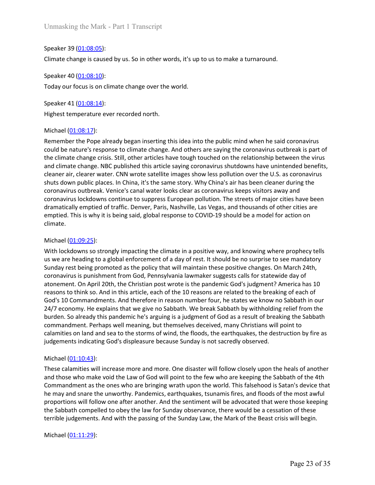Unmasking the Mark - Part 1 Transcript<br>Speaker 39 <u>(01:08:05</u>):<br>Climate change is caused by us. So in other words, it's up to us to make a turnaround<br>Speaker 40 <u>(01:08:10</u>):<br>Today our focus is on climate change over the w Unmasking the Mark - Part 1 Transcript<br>Speaker 39 <u>(01:08:05)</u>:<br>Climate change is caused by us. So in other words, it's up to us to make a turnaround.<br>Speaker 40 (<u>01:08:10</u>):<br>Today our focus is on climate change over the Unmasking the Mark - Part 1 Transcript<br>Speaker 39 <u>(01:08:05):</u><br>Climate change is caused by us. So in other words, it's up to us to make a turnaround<br>Speaker 40 <u>(01:08:10):</u><br>Today our focus is on climate change over the w Unmasking the Mark - Part 1 Transcript<br>Speaker 39 (<u>01:08:05</u>):<br>Climate change is caused by us. So in other words, it's up to us to make a turnaround.<br>Speaker 40 (<u>01:08:10)</u>:<br>Today our focus is on climate change over the

Unmasking the Mark - Part 1 Transcript<br>
Speaker 39 <u>(01:08:05</u>):<br>
Climate change is caused by us. So in other words, it's up to us to make a turnaround<br>
Speaker 40 <u>(01:08:10)</u>:<br>
Today our focus is on climate change over t Unmasking the Mark - Part 1 Transcript<br>Speaker 39 <u>(01:08:05</u>):<br>Climate change is caused by us. So in other words, it's up to us to make a turnaround.<br>Speaker 40 <u>(01:08:10):</u><br>Today our focus is on climate change over the Unmasking the Mark - Part 1 Transcript<br>
Speaker 39 <u>(01:08:05)</u>:<br>
Climate change is caused by us. So in other words, it's up to us to make a turnarou<br>
Speaker 40 (<u>01:08:10)</u>:<br>
Today our focus is on climate change over th Unmasking the Mark - Part 1 Transcript<br>Speaker 39 <u>(01:08:05)</u>:<br>Climate change is caused by us. So in other words, it's up to us to make a turnaround.<br>Speaker 40 <u>(01:08:10)</u>:<br>Speaker 41 <u>(01:08:14</u>):<br>Kighest temperature e Unmasking the Mark - Part 1 Transcript<br>Speaker 39 <u>(01-08:05)</u>:<br>Climate change is caused by us. So in other words, it's up to us to make a turnaround.<br>Speaker 40 <u>(01-08:14)</u>:<br>Deday our focus is on climate change over the Unmasking the Mark - Part 1 Transcript<br>Speaker 40 <u>(01:08:05);</u><br>Climate change is caused by us. So in other words, it's up to us to make a turnaround.<br>Speaker 40 (<u>01:08:10);</u><br>Speaker 41 <u>(01:08:14);</u><br>Highest temperature e Unmasking the Mark - Part 1 Transcript<br>
Speaker 39 <u>(01-08-05)</u>:<br>
Climate change is caused by us. So in other words, it's up to us to make a turnaround.<br>
Speaker 40 <u>(01-08-14)</u>:<br>
Today our focus is on climate change over Unmasking the Mark - Part 1 Transcript<br>Speaker 49 (0<u>1:08:05</u>):<br>Simate change is caused by us. So in other words, it's up to us to make a turnaround.<br>Speaker 40 (<u>01:08:14)</u>:<br>Today our focus is on climate change over the w Speaker 39 (0<u>1:08:05</u>):<br>Sheaker 40 (01:08:05):<br>Sheaker 40 (01:08:10):<br>Speaker 40 (01:08:10):<br>Today our focus is on climate change over the world.<br>Speaker 41 (01:08:14):<br>Highest temperature ever recorded north.<br>Michael (01 Speaker 39 (<u>01:08:05)</u>:<br>Climate change is caused by us. So in other words, it's up to us to make a turnaround.<br>Speaker 40 (<u>01:08:14)</u>:<br>Today our focus is on climate change over the world.<br>Speaker 41 (<u>01:08:14)</u>:<br>Highest Speaker 39 <u>(01:08:05):</u><br>
Speaker 40 <u>(01:08:10)</u>:<br>
Speaker 40 (<u>01:08:10)</u>:<br>
Today our focus is on climate change over the world.<br>
Speaker 41 (<u>01:08:14)</u>:<br>
Highest temperature ever recorded north.<br>
Richael (<u>01:08:17</u>):<br> Climate change is caused by us. So in other words, it's up to us to make a turnaround.<br>
Speaker 40 (<u>01:08:1</u>2):<br>
Today our focus is on climate change over the world.<br>
Speaker 41 (0<u>1:08:1</u>4):<br>
Highest temperature ever rec Speaker 40 (<u>01-08:10</u>).<br>
Speaker 40 (<u>01-08:10</u>):<br>
Speaker 41 (<u>01-08:14</u>):<br>
Fighetst temperature ever recorded north.<br>
Michael (<u>01-08:14</u>):<br>
Michael (0<u>1-08:14</u>):<br>
Michael (01<u>-08:14</u>):<br>
Could be nature's response to c climate. Totaly our locus is on climate cnange over the world.<br>
Speaker 41 (01:08:14):<br>
Highest temperature ever recorded north.<br>
Michael (01:08:17):<br>
Michael (01:08:17):<br>
Michael (01:08:17):<br>
Michael (01:08:17):<br>
Michael (01:08:17 Speaker 41 <u>(01:08:14)</u>:<br>Highest temperature ever recorded north.<br>Michael <u>(01:08:17</u>):<br>Remember the Pope already began inserting this idea into the public mind when he said coronavirus<br>could be neture's response to climat **Highest temperature** ever recorded north.<br>
Michael (01:08:17):<br>
Remember the Pope already began inserting this idea into the public mind when he said coronavirus<br>
could be nature's response to climate change. And others rignest temperature ever recoroea norm.<br>
Michael (<u>01:08:17</u>):<br>
Rienember the Pope already began inserting this idea into the public mind when he said coronavirus<br>
coculd be nature's response to climate change. And others Michael (0<u>1-08:1</u>7):<br>Remember the Pope already began inserting this idea into the public mind when he said coronavirus<br>could be nature's response to climate change. And others are asying the coronavirus outbreak is part o Michael (<u>U1985</u>:1):<br>Remember the Pope already began inserting this idea into the public mind when he said coronavirus<br>could be nature's response to climate change. And others are saying the coronavirus outbreak is part of

Remember the Pope already began inserting this idea into the public mind when he said coronavirus outlocavirus<br>could be nature's response to climate change. And others are saying the coronavirus outloceak is part of<br>the cl could be nature's response to climate change. And others are saying the coronavirus outbreak is part of<br>the dimate change crisis. Still, other articles have tought ouched on the relationship between the virus<br>cleaner air, the climate change crisis. Still, other articles have tough touched on the relationship between the virus<br>cleaner air, cleaner water. CNN wrote satellite images show less pollution over the U.S. as coronavirus<br>cleaner air, and climate change. NBC published this article saying coronavirus shutdowns have unintended beneficial<br>shuts down public places. In China, it's the same story. Why China's air has been cleaner during the<br>shuts down public cleaner air, clearer water. CMN wrote satellitte images show less pollution over the U.S. as coronavius<br>shorts down public places. In China, it's the same story. Why China's air has been clearer during the<br>coronavius outdr shuts down public places. In China, it's the same story. Why China's air has been cleaner during the<br>coronavirus uotdreak. Venice's canal water looks clear as coronavirus sleeps visitors away and<br>coronavirus lockdowns cont coronavirus usutreak. Venice's canal water looks clear as coronavirus keeps visitors away and<br>coronavirus lockdowns continue to suppress European pollution. The streets of major cities have<br>dramatically emptied of traffic. dramatically emptied of traffic. Denver, Paris, Nashville, Las Vegas, and thousands<br>emptied. This is why it is being said, global response to COVID-19 should be a mod<br>climate.<br>Michael (<u>01:09:25</u>):<br>With lockdowns so strong effinence. Tins is winy it is being said, giodariesponse to COVID-19 should be a model for action on<br>
Michael (01:09:25):<br>
With lockdowns so strongly impacting the climate in a positive way, and knowing where prophecy tell culmate.<br>
With lockdowns so strongly impacting the climate in a positive way, and knowing where prophecy tells<br>
sus we are heading to a global enforcement of a day of rest. It should be no surprise to see mandatory<br>
Sunday Michael (01:09:25):<br>With lockdowns so strongly impacting the climate in a positive way, and knowing where prophecy tells<br>using we are heading to a global enforcement of a day of rest. It should be no surprise to see mandat Michael (<u>U130%</u>23)<br>Michiockdowns so strongly impacting the climate in a positive way, and knowing where prophecy tells<br>sus we are heading to a global enforcement of a day of rest. It should be no surprise to see mandatory With lockdowns so strongly impacting the climate in a positive way, and knowing where prophecy tells<br>Sunday reserved anong to a global enforcement of a day of rest. It should be hoo supprise to see mandatory<br>Sunday rest b us we are heading to a global enforcement of a day of rest. It should be no supprise to see mandatory<br>Sunday rest being promoted as the policy that will maintain these positive changes. On March 24th,<br>coronavirus is punish Sunday reist being promoted as the policy that will maintain these positive changes. On March 24th, conconvertus is punishment from God, Pennsylvanial aiwmaker suggests calls for statewide day of about memeric. On April 2 atonement. On April 20th, the Christian post wrote is the pandemic God's judgme<br>reasons to think so. And in this article, each of the 10 reasons are related to the bro<br>God's 10 Commandments. And therefore in reason number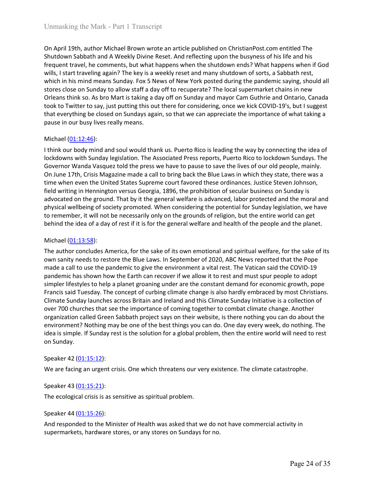Unmasking the Mark - Part 1 Transcript<br>On April 19th, author Michael Brown wrote an article published on ChristianPost.com entitled The<br>Shutdown Sabbath and A Weekly Divine Reset. And reflecting upon the busyness of his li Unmasking the Mark - Part 1 Transcript<br>On April 19th, author Michael Brown wrote an article published on ChristianPost.com entitled The<br>Shutdown Sabbath and A Weekly Divine Reset. And reflecting upon the busyness of his li Unmasking the Mark - Part 1 Transcript<br>On April 19th, author Michael Brown wrote an article published on ChristianPost.com entitled The<br>Shutdown Sabbath and A Weekly Divine Reset. And reflecting upon the busyness of his li Unmasking the Mark - Part 1 Transcript<br>On April 19th, author Michael Brown wrote an article published on ChristianPost.com entitled The<br>Shutdown Sabbath and A Weekly Divine Reset. And reflecting upon the busyness of his li Unmasking the Mark - Part 1 Transcript<br>On April 19th, author Michael Brown wrote an article published on ChristianPost.com entitled The<br>Shutdown Sabbath and A Weekly Divine Reset. And reflecting upon the busyness of his li Unmasking the Mark - Part 1 Transcript<br>On April 19th, author Michael Brown wrote an article published on ChristianPost.com entitled The<br>Shutdown Sabbath and A Weekly Divine Reset. And reflecting upon the busyness of his li Unmasking the Mark - Part 1 Transcript<br>
On April 19th, author Michael Brown wrote an article published on ChristianPost.com entitled The<br>
Shrutdown Sabbath and A Weekly Divine Reset. And reflecting upon the buy mess of his Unmasking the Mark - Part 1 Transcript<br>On April 19th, author Michael Brown wrote an article published on ChristianPost.com entitled The<br>Shutdown Sabbath and A Weekly Divine Reset. And reflecting upon the busyness of his li Unmasking the Mark - Part 1 Transcript<br>
On April 19th, author Michael Brown wrote an article published on ChristianPost.com entitled The<br>
Shutdown Sabbath and A Weekly Divine Reset. And reflecting upon the busyness of his Unmasking the Mark - Part 1 Transcript<br>
On April 19th, author Michael Brown wrote an article published on ChristianPost.com entitled The<br>
Shutdown Sabbath and A Weekly Divine Reset. And reflecting upon the busyness of his Unmasking the Mark - Part 1 Transcript<br>
On April 19th, author Michael Brown wrote an article published on ChristianPost.c<br>
Shutdown Sabbath and A Weekly Divine Reset. And reflecting upon the busyness of<br>
frequent travel, h Unmasking the Mark - Part 1 Transcript<br>
On April 19th, author Michael Brown wrote an article published on ChristianPost.com entitled The<br>
Shutdown Sabbath and A Weekly Divine Reset. And reflecting upon the busyness of his Unmasking the Mark - Part 1 Transcript<br>
On April 19th, author Michael Brown wrote an article published on ChristianPost.com entitled The<br>
Shutdown Sabach and A Weekly Divine Reset. And reflecting upon the busyness of his l Unmasking the Mark - Part 1 Transcript<br>
On April 19th, author Michael Brown wrote an article published on ChristianPost.com entitled The<br>
Shutdown Sabbath and A Weekly Divine Reset. And reflecting upon the busyness of his Unmasking the Mark - Part 1 Transcript<br>
On April 19th, author Michael Brown wrote an article published on ChristianPost.com entitled The<br>
Shutdown Sabbath and A Weekly Divine Reset. And reflecting upon the busyness of his On April 19th, author Michael Brown wrote an article published on ChristianPost.com entitled The Shutdown Sabbath and A Weekly phoine Reset. And reflecting upon the busyness of his life and his Shutdown Sabbath and A Week On April 19th, author Michael Brown wrote an article published on ChristianPost.com entitled The Shutdown Sabbath and A Weekly Divine Reset. And reflecting upon the busyness of his life and his frequent travel, be comments On April 19th, author Michael Brown wrote an article published on ChristianPost.com entitled The Shutdown Sabbath and A Weekly Divine Reset. And reflecting upon the buysvess of his life and his Shutdown Sabbath and A Weekl

Shutdown Sabbath and A Weekly Divine Reset. And reflecting upon the busyness of his life and his<br>frequent travel, he comments, but what happens when the shutdown ends? Vinta happens when if God<br>evills, I start traveling ag frequent travel, he comments, but what happens when the shutdown ends? What happens when if food<br>wills, I start traveling again? The key is a weekly reset and many shutdown of sorts, a Sabbath rest,<br>which in his mind means wills, I start travelieing again? The key is a weekly reste that dmany shutdown of sonts, a Sabbath rest,<br>which in his mind means Sunday, Fox 5 News of New York posted during the pandemic saying, should all<br>stores close on stores close on Sunday to allow staff a day off to recuperate? The local supermark<br>ordeans think so. As bro Mart is taking a day off no Sunday and mayor Cam Guthritotok to Twitter to say, just putting this ucut there for c Oreans finns to. As oro wart is taking a day or non Sunady an mayor came unitive and Ontario, Canada<br>took to Twitter to say, just putting this out there for considering, once we kick COVID-19's, but I suggest<br>that everythi too we to rewrite to say, just purting this out treere for considering, once we kick COVID-19 s, out i suggest<br>that everything be closed on Sundays again, so that we can appreciate the importance of what taking a<br>pause in that everything be cosed on sundays again, so tract we can appreciate the importance or what taking a<br>pause in our busty lives really means.<br>
Michael (01:12:46):<br>
If think our body mind and soul would thank us. Puerto Rico pause in our busy lives reality means.<br>
Michael (<u>01:12:46</u>):<br>
think our body mind and soul would thank us. Puerto Rico is leading the way by connecting the idea of<br>
thockdowns with Sunday legislation. The Associated Press

Michael (<u>01:12:48)</u>:<br>
I think our body mind and soul would thank us. Puerto Rico is leading the way by connecting the idea of<br>
fockdowns with Sunday legislation. The Associated Press reports, Puerto Rico to lockdown Sunda Michael (<u>U1:13:49</u>):<br>Think our body mind and soul would thank us. Puerto Rico is leading the way by connecting the idea of<br>lockdowns with Sunday legislation. The Associated Press reports, Puerto Rico to lockdown Sundays. I think our body mind and soul would thank us. Puerto Rico is leading the way by connecting the idea of lockdowns with Sunday legislation. The Associated Press reports, Puerto Rico to lockdown Sunday. The Governor Wanda Va dockdowns with Sunday legislation. The Associated Press reports, Puerto Ricot to lockdown Sunday. The<br>Governor Wanda Vasquez told the press we have to pause to save the lives of our old people, maily,<br>On June 17th, Crisis Greentor Wanda Vasquez told the press we have to pause to save the lives of our old people, mainly. Crisis Magazine made a call to bring back the Blue Laws in which they state. there was a time when even the United States On lune 17th, Crisis Magazine made a call to bring back the Blue Laws in which they state, there was a one of the parametering the control or the system in Hennington versus Georgia, 1896, the prohibition of secular busine time when event the United States Supreme court favored these ordinances. Justice Steven Johnson, and<br>divariating in Hennington versus Georgia, 1896, the forehibition of secular business on Sunday is<br>advocated on the groun field writing in Hennington versus Georgia, 1896, the prohibition of secular b<br>advocated on the ground. That by it the general welfare is advanced, labor p<br>physical wellbeing of society promoted. When considering the poten physical wellbeing of society promoted. When considering the potential for Sunday le<br>to remember, it will not be necessarily only on the grounds of religion, but the entire<br>to remember, it will not be necessarily only on t to remement; It wull not to necessarily only on the grounds of religion, but the entire world can get<br>to helind the idea of a day of rest if it is for the general welfare and health of the people and the planet.<br>Michael (0 Michael (0<u>1:13:58)</u>:<br>The author concludes America, for the sake of its own emotional and spiritual welfare<br>own sanity needs to restore the Blue Laws. In September of 2020, ABC News reportee<br>made a call to use the pandemi I'he author concludes America, for the sake of its own emotional and spiritual welfare, for the sake of its own sanity needs to restore the Blue Laws. In September of 2020, ABC News reported that the Pope<br>made a call to u own sanny neuts to restore the but Laws. In september of 2020, New text the parameter and those the pandemic has shown how the Earth can recover if we allow it to rest and must spir pandemic has shown how the Earth can rec pandemic has shown how the Earth can recover if we allow it to rest and must spur people to adopt<br>pandemic has shown how the Earth can recover if we allow it to rest and must spur people to adopt<br>Francis said Tuesday. The simpler lifestyles to help a planet groaning under are the constant demand for economic growth, poperations is and Tuesday. The concept of curbing climate Sunday is metally constant demand in economic growth, poperations i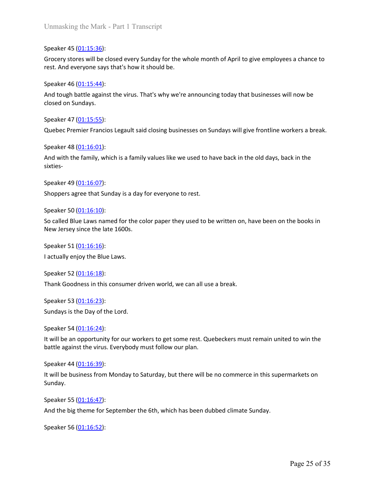Unmasking the Mark - Part 1 Transcript<br>
Speaker 45 (01:15:36):<br>
Grocery stores will be closed every Sunday for the whole month of April to give emple<br>
rest. And everyone says that's how it should be.<br>
Speaker 46 (01:15:44) Unmasking the Mark - Part 1 Transcript<br>Speaker 45 (<u>01:15:36)</u>:<br>Grocery stores will be closed every Sunday for the whole month of April to give employees a chance to<br>rest. And everyone says that's how it should be.<br>Speaker Unmasking the Mark - Part 1 Transcript<br>Speaker 45 <u>(01:15:36)</u>:<br>Grocery stores will be closed every Sunday for the whole month of April to give employees a chance to<br>rest. And everyone says that's how it should be.<br>Speaker Unmasking the Mark - Part 1 Transcript<br>Speaker 45 <u>(01:15:36)</u>:<br>Grocery stores will be closed every Sunday for the whole month of April to give emple<br>rest. And everyone says that's how it should be.<br>Speaker 46 <u>(01:15:44):</u> Unmasking the Mark - Part 1 Transcript<br>Speaker 45 (<u>01:15:36</u>):<br>Grocery stores will be closed every Sunday for the whole month of April to give employees a chance to<br>erst. And everyone says that's how it should be.<br>Speaker Unmasking the Mark - Part 1 Transcript<br>Speaker 45 <u>(01:15:36)</u>:<br>Grocery stores will be closed every Sunday for the whole month of April to give emperst. And everyone says that's how it should be.<br>Speaker 46 <u>(01:15:44</u>):<br>A Unmasking the Mark - Part 1 Transcript<br>Speaker 45 <u>(01:15:36):</u><br>Grocery stores will be closed every Sunday for the whole month of April to give emplerest. And everyone says that's how it should be.<br>Speaker 46 (<u>01:15:44):</u> Unmasking the Mark - Part 1 Transcript<br>Speaker 45 <u>(01:15:36):</u><br>Grocery stores will be closed every Sunday for the whole month of April to give employees a chance to<br>rest. And everyone says that's how it should be.<br>Speaker Unmasking the Mark - Part 1 Transcript<br>Speaker 45 (01:15:36):<br>Grocery stores will be closed every Sunday for the whole month of April to give emplerent. And everyone says that's how it should be.<br>Speaker 46 (01:15:44):<br>And Unmasking the Mark - Part 1 Transcript<br>Speaker 45 <u>(01:15:36)</u>:<br>Grocery stores will be closed every Sunday for the whole month of April to give employees a chance to<br>rest. And everyone says that's how it should be.<br>Speaker Speaker 45 (<u>01:15:36</u>):<br>
Speaker 45 (<u>01:15:36</u>):<br>
Grocery stores will be closed every Sunday for the whole month of April to give emplerest. And everyone says that's how it should be.<br>
Speaker 46 (<u>01:15:44)</u>:<br>
And tough Speaker 45 <u>(01:15:36)</u>:<br>Grocery stores will be closed every Sunday for the whole month of April to give employees a chance to<br>rest. And everyone says that's how it should be.<br>Speaker 46 <u>(01:15:44</u>):<br>And tough battle agai

Grocery stores will be closed every Sunday for the whole month of April to give emple<br>rest. And everyone says that's how it should be.<br>Speaker 46 (<u>01:15:44</u>):<br>And tough battle against the virus. That's why we're announcin Speaker 46 <u>(01:15:44)</u>:<br>
And tough battle against the virus. That's why we're announcing today that businesses will now be<br>
closed on Sundays.<br>
Speaker 47 <u>(01:15:55)</u>:<br>
Quebec Premier Francios Legault said closing busine

sixties-And tough battle against the virus. That's why we're announcing today that businesse<br>closed on Sundays.<br>Speaker 47 (<u>01:15:55)</u>:<br>Quebec Premier Francios Legault said closing businesses on Sundays will give frontlin<br>Speaker closed on sundays.<br>
Speaker 47 (<u>01:15:55)</u>:<br>
Quebec Premier Francios Legault said closing businesses on Sundays will give frontline workers a l<br>
Speaker 48 (<u>01:16:01)</u>:<br>
And with the family, which is a family values like speaker 47 (<u>01:15:55)</u>:<br>
Quebec Premier Francios Legault said closing businesses on Sundays will give frontlin<br>
Speaker 48 (0<u>1:16:01)</u>:<br>
And with the family, which is a family values like we used to have back in the old speaker 48 (0<u>1:16:01)</u>:<br>
Speaker 48 (0<u>1:16:07</u>):<br>
Speaker 49 (0<u>1:16:07)</u>:<br>
Speaker 49 (0<u>1:16:07)</u>:<br>
Shoppers agree that Sunday is a day for everyone to rest.<br>
Speaker 50 (0<u>1:16:10)</u>:<br>
So called Blue Laws named for the

rest. And everyone says that s now it should be.<br>Speaker 46 (<u>01:15:44</u>):<br>And tough battle against the virus. That's why we're announcing today that businesses will now be<br>Aloed an Sundays.<br>Speaker 47 (01:15:55):<br>Quebec Pr Quebec Premier Francios Legauit said closing businesses on sundays will give frontine workers a break.<br>Speaker 48 <u>(01:16:01)</u>:<br>And with the family, which is a family values like we used to have back in the old days, back And with the family, which is a family values like we used to have back in the old days, back in the<br>sixties-<br>Speaker 49 (<u>01:16:07)</u>:<br>Shoppers agree that Sunday is a day for everyone to rest.<br>Speaker 50 (<u>01:16:10):</u><br>Shop Speaker 49 (<u>01:16:07</u>):<br>Shoppers agree that Sunday is a day for everyone to rest.<br>Speaker 50 (<u>01:16:10</u>):<br>Speaker 50 (<u>01:16:10)</u>:<br>New Jersey since the late 1600s.<br>New Jersey since the late 1600s.<br>Speaker 51 (<u>01:16:16):</u> Speaker 50 (<u>01:16:10</u>):<br>Speaker 50 (<u>01:16:10)</u>:<br>New Jersey since the late 1600s.<br>New Jersey since the late 1600s.<br>Speaker 51 <u>(01:16:16):</u><br>Speaker 52 (<u>01:16:18):</u><br>Thank Goodness in this consumer driven world, we can all

Findependent Shoppers agree that Sunday is a day for everyone to rest.<br>
Speaker 50 <u>(01:16:10)</u>:<br>
So called Blue Laws named for the color paper they used to be written on, have been on the books in<br>
New Jersey since the la Shoppers agree that Sunday is a day for everyone to rest.<br>Speaker 50 (<u>01:16:10</u>):<br>Speaker 50 (<u>01:16:10</u>):<br>New Jersey since the late 1600s.<br>Speaker 51 <u>(01:16:16):</u><br>Jackaker 52 (<u>01:16:18)</u>:<br>Jackaker 52 (<u>01:16:18)</u>:<br>Spea So canea bule Laws hamed Tof the Color paper they used to be written on, have been on the books in<br>New Jersey since the late 1600s.<br>Speaker 51 <u>(01:16:16):</u><br>Jacklauly enjoy the Blue Laws.<br>Speaker 52 <u>(01:16:18):</u><br>Speaker 5 speaker S1 (<u>01:16:18)</u>:<br>
Speaker S2 (<u>01:16:18</u>):<br>
Speaker 52 (<u>01:16:18</u>):<br>
Thank Goodness in this consumer driven world, we can all use a break.<br>
Speaker 53 (<u>01:16:24):</u><br>
Sundays is the Day of the Lord.<br>
Speaker 54 (<u>0</u> Factually enjoy the bitle Eaws.<br>
Speaker 52 (<u>01:16:18)</u>:<br>
Speaker 53 (<u>01:16:23</u>):<br>
Sundays is the Day of the Lord.<br>
Speaker 54 (<u>01:16:24</u>):<br>
Sundays is the Day of the Lord.<br>
Speaker 54 (<u>01:16:34</u>):<br>
Speaker 44 (<u>01:16:</u> speaker 52 <u>(01:16:18)</u>:<br>Thank Goodness in this consumer driven world, we can all use a break.<br>Speaker 53 <u>(01:16:23)</u>:<br>Sundays is the Day of the Lord.<br>Speaker 54 (<u>01:16:24</u>):<br>It will be an opportunity for our workers to

Sunday.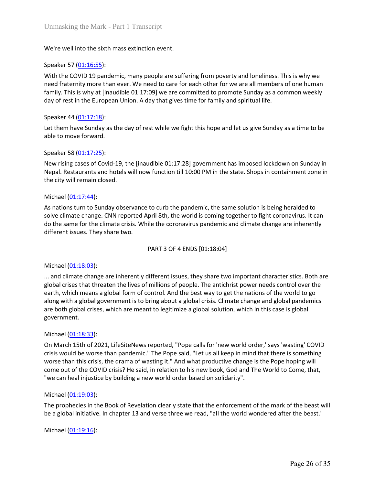Unmasking the Mark - Part 1 Transcript<br>We're well into the sixth mass extinction event.<br>Speaker 57 (<u>01:16:55</u>):<br>with the COVID 19 pandemic, many people are suffering from poverty and loneliness. This is why we<br>need frater Unmasking the Mark - Part 1 Transcript<br>We're well into the sixth mass extinction event.<br>Speaker 57 <u>(01:16:55)</u>:<br>With the COVID 19 pandemic, many people are suffering from poverty and loneliness<br>need fraternity more than e Unmasking the Mark - Part 1 Transcript<br>We're well into the sixth mass extinction event.<br>Speaker 57 (<u>01:16:55):</u><br>With the COVID 19 pandemic, many people are suffering from poverty and loneliness. This is why we<br>need frater Unmasking the Mark - Part 1 Transcript<br>We're well into the sixth mass extinction event.<br>Speaker 57 <u>(01:16:55):</u><br>With the COVID 19 pandemic, many people are suffering from poverty and loneliness. This is why we<br>need frater Unmasking the Mark - Part 1 Transcript<br>We're well into the sixth mass extinction event.<br>Speaker 57 (<u>01:16:55)</u>:<br>With the COVID 19 pandemic, many people are suffering from poverty and loneliness. This is why we<br>need frater Unmasking the Mark - Part 1 Transcript<br>We're well into the sixth mass extinction event.<br>Speaker 57 (<u>01:16:55</u>):<br>With the COVID 19 pandemic, many people are suffering from poverty and loneliness. This is why we<br>need frater Unmasking the Mark - Part 1 Transcript<br>We're well into the sixth mass extinction event.<br>Speaker 57 (<u>01:16:55):</u><br>With the COVID 19 pandemic, many people are suffering from poverty and loneliness<br>need fraternity more than Unmasking the Mark - Part 1 Transcript<br>Speaker 57 <u>(01:16:55)</u>:<br>We're well into the exith mass extinction event.<br>We with the COVID 19 pandemic, many people are suffering from poverty and loneliness. This is why we<br>need fra Unmasking the Mark - Part 1 Transcript<br>We're well into the sixth mass extinction event.<br>Speaker 57 (<u>01:16:55)</u>:<br>With the COVID 19 pandemic, many people are suffering from poverty and loneliness.<br>Theed fraternity more than Unmasking the Mark - Part 1 Transcript<br>We're well into the sixth mass extinction event.<br>Speaker 57 (<u>01:16:55)</u>:<br>With the COVID 19 pandemic, many people are suffering from poverty and loneliness<br>family. This is why at [ina Unmasking the Mark - Part 1 Transcript<br>Speaker 57 (<u>01:16:55</u>):<br>Speaker 57 (<u>01:16:55</u>):<br>With the COVID 19 pandemic, many people are suffering from poverty and loneliness. This is why we<br>with the COVID 19 pandemic, many pe Unmasking the Mark - Part 1 Transcript<br>We're well into the sixth mass extinction event.<br>Speaker 57 (<u>01:16:55</u>):<br>With the COVID 19 pandemic, many people are suffering from poverty and lonelliness. This is why we<br>need fract Unmasking the Miark - Part 1 Transcript<br>
We're well into the sixth mass extinction event.<br>
Speaker 57 (<u>01:16:55)</u>:<br>
With the COVID 19 pandemic, many people are suffering from poverty and loneliness. This is<br>
need fraterni We're well into the sixth mass extinction event.<br>Speaker 57 (<u>01:16:55</u>):<br>With the COVID 19 pandemic, many people are suffering from poverty and lonelineed fratemity more than ever. We need to care for each other for we ar

Speaker 57 (01:16:55):<br>With the COVID 19 pandemic, many people are suffering from poverty and loneliness. This is why we<br>need fraternity more than ever. We need to care for each other for we are all members of one human<br>fa Speaker 57 (<u>01:16:55</u>):<br>
Speaker 57 (<u>01:16:55</u>):<br>
With the COVID 19 pandemic, many people are suffering from poverty and loneliness. This is why we<br>
meed fracternity more than ever. We need to care for each other for we With the COVID 19 pandemic, many people are suffering from poverty and loneliness. This is why we<br>need fractentity more than ever. We need to care for each otietr for we are all members of one human<br>family. This is why at need fraternity more than ever. We need to care for each other for we are all members of one human<br>family. This is why at [inaudible 01:17:09] we are committed to promote Sunday as a common weekly<br>day of rest in the Europe iay that gives time for family and spiritual life.<br>
Stat while we fight this hope and let us give Sunday as a time to be<br>
didible 01:17:28] government has imposed lockdown on Sunday in<br>
or function till 10:00 PM in the sta

Speaker 44 (<u>01:17:18)</u>:<br>
Let them have Sunday as the day of rest while we fight this hope and let us give Su<br>
able to move forward.<br>
Speaker 58 (<u>01:17:25)</u>:<br>
New rising cases of Covid-19, the [inaudible 01:17:28] governm Let them have Sunday as the day of rest while we fight this hope and let us give Sunday as a time to be<br>able to move forward.<br>Speaker  $S8$  (<u>01:17:25</u>):<br>New rising cases of Covid-19, the [inaudible 01:17:28] government has speaker 58 (<u>01:17:25</u>):<br>Speaker 58 (<u>01:17:25)</u>:<br>New rising cases of Covid-19, the [inaudible 01:17:28] government has imposed lockdown on Sunday in<br>Nepsi. Restaurants and notes will now function till 10:00 PM in the stat Speaker 58 (<u>01:17:25</u>):<br>New rising cases of Covid-19, the [inaudible 01:17:28] government has imposed lockdown on Sunday in<br>Nepal. Restaurants and hotels will now function till 10:00 PM in the state. Shops in containment Speaker 58 (0<u>1:17</u>:25):<br>New rising cases of Covid-19, the [inaudible 01:17:28] government has imposed lockdown on Sunday in<br>Nepal. Restaurants and hotels will now function till 10:00 PM in the state. Shops in containment From the state of the threated of the interaction of the state. Shops in containment zone in<br>New rising cases of Covid-19, the [inaudible 01:17:28] government has imposed lockdown on Sunday in<br>Nepal. Restaurants and hotels government. the city will remain closed.<br>
Michael ( $\underline{01:17:44}$ ):<br>
As nations turn to Sunday observance to curb the pandemic, the same solution is<br>
solve climate change. CNN reported April 8th, the world is coming together to figh Michael (<u>01:17:44)</u>:<br>As nations turn to Sunday observance to curb the pandemic, the same solution is being heralded to<br>Asyations turn to Sunday observance to curb the pandemic, the same solution is being heralded to<br>solve comment to Sunday observance to curb the pandemic, the same solution is being heralded to<br>solve climate change. CNN reported April 8th, the world is coming together to fight coronavirus. It can<br>do the same for the climate As nations turn to sunlary observance to curro the paratemet, the same solutions being netralied to the same for the climate change. CNN reported April 8th, the world is coming together to fight coronavirus. It can<br>obthe s solve timetar tinage. Cowi reported applinating the COVID crisis? The World of the Sainter Covid in the COVID crisis? They share two.<br>
The Covid of the Covid Crisis? They share two.<br>
PART 3 OF 4 ENDS [01:18:04]<br>
Michael (0 of the same of the current ends. While the Coronavirus pannemic and climate change are innerentity<br>
inferent issues. They share two.<br>
2011-18:03):<br>
2011-18:03):<br>
2011-18:03):<br>
2021-18:03:<br>
2021-18:05: The properties by the PART 3 OF 4 ENDS [01:18:04]<br>
... and climate change are inherently different issues, they share two important ch<br>
eglobal crises that threaten the lives of millions of people. The antichrist power nee<br>
earth, which means a Michael (<u>01:18:03</u>):<br>... and climate change are inherently different issues, they share two important characteristics. Both are<br>global crises that threaten the lives of millions of people. The antichrist power needs contr Michael <u>(01:18:03)</u>:<br>... and dimate change are inherently different issues, they share two important characteristics. Both are<br>global crises that three lives of millions of people. The antichrist power needs control over ... and cumtate crange are interesting unteret in sissues, they sharte two important cm<br>global crises that threaten the lives of millions of people. The antichrist power nee<br>earth, which means a global form of control. And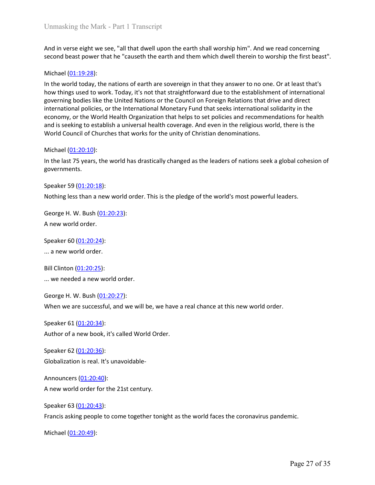Unmasking the Mark - Part 1 Transcript<br>And in verse eight we see, "all that dwell upon the earth shall worship him". And we read concerning<br>second beast power that he "causeth the earth and them which dwell therein to wors

Unmasking the Mark - Part 1 Transcript<br>And in verse eight we see, "all that dwell upon the earth shall worship him". And we read concerning<br>second beast power that he "causeth the earth and them which dwell therein to wors Unmasking the Mark - Part 1 Transcript<br>
And in verse eight we see, "all that dwell upon the earth shall worship him". And v<br>
second beast power that he "causeth the earth and them which dwell therein to v<br>
Michael (<u>01:19:</u> Unmasking the Mark - Part 1 Transcript<br>And in verse eight we see, "all that dwell upon the earth shall worship him". And we read concerning<br>second beast power that he "causeth the earth and them which dwell therein to wors Unmasking the Mark - Part 1 Transcript<br>And in verse eight we see, "all that dwell upon the earth shall worship him". And we read concerning<br>second beast power that he "causeth the earth and them which dwell therein to wors Unmasking the Mark - Part 1 Transcript<br>And in verse eight we see, "all that dwell upon the earth shall worship him". And we read concerning<br>second beast power that he "causeth the earth and them which dwell therein to wors Unmasking the Mark - Part 1 Transcript<br>And in verse eight we see, "all that dwell upon the earth shall worship him". And we read concerning<br>second beast power that he "causeth the earth and them which dwell therein to wors Unmasking the Mark - Part 1 Transcript<br>And in verse eight we see, "all that dwell upon the earth shall worship him". And we read concerning<br>second beast power that he "causeth the earth and them which dwell therein to wors Unmasking the Mark - Part 1 Transcript<br>And in verse eight we see, "all that dwell upon the earth shall worship him". And we read concerning<br>second beast power that he "causeth the earth and them which dwell therein to wors Unmasking the Mark - Part 1 Transcript<br>And in verse eight we see, "all that dwell upon the earth shall worship him". And we read concerning<br>second beast power that he "causeth the earth and them which dwell therein to wors Unmasking the Mark - Part 1 Transcript<br>
And in verse eight we see, "all that dwell upon the earth shall worship him". And v<br>
second beast power that he "causeth the earth and them which dwell therein to v<br>
Michael (0<u>1:19</u> Unmasking the Mark - Part 1 Transcript<br>And in verse eight we see, "all that dwell upon the earth shall worship him". And we read concerning<br>second beast power that he "causeth the earth and them which dwell therein to wors And in verse eight we see, "all that dwell upon the earth shall worship him". And we second beast power that he "causeth the earth and them which dwell therein to word Michael (01:19:28):<br>In the world today, the nations o And in verse eight we see, "all that dwell upon the earth shall worship him". And we read concerning<br>second beast power that he "causeth the earth and them which dwell therein to worship the first beast".<br>Michael (<u>01:19:2</u> Michael (0<u>1:19:28</u>):<br>In the world today, the nations of earth are sovereign in that they answer to no one. Or at lea<br>how things used to work. Today, it's not that straightforward due to the establishment of int<br>governing Michael (01:19:28):<br>
In the world today, it he rations of earth are sovereign in that they answer to no one. O<br>
how things used to work. Today, it's not that straightforward due to the establishment<br>
how things used to wo how things used to work. Today, it's not that straightforward due to the establishmer<br>governing booles like the United Nations or the Council on Foreign Relations that driving<br>international policies, or the International M governing bodies like the United Nations or the Council on Foreign Relations that drive an international policies, or the International Monetary Fund that seeks international solidations of the United Stremational solid ec economy, or the World Health Organization that helps to set policies and recomment<br>and is seeking to establish a universal health coverage. And even in the religious wor<br>World Council of Churches that works for the unity o

governments. and is seeking to establish a universial nearlin coverage. And even in the religious world, there is the World Council of Churches that works for the unity of Christian denominations.<br>
Michael (01:20:10):<br>
In the last 75 y Michael <u>(01:20:10)</u>:<br>
In the last 75 years, the world has drastically changed as the leaders of nations seek a global<br>
governments.<br>
Speaker 59 <u>(01:20:18)</u>:<br>
Speaker 59 <u>(01:20:18)</u>:<br>
Nothing less than a new world order. when liet and the last 75 years, the world has drastically changed as the leaders of nations seek a global cohesion of<br>governments.<br>Speaker 59 (<u>01:20:28</u>):<br>Nothing less than a new world order. This is the pledge of the wo

Speaker 59 (<u>01:20:18)</u>:<br>Speaker 59 (<u>01:20:18)</u>:<br>Nothing less than a new world order. This is the pledge of the world's most powerful<br>George H. W. Bush (<u>01:20:23)</u>:<br>A new world order.<br>Speaker 60 (<u>01:20:24)</u>:<br>Speaker 60 Speaker 59 <u>(01:20:18):</u><br>Nothing less than a new world order. This is the pledge of the world's most powerful leaders.<br>George H. W. Bush <u>(01:20:23):</u><br>A new world order.<br>Speaker 60 <u>(01:20:24):</u><br>... a new world order.<br>Bill Nothing less than a new world order. This is the piedge of the world s most powerfur<br>George H. W. Bush (<u>01:20:23):</u><br>A new world order.<br>Speaker 60 (<u>01:20:24</u>):<br>Speaker 60 (<u>01:20:24</u>):<br>... a new world order.<br>Bill Clinton George H. W. Bush (<u>01:20:23</u>):<br>
A new world order.<br>
Speaker 60 <u>(01:20:24)</u>:<br>
... a new world order.<br>
Bill Clinton <u>(01:20:25)</u>:<br>
... we needed a new world order.<br>
George H. W. Bush <u>(01:20:27)</u>:<br>
When we are successful,

A new world order.<br>
Speaker 60 (<u>01:20:24)</u>:<br>
... a new world order.<br>
Bill Clinton <u>(01:20:25)</u>:<br>
... we needed a new world order.<br>
George H. W. Bush <u>(01:20:27)</u>:<br>
When we are successful, and we will be, we have a real ch Speaker 60 <u>(01:20:24)</u>:<br>
... a new world order.<br>
Bill Clinton <u>(01:20:25)</u>:<br>
... we needed a new world order.<br>
George H. W. Bush <u>(01:20:27)</u>:<br>
When we are successful, and we will be, we have a real chance at this new wor ... a new world order.<br>
Bill Clinton (0<u>1:20:25)</u>:<br>
... we needed a new world order.<br>
George H. W. Bush (0<u>1:20:27</u>):<br>
When we are successful, and we will be, we have a real chance at this new world ord<br>
Speaker 61 (0<u>1:2</u> Bill Clinton (<u>01:20:25</u>):<br>
... we needed a new world order.<br>
George H. W. Bush (<u>01:20:27);</u><br>
When we are successful, and we will be, we have a real chance at this new world order.<br>
Speaker 61 (<u>01:20:34);</u><br>
Author of a n ... we needed a new world order.<br>George H. W. Bush (0<u>1:20:27)</u>:<br>When we are successful, and we will be, we have a real chance at this new world of<br>Speaker 61 (0<u>1:20:34</u>):<br>Author of a new book, it's called World Order.<br>S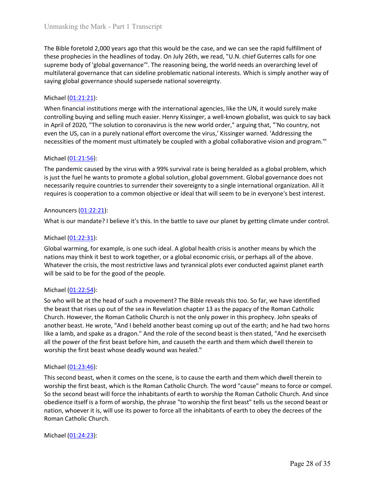Unmasking the Mark - Part 1 Transcript<br>The Bible foretold 2,000 years ago that this would be the case, and we can see the rapid fulfillment of<br>these prophecies in the headlines of today. On July 26th, we read, "U.N. chief Unmasking the Mark - Part 1 Transcript<br>The Bible foretold 2,000 years ago that this would be the case, and we can see the rapid fulfillment of<br>these prophecies in the headlines of today. On July 26th, we read, "U.N. chief Unmasking the Mark - Part 1 Transcript<br>The Bible foretold 2,000 years ago that this would be the case, and we can see the rapid fulfillment of<br>these prophecies in the headlines of today. On July 26th, we read, "U.N. chief Unmasking the Mark - Part 1 Transcript<br>The Bible foretold 2,000 years ago that this would be the case, and we can see the rapid fulfillment of<br>these prophecies in the headlines of today. On July 26th, we read, "U.N. chief Unmasking the Mark - Part 1 Transcript<br>The Bible foretold 2,000 years ago that this would be the case, and we can see the rapid fulfillment of<br>these prophecies in the headlines of today. On July 26th, we read, "U.N. chief Unmasking the Mark - Part 1 Transcript<br>The Bible foretold 2,000 years ago that this would be the case, and we can see the<br>these prophecies in the headlines of today. On July 26th, we read, "U.N. chief Gut<br>supreme body of '

Unmasking the Mark - Part 1 Transcript<br>The Bible foretold 2,000 years ago that this would be the case, and we can see the rapid fulfillment of<br>these prophecies in the headlines of today. On July 26th, we read, "U.N. chief Unmasking the Mark - Part 1 Transcript<br>The Bible foretold 2.000 years ago that this would be the case, and we can see the rapid fulfillment of<br>these prophecies in the headlines of today. On July 26th, we read, "U.N. chief Unmasking the Mark - Part 1 Transcript<br>
The Bible foretold 2,000 years ago that this would be the case, and we can see the rapid fulfillment of<br>
these prophecies in the headlines of today. On July 26th, we read, "U.N. chef Unmasking the Mark - Part 1 Transcript<br>
The Bible foretold 2,000 years ago that this would be the case, and we can see the rapid fulfillment of<br>
these prophecies in the headlines of today. On July 26th, we read, "U.N. chie Unmasking the Mark - Part 1 Transcript<br>
The Bible foretold 2,000 years ago that this would be the case, and we can see the rapid fulfillment of<br>
these prophecies in the headlines of today. On July 26th, we read, "U.M. chie Unmasking the Mark - Part 1 Transcript<br>The Bible foretold 2,000 years ago that this would be the case, and we can see the<br>these prophecies in the headlines of today. On July 26th, we read, "U.N. chief Gut<br>supreme body of Unmasking the Mark - Part 1 Transcript<br>The Bible foretold 2,000 years ago that this would be the case, and we can see the rapid fulfillment of<br>these propheteis in the headlines of today. On July 26ft, we read, "U.N. chief Unmasking the Mark - Part 1 Transcript<br>The Bible foretold 2,000 years ago that this would be the case, and we can see the rapid fulfillment of<br>these prophecies in the headlines of today. On July 26th, we read, "U.N. chief The Bible foretold 2,000 years ago that this would be the case, and we can see the rapid fulfillment of<br>these prophecies in the headlines of today. On July 26th, we read, "U.N. chief Guterres calls for one<br>supreme body of The Bible foretold 2,000 years ago that this would be the case, and we can see the rapid fulfillment of<br>these prophecies in the headlines of today. On July 26th, we read, "U.N. chief Guterres calls for one<br>suppreme body of these proprecies in the relauines of today. On Jury 2oin, we fead, O.J.C. Chief outer the standard soverance should supersede an overa multilateral governance that can sideline problematic antional interests. Which is simp multilateral governance that can sideline problematic national interests. Which is simply another way of<br>saying global governance should supersede national sovereignty.<br>Michael (<u>01:21:21)</u>:<br>Michael (<u>01:21:21):</u><br>When fina Michael ( $\underline{01:21:21}$ ):<br>
When financial institutions merge with the international agencies, like the UN, it<br>
when financial institutions merge with the international agencies, like the UN, it<br>
when financial institutio Michael (01:22:23):<br>When financial institutions merge with the international agencies, like the UN, it would surely make<br>controlling buying and selling much easier. Henry Kissinger, a well-known globalist, was quick to say When financial institutions merge with the international agencies, like the UN, it would surely make controlling buying and selling much easier. Henry Kisinger, a well-Known globalist, was quick to say back<br>in April of 202 controlling buying and selling much easier. Henry Kissinger, a well-known gobalist, was quick to say back<br>in April of 2020, "The solution to coronavirus is the new world order," arguing that, "No country, not<br>even the US,

in April of 2020, "The solution to coronavirus is the new world order," arguing that, "No country, not<br>in April of 2020, "The solution to coronavirus is the new world order," arguing that, "No country, not<br>even the US, can

necessities of the moment must ultimately be coupled with a global collaborative<br>Michael (01:21:56):<br>The pandemic caused by the virus with a 99% survival rate is being heralded as a g<br>is just the fuel he wants to promote a Michael (<u>01:21:56</u>):<br>The pandemic caused by the virus with a 99% survival rate is being heralded as a global problem, which<br>is just the fuel he wants to promote a global solution, global government. Global governance does Michael (<u>01:21:56)</u>:<br>The pandemic caused by the virus with a 99% survival rate is being heralded as a global problem, which<br>The parademic caused by the virus with a 99% survival rate is being heralded as a global governan The pandemic caused by the virus with a 99% survival rate is being heralded as a global problem, which<br>Is just the fuel he wants to promote a global sloution, global government. Global government composition reacessarily r is just the fuel he wants to promote a global solution, global government. Global governance does not<br>increassantly require countries to surrender their sovereignty to a single international organization. All it<br>requires i necessarily require countries to surrender their sovereignty to a single international organization. All it<br>requires is cooperation to a common objective or ideal that will seem to be in everyone's best interest.<br>Announcer requires is cooperation to a common objective or ideal that will seem to be in everyone's best interest.<br>Announcers (01:22:21):<br>Announcers (01:22:21):<br>What is our mandate? I believe it's this. In the battle to save our pla Announcers (01:22:21):<br>
What is our mandate? I believe it's this. In the battle to save our planet by getting climate under control.<br>
Michael (01:22:31):<br>
Michael (01:22:31):<br>
Cliobal warming, for example, is one such idea What is our mandate? I believe it's this. In the battle to save our planet by getting<br>
Michael ( $01:22:31$ ):<br>
Global warming, for example, is one such ideal. A global health crisis is another me<br>
nations may think it best Michael (01:22:31):<br>
Giobal warming, for example, is one such ideal. A global health crists is another means by which the<br>
mations may think it best to work together, or a global economic crists, or perhaps all of the abov Michael (<u>01:22:31</u>):<br>Global warming, for example, is one such ideal. A global health crisis is another means by which the<br>anatons may think it best to work together, or a global economic crisis, or perhaps all of the abov Collar Unitary the state of the second beast will force the second beast will be second beast will be said of the above.<br>
So the second beast will be said to be for the good of the people.<br>
Will be said to be for the good undour warming, for example, is one such loeal. A groosal near to rises is snottent means by which the above.<br>
Matever the crisis, the most restrictive laws and tyrannical plots ever conducted against planet earth<br>
will be nations may thank the best to work together, or a global economic crists, or permaps all or the above.<br>Whatever the crists, the most restrictive laws and tyramical plots ever conducted against planet earth<br>will be said to whateer the crists, the most restrictive laws and tyrannical plots ever conducted against<br>will be said to be for the good of the people.<br>Michael (01:22:54):<br>So who will be at the head of such a movement? The Bible reveals Michael ( $\underline{01:22:54}$ ):<br>So who will be at the head of such a movement? The Bible reveals this too. So far,<br>the beast that rises up out of the sea in Revelation chapter 13 as the papacy of the<br>Church. However, the Roman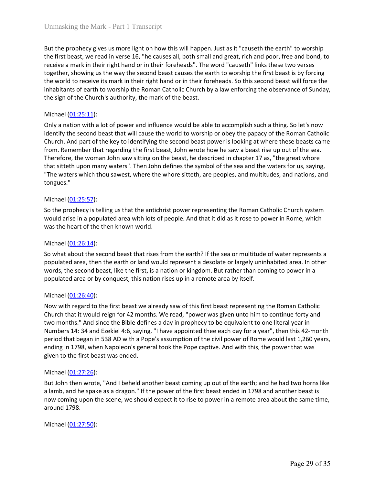Unmasking the Mark - Part 1 Transcript<br>But the prophecy gives us more light on how this will happen. Just as it "causeth the earth" to worship<br>the first beast, we read in verse 16, "he causes all, both small and great, ric Unmasking the Mark - Part 1 Transcript<br>But the prophecy gives us more light on how this will happen. Just as it "causeth the earth" to worship<br>the first beast, we read in verse 16, "he causes all, both small and great, ric Unmasking the Mark - Part 1 Transcript<br>But the prophecy gives us more light on how this will happen. Just as it "causeth the earth" to worship<br>the first beast, we read in verse 16, "he causes all, both small and great, ric Unmasking the Mark - Part 1 Transcript<br>But the prophecy gives us more light on how this will happen. Just as it "causeth the earth" to worship<br>the first beast, we read in verse 16, "he causes all, both small and great, ric Unmasking the Mark - Part 1 Transcript<br>But the prophecy gives us more light on how this will happen. Just as it "causeth the earth" to worship<br>the first beast, we read in verse 16, "he causes all, both small and great, ric Unmasking the Mark - Part 1 Transcript<br>But the prophecy gives us more light on how this will happen. Just as it "causeth the earth" to worship<br>the first beast, we read in verse 16, "he causes all, both small and great, ri Unmasking the Mark - Part 1 Transcript<br>But the prophecy gives us more light on how this will happen. Just as it "causeth the earth" to worship<br>the first beast, we read in verse 16, "he causes all, both small and great, fir Unmasking the Mark - Part 1 Transcript<br>
But the prophecy gives us more light on how this will happen. Just as it "causeth the<br>
first beast, we read in verse 16, "he causes all, both small and great, rich and p<br>
receive a m Unmasking the Mark - Part 1 Transcript<br>But the prophecy gives us more light on how this will happen. Just as it "causeth the earth" to worship<br>the first beast, we read in verse 16, "he causes all, both small and great, ric

Unmasking the Mark - Part 1 Transcript<br>But the prophecy gives us more light on how this will happen. Just as it "causeth the earth" to worship<br>the first beast, we read in verse 16, "he causes all, both small and great, ric Unmasking the Mark - Part | Transcript<br>
But the prophecy gives us more light on how this will happen. Just as it "causeth the earth" to worship<br>
the first beast, we read in verse 16, "he causes all, both small and great, r Unmasking the Mark - Part 1 Transcript<br>But the prophecy gives us more light on how this will happen. Just as it "causeth the earth" to worship<br>the first beast, we read in verse 16, "he causes all, both small and great, ric Unmasking the Mark - Part 1 Transcript<br>But the prophecy gives us more light on how this will happen. Just as it "causeth the earth" to worship<br>the first beast, we read in verse 16, "he causes all, both small and great, ric Unmasking the Mark - Part 1 Transcript<br>
But the prophecy gives us more light on how this will happen. Just as it "causeth the earth" to worship<br>
the first beast, we read in verse 16, "he causes all, both small and great, r Unmasking the Mark - Part 1 Transcript<br>
But the prophecy gives us more light on how this will happen. Just as it "causeth the earth" to worship<br>
the first beast, we read in verse 16, "he causes all, both small and great, r tongues." But the prophecy gives us more light on how this will happen. Just as it "causeth the first beast, we read in verse 16, "he causes all, both small and great, rich and the freceive a mark in their right hand or in their fo the rist beast, we read in werse is, mean werse to, mean and great, nich and great, nich and poor, tree and poon, to<br>receive a mark in their right hand or in their foreheads". The word "causeth" links these two verses<br>toge receive a mark in treir right nanto in it heir roreneass. The word "causern" inks these two versels<br>together, showing us the way the second beast causes the earth to worship the first beast is by forcing<br>the world to recei togetner, snowing us the way the second oeast causes the earth to worship then lists of the second beast then to the then known world to receive its mark in their fright hand or in their foreheads. So this second beast wil Imabitants or earth to worship the koman Catholic Cruitch by a law enforcing the<br>the sign of the Church's authority, the mark of the beast.<br>Michael ( $0.1:25:11$ ):<br>Only a nation with a lot of power and influence would be a Michael (01:25:11):<br>
Michael (01:25:11):<br>
Mohy a nation with a lot of power and influence would be able to accomplish such a thing. So let's now<br>
identify the second beast that will cause the world to worship or obey the Michael <u>(01:25:11</u>):<br>Only a nation with a lot of power and influence would be able to accomplish such a thing. So let's now<br>identify the second beast that will cause the world to worship or obey the papacy of the Roman Ca word solution and the second beast that will cause the word downship or obey the papacy of the Roman Catholic<br>charify the second beast that will cause the word to worship or obey the papacy of the Roman Catholic<br>Church. An Univer a nation with a lot or power and immente would be able to accomplism such as the moment of the Roman Catholic<br>Church, And part of the key to identifying the second beast power is looking at where these beasts came<br>f Church. And part or the Key to luentuplying the second beast power is looking at which then perform. Remember that regarding the first beast, John wrote how he saw a beast ristherefore, the woman John saw sitting on the be

Therefore, the woman John saw sitting on the beast, he described in chapter 17 as, "the great whore<br>Therefore, the woman John saw sitting on the beast, he described in chapter 17 as, "the great whore<br>"The waters which thou that sitteth upon many waters". Then John defines the symbol of the sea and the waters for us, saying, "The vaters which thou sawest, where the whore sitteth, are peoples, and multitudes, and mations, and thougues."<br>
Micha "The waters which thou sawest, where the whore sitteth, are peoples, and multitudes, and nations, and<br>torgues."<br>
Michael (<u>01:25:57</u>):<br>
Michael (<u>01:25:57</u>):<br>
So whe prophecy is telling us that the antichrist power repres Iongues."<br>
So the prophecy is telling us that the antichrist power representing the Roman Catholic Church system<br>
would arise in a populated area with lots of people. And that it did as it rose to power in Rome, which<br>
was **Example (01:25:57):**<br>So the prophecy is telling us that the antichrist power representing the Roman Catholic Church system<br>would arise in a populated area with lots of people. And that it did as it rose to power in Rome, Michael (<u>01:25:57):</u><br>So the prophecy is telling us that the antichrist power representing the Roman Catholic Church system<br>would arise in a populated area with lots of people. And that it did as it rose to power in Rome, munion to the first beast was already in prophecy is equivalent to the first beast ended.<br>
So the prophecy is telling us that the antichrist power representing the Roman Catholic Church system would arise in a populated a would arise in a populated area whit iots of people. And that it did as it fose to po<br>was the heart of the then known world.<br>Michael (01:26:14):<br>So what about the second beast that rises from the earth? If the sea or multi Michael (01:26:14):<br>So what about the second beast that rises from the earth? If the sea or multitude of water represents a<br>populated area, then the earth or land would represent a desolate or largely uninhabited area. In Michael <u>(01:26:14</u>):<br>So what about the second beast that rises from the earth? If the sea or multitude of water represents a<br>populated area, then enth or land would represent a desolate or largely uninhabited area. In oth mower that the second beast that rises from the earth? If the sea or multitude of water represents a populated area, then the earth or land would represent a desolate or largely uninhabited area. In other words, the second So what about the second beast that rises from the earrir in the sea or multude populated area, then the earth or land would represent a desolate or largely uniny words, the second beast, like the first, is a nation or kin words, the second deast, the the first, is a fraction of kingdom. But faither than compopulated area or by conquest, this nation rises up in a remote area by itself.<br>
Michael (01:26:40):<br>
Now with regard to the first beast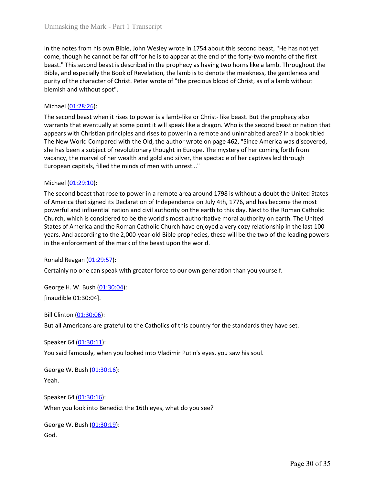Unmasking the Mark - Part 1 Transcript<br>In the notes from his own Bible, John Wesley wrote in 1754 about this second beast, "He has not yet<br>come, though he cannot be far off for he is to appear at the end of the forty-two m Unmasking the Mark - Part 1 Transcript<br>In the notes from his own Bible, John Wesley wrote in 1754 about this second beast, "He has not yet<br>come, though he cannot be far off for he is to appear at the end of the forty-two m Unmasking the Mark - Part 1 Transcript<br>
In the notes from his own Bible, John Wesley wrote in 1754 about this second beast, "He has not yet<br>
come, though he cannot be far off for he is to appear at the end of the forty-two Unmasking the Mark - Part 1 Transcript<br>
In the notes from his own Bible, John Wesley wrote in 1754 about this second beast, "He has not yet<br>
come, though he cannot be far off for he is to appear at the end of the forty-two Unmasking the Mark - Part 1 Transcript<br>
In the notes from his own Bible, John Wesley wrote in 1754 about this second beast, "He has not yet<br>
come, though he cannot be far off for he is to appear at the end of the forty-two Unmasking the Mark - Part 1 Transcript<br>
In the notes from his own Bible, John Wesley wrote in 1754 about this second beast, "He has n<br>
come, though he cannot be far off for he is to appear at the end of the forty-two month Unmasking the Mark - Part 1 Transcript<br>
In the notes from his own Bible, John Wesley wrote in 1754 about this second bea<br>
come, though he cannot be far off for he is to appear at the end of the forty-two r<br>
beast." This se

Unmasking the Mark - Part 1 Transcript<br>
In the notes from his own Bible, John Wesley wrote in 1754 about this second beast, "He has not yet<br>
come, though he cannot be far off for he is to appear at the end of the forty-two Unmasking the Mark - Part 1 Transcript<br>
In the notes from his own Bible, John Wesley wrote in 1754 about this second beast, "He has not yet<br>
come, though he cannot be far off for he is to appear at the end of the forty-two Unmasking the Mark - Part 1 Transcript<br>
In the notes from his own Bible, John Wesley wrote in 1754 about this second beast, "He has not yet<br>
come, though he cannot be far off for he is to appear at the end of the forty-two Unmasking the Mark - Part | Transcript<br>
In the notes from his own Bible, John Wesley wrote in 1754 about this second beast, "He has not yet<br>
come, though he cannot be far off for he is to appear at the end of the forty-two Unmasking the Mark - Part 1 Transcript<br>
In the notes from his own Bible, John Wesley wrote in 1754 about this second beast, "He has not yet<br>
come, though he cannot be far off for he is to appear at the end of the forty-two Unmasking the Mark - Part 1 Transcript<br>
In the notes from his own Bible, John Wesley wrote in 1754 about this second beast, "He has not yet<br>
come, though he cannot be far of for he is to appear at the end of the forty-two Unmasking the Mark - Part 1 Transcript<br>
In the notes from his own Bible, John Wesley wrote in 1754 about this second beast, "He has not yet<br>
come, though he cannot be far off for he is to appear at the end of the forty-two In the notes from his own Bible, John Wesley wrote in 1754 about this second beacome, though he cannot be far off for he is to appear at the end of the forty-two r<br>beast." This second beast is described in the prophecy as In the notes from his own Bible, John Wesley wrote in 1754 about this second beast, "He has not yet<br>come, though he cannot be far off for he is to appear at the end of the forty-two months of the first<br>beast." This second In the notes romm is own Bulle, Jom wessely wrote in 1/2-s about this secono easa; The nas not yet increases. A mass of yet increases." This second beast is described in the prophecy as having two horns like a lamb. Throug come, though ne cannot oe rar or the inter of appear at the end of the chore, the end of the earth of the met a more to the met by the earth of the earth of the single and especially the Book of Revelation, the lamb is to oeax: "Ins second oesat ts eserchoe on the propnecy as having two norms like a ramo. In rongono between the mechanism of the mechanism and purity of the character of Christ. Peter wrote of "the precious blood of Christ, as stione, and especially the book or kevelation, the fiam is to denote the meetares, the gentieness and purity of the character of Christ. Peter wrote of "the precious blood of Christ, as of a lamb without blemish and withou purry or the character or thrist. Peter wrote or the precious biood or christ, as or a lamb without purchy or the cord beast when it rises to power is a lamb-like or Christ-like beast. But the prophecy also warrants that e blemish and without spot.<br>
Michael (<u>01:28:26</u>):<br>
Michael (<u>01:28:26</u>):<br>
The second beast when it rises to power is a lamb-like or Christ-like beast. But the prophecy also<br>
warrants that eventually at some point it will sp Michael (<u>U1:28:25)</u>:<br>
Michael (U<u>1:28:25</u>):<br>
The second beast when it rises to power is a lamb-like or Christ-like beast. But the proph<br>
The second beast when it rises to power is a lamb-like or Christ-like beast. But th

Ine second beast when It rases to power is a rami-was eo runist-unic eleast. But the prophets are applied that worrants that eventually at some point it will speak like a dragon. Who is the second beast or nation that appe appears wint Critichian pinnicipes and rises to power in a femice and numinable are are not a<br>The New World Compared with the Old, the author wrote on page 462, "Since America was<br>she has been a subject of revolutionary th She has been a subject of revolutionary thought in Europe. The mystery of her comination, the has been a subject of revolutionary thought in Europe. The mystery of her cominationary, the marvel of her wealth and gold and s European capitals, filled the minds of men with unrest..."<br>
Michael (0<u>1:29:10</u>):<br>
The second beast that rose to power in a remote area around 1798 is without a dout<br>
of America that signed its Declaration of Independence Michael (<u>01:29:10</u>):<br>The second beast that rose to power in a remote area around 1798 is without a doubt the United States<br>of America that signed its Declaration of Independence on July 4th, 1776, and has become the most<br> The second beast that rose to power in a remote area around 1798 is without a doub<br>of America that signed its Declaration of Independence on July 4th, 1776, and has been<br>powerful and influential nation and civil authority of America that signed its Declaration of Independence on July 4th, 1776, and has become the most<br>powerful and influential nation and civil authority on the earth to this day. Next to the Roman Catholic<br>Church, which is co Church, which is considered to be the world's most authoritative moral authority on earth<br>States of America and the Roman Catholic Church have enjoyed a very cozy relationship in<br>years. And according to the 2,000-year-old

Yeah.

In the enforcement of the mark of the beast upon the world:<br>Ronald Reagan (01:29:57):<br>Certainly no one can speak with greater force to our own generation than you yourse<br>George H. W. Bush (0<u>1:30:04)</u>:<br>[inaudible 01:30:04] Ronald Reagan (<u>01:29:57</u>):<br>Certainly no one can speak with greater force to our own generation than you yourself.<br>George H. W. Bush (<u>01:30:04</u>):<br>[inaudible 01:30:04].<br>Bill Clinton (<u>01:30:0</u>6):<br>But all Americans are grat Certainly no one can speak with greater force to our own generation than you yoursen.<br>George H. W. Bush (<u>01:30:04</u>):<br>[inaudible 01:30:04].<br>Bill Clinton <u>(01:30:06</u>):<br>But all Americans are grateful to the Catholics of this

God.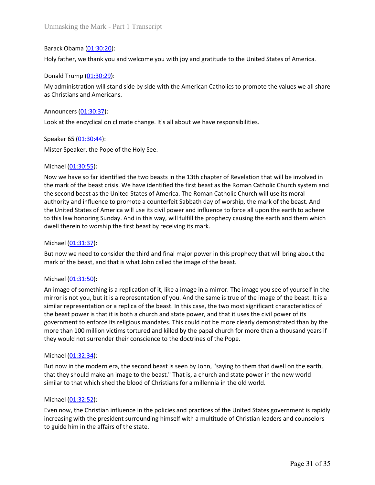Unmasking the Mark - Part 1 Transcript<br>Barack Obama (<u>01:30:20</u>):<br>Holy father, we thank you and welcome you with joy and gratitude to the United States of<br>Donald Trump (<u>01:30:29</u>):<br>My administration will stand side by sid Unmasking the Mark - Part 1 Transcript<br>Barack Obama <u>(01:30:20</u>):<br>Holy father, we thank you and welcome you with joy and gratitude to the United States of America.<br>Donald Trump <u>(01:30:29</u>):<br>My administration will stand si Unmasking the Mark - Part 1 Transcript<br>Barack Obama <u>(01:30:20</u>):<br>Holy father, we thank you and welcome you with joy and gratitude to the United States<br>Donald Trump <u>(01:30:29</u>):<br>My administration will stand side by side w Unmasking the Mark - Part 1 Transcript<br>Barack Obama (<u>01:30:20)</u>:<br>Holy father, we thank you and welcome you with joy and gratitude to the United States of America.<br>Donald Trump <u>(01:30:29):</u><br>My administration will stand si Unmasking the Mark - Part 1 Transcript<br>Barack Obama (<u>01:30:20)</u>:<br>Holy father, we thank you and welcome you with joy and gratitude to the United States of<br>Donald Trump (<u>01:30:29</u>):<br>My administration will stand side by sid Unmasking the Mark - Part 1 Transcript<br>Barack Obama <u>(01:30:20):</u><br>Holy father, we thank you and welcome you with joy and gratitude to the United State<br>Donald Trump <u>(01:30:29):</u><br>My administration will stand side by side wi Unmasking the Mark - Part 1 Transcript<br>Barack Obama (<u>01:30:20</u>):<br>Holy father, we thank you and welcome you with joy and gratitude to the United States of America.<br>Donald Trump (<u>01:30:29</u>):<br>about M administration will sta Unmasking the Mark - Part 1 Transcript<br>
Barack Obama (01:30:20):<br>
Holy father, we thank you and welcome you with joy and gratitude to the United Stat<br>
Donald Trump (01:30:29):<br>
My administration will stand side by side wi

Unmasking the Mark - Part 1 Transcript<br>Barack Obama <u>(01:30:20)</u>:<br>Holy father, we thank you and welcome you with joy and gratitude to the United States of America.<br>Donald Trump <u>(01:30:29)</u>:<br>My administration will stand si Unmasking the Mark - Part 1 Transcript<br>
Barack Obama (<u>01:30:20</u>):<br>
Holy father, we thank you and welcome you with joy and gratitude to the United S<br>
Donald Trump (<u>01:30:29</u>):<br>
My administration will stand side by side wi Unmasking the Mark - Part 1 Transcript<br>Barack Obama (<u>01:30:20</u>):<br>Holy father, we thank you and welcome you with joy and gratitude to the United States of America.<br>Donald Trump (<u>01:30:29</u>):<br>My administration will stand si Barack Obama <u>(01:30:20</u>):<br>Donald Trump (<u>01:30:20)</u>:<br>Donald Trump (0<u>1:30:29</u>):<br>My administration will stand side by side with the American Catholics to promote the values we all share<br>as Christians and Americans.<br>Barch s Barack Obama (<u>01:30:20</u>):<br>Holy father, we thank you and welcome you with joy and gratitude to the United States of America.<br>Donald Trump (<u>01:30:29</u>):<br>My administration will stand side by side with the American Catholics Barack Obama (<u>01:30:20</u>):<br>
Donald Trump (<u>03:30:29</u>):<br>
Donald Trump (03:30:29):<br>
Donald Trump (03:30:29):<br>
My administration will stand side by side with the American Catholics to promote the values we all share<br>
as Chris Holy father, we thank you and welcome you with joy and gratitude to the United States of America.<br>Donald Trump (01:30:29):<br>My administration will stand side by side with the American Catholics to promote the values we all Donald Trump (0<u>1:30:29</u>):<br>My administration will stand side by side with the American Catholics to promote the values we all share<br>as Christians and Americans.<br>Announcers (0<u>1:30:37</u>):<br>Look at the encyclical on climate ch Donald Trump (<u>01:30:29</u>):<br>
My administration will stand side by side with the American Catholics to promote the values we all share<br>
My administration will stand side by side with the American Catholics to promote the val as Christians and Americans.<br>
Announcers ( $01:30:37$ ):<br>
Look at the encyclical on climate change. It's all about we have responsibilities.<br>
Speaker 65 ( $01:30:44$ ):<br>
Mister Speaker, the Pope of the Holy See.<br>
Michael ( $01$ Announcers <u>(01:30:37)</u>:<br>
Look at the encyclical on climate change. It's all about we have responsibilities.<br>
Speaker 65 <u>(01:30:44)</u>:<br>
Mister Speaker, the Pope of the Holy See.<br>
Michael (<u>01:30:55):</u><br>
Now we have so far i Announcers (<u>01:30:37</u>):<br>
Look at the encyclical on climate change. It's all about we have responsibilities.<br>
Speaker 65 (<u>01:30:44</u>):<br>
Mister Speaker, the Pope of the Holy See.<br>
Michael (<u>01:30:55</u>):<br>
Michael (<u>01:30:55</u>) Speaker 65 (01:30:44):<br>
Mister Speaker, the Pope of the Holy See.<br>
Michael (01:30:55):<br>
Now we have so far identified the two beasts in the 13th chapter of Revelation th<br>
the mark of the beast crisis. We have identified t Speaker 65 <u>(01:30:44);</u><br>
Mister Speaker, the Pope of the Holy See.<br>
Michael (<u>01:30:55):</u><br>
Michael (<u>01:30:55):</u><br>
Mom we have so far identified the two beasts in the 13th chapter of Revelation that will be involved in<br>
No

Mister Speaker, the Pope of the Holy See.<br>
Michael (<u>01:30:55</u>):<br>
Now we have so far identified the two beasts in the 13th chapter of Revelation that will be involved in<br>
the mark of the beast crisis. We have identified th Michael ( $\underline{01:30:55}$ ):<br>Now we have so far identified the two beasts in the 13th chapter of Revelation that will be involved in<br>the mark of the beast crisis. We have identified the first beast as the Roman Catholic Chu Michael (<u>01:30:55</u>):<br>Now we have so far identified the two beasts in the 13th chapter of Revelation that will be involved in<br>the mark of the beast crisis. We have identified the first beast as the Roman Catholic Church wi mowe **lanets** of identified the two beasts in the 13th chapter of Revelation that will be involved in<br>the mark of the beast crisis. We have identified the first beast as the Roman Catholic Church wight<br>the second beast as Nichelel (01:31:30):<br>Now we have to are reactive and two beasts in the 1stro rapper or reveleant many out the menk of the beast est the Nintel States of America. The Roman Catholic Church will use its moral<br>the second beas the mark or the beast conscience their threst best as the kommic achiout currender in the second beast as the United States of America. The Roman Cabible Church will use its moral<br>authority and influence to promote a count at minutance to promote a counteriet saboard day or worsting, the mathout of the United States of America will use its civil power and influence to force all upor<br>to this law honoring Sunday. And in this way, will fulfill to this law honoring Sunday. And in this way, will fulfill the prophecy causing the earth and them which<br>dwell therein to worship the first beast by receiving its mark.<br>Michael (<u>01:31:37</u>):<br>Michael (<u>01:31:37</u>):<br>Michael ( doted (01:32:32):<br>
But now we need to consider the third and final major power in this prophecy that will bring about the<br>
But now we need to consider the third and final major power in this prophecy that will bring about Michael (01:31:32):<br>But now we need to consider the third and final major power in this prophecy that will bring about the<br>But now we need to consider the third and final major power in this prophecy that will bring about But now we need to consider the third and final major power in this prophecy tha<br>But now we need to consider the third and final major power in this prophecy tha<br>mark of the beast, and that is what John called the image o mark of the beast, and that is what John called the image of the beast.<br>
Michael (<u>01:31:50):</u><br>
An image of something is a replication of it, like a image in a mirror. The image you see of yourself in the<br>
mirror is not yo Michael (01:31:50):<br>An image of something is a replication of it, like a image in a mirror. The image you see of yourself in the<br>mirror is not you, but it is a representation of you. And the same is true of the image of t Michael (01:31:50):<br>An image of something is a replication of it, like a image in a mirror. The image you see of yourself in the<br>mirror is not you, but it is a representation of you. And the same is true of the image of th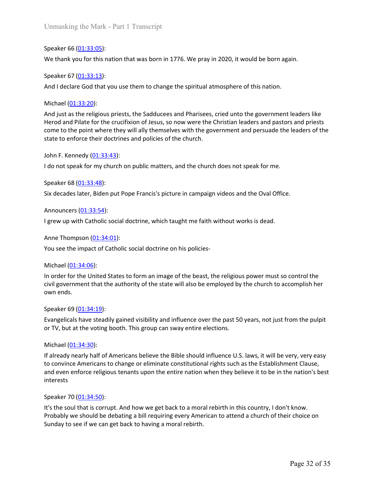Unmasking the Mark - Part 1 Transcript<br>Speaker 66 (<u>01:33:05</u>):<br>We thank you for this nation that was born in 1776. We pray in 2020, it would be bor<br>Speaker 67 (<u>01:33:13</u>):<br>And I declare God that you use them to change th Unmasking the Mark - Part 1 Transcript<br>Speaker 66 <u>(01:33:05)</u>:<br>We thank you for this nation that was born in 1776. We pray in 2020, it would be born again.<br>Speaker 67 <u>(01:33:13</u>):<br>And I declare God that you use them to c

Unmasking the Mark - Part 1 Transcript<br>
Speaker 66 <u>(01:33:05):</u><br>
We thank you for this nation that was born in 1776. We pray in 2020, it would be bor<br>
Speaker 67 <u>(01:33:13):</u><br>
And I declare God that you use them to chang Unmasking the Mark - Part 1 Transcript<br>Speaker 66 (0<u>1:33:05</u>):<br>We thank you for this nation that was born in 1776. We pray in 2020, it would be born again.<br>Speaker 67 (0<u>1:33:13</u>):<br>And I declare God that you use them to c Unmasking the Mark - Part 1 Transcript<br>Speaker 66 <u>(01:33:05</u>):<br>We thank you for this nation that was born in 1776. We pray in 2020, it would be l<br>Speaker 67 <u>(01:33:13)</u>:<br>And I declare God that you use them to change the Unmasking the Mark - Part 1 Transcript<br>Speaker 66 (<u>01:33:05)</u>:<br>We thank you for this nation that was born in 1776. We pray in 2020, it would be born again.<br>Speaker 67 <u>(01:33:13</u>):<br>And I declare God that you use them to c Unmasking the Mark - Part 1 Transeript<br>Speaker 66 (<u>01:33:05)</u>:<br>Speaker 67 (<u>01:33:05)</u>:<br>Speaker 67 (<u>01:33:13</u>):<br>And I declare God that you use them to change the spiritual atmosphere of this nation.<br>Michael (<u>01:33:20):</u> Unmasking the Mark - Part 1 Transcript<br>Speaker 66 (<u>01:33:05)</u>:<br>We thank you for this nation that was born in 1776. We pray in 2020, it would be born again.<br>Speaker 67 (<u>01:33:13</u>):<br>And I declare God that you use them to c Unmasking the Mark - Part 1 Transcript<br>Speaker 66 <u>(01:33:05)</u>:<br>We thank you for this nation that was born in 1776. We pray in 2020, it would be born again.<br>Speaker 67 <u>(01:33:13</u>):<br>And I declare God that you use them to c Unmasking the Mark - Part 1 Transcript<br>Speaker 66 (<u>01:33:05)</u>:<br>We thank you for this nation that was born in 1776. We pray in 2020, it would be born aga<br>Speaker 67 (<u>01:33:13</u>):<br>And I declare God that you use them to chan Unmasking the Mark - Part 1 Transcript<br>Speaker 66 <u>(01:33:05)</u>:<br>We thank you for this nation that was born in 1776. We pray in 2020, it would be born again.<br>Speaker 67 <u>(01:33:13)</u>:<br>And I declare God that you use them to c Speaker 66 ( $01:33:05$ ):<br>Speaker 66 ( $01:33:05$ ):<br>We thank you for this nation that was born in 1776. We pray in 2020, it would be bor<br>Speaker 67 ( $01:33:13$ ):<br>And I declare God that you use them to change the spiritual a Speaker 66 <u>(01:33:05)</u>:<br>We thank you for this nation that was born in 1776. We pray in 2020, it would be born again.<br>Speaker 67 (<u>01:33:13</u>):<br>And I declare God that you use them to change the spiritual atmosphere of this We thank you for this nation that was born in 1776. We pray in 2020, it would be borr<br>Speaker 67 (<u>01:33:13</u>):<br>And I declare God that you use them to change the spiritual atmosphere of this nation<br>Michael (01:33:20):<br>And J Speaker 67 (<u>01:33:13</u>):<br>And I declare God that you use them to change the spiritual atmosphere of this nation.<br>Michael (<u>01:33:20</u>):<br>And just as the religious priests, the Sadducees and Pharisees, cried unto the governmen And I declare God that you use them to change the spiritual atmosphere of this nation.<br>
Michael <u>(01:33:20</u>):<br>
And just as the religious priests, the Sadducees and Pharisees, cried unto the government<br>
Herod and Pilate fo Michael <u>(01:33:20</u>):<br>And just as the religious priests, the Sadducees and Pharisees, cried unto the government leaders like<br>Herod and Pilate for the crucifixion of lesus, so now were the Christian leaders and pastors and And just as the religious priests, the Sadducees and Pharisees, cried unto the gove<br>Herod and Pilate for the crucifixion of Jesus, so now were the Christian leaders and<br>come to the point where they will ally themselves wit

Herou and Priate for the chutchxon or lesus, so how were the Christmieacels and pastors and pressistent come to the point where they will ally themselves with the government and persuade the leaders of the state to enforce come to the point worler they will ally remissives wirl the government and persuade the leaders or the<br>state to enforce their doctrines and policies of the church does not speak for me.<br>John F. Kennedy (01:33:43):<br>Six deca state to enrorce their ooctrines and policies of the church.<br>John F. Kennedy (<u>01:33:43</u>):<br>I do not speak for my church on public matters, and the church does not speak<br>Speaker 68 (<u>01:33:48</u>):<br>Six decades later, Biden put John F. Kennedy (<u>U1:33:43</u>):<br>
Speaker 68 (<u>01:33:48</u>):<br>
Speaker 68 (<u>01:33:48)</u>:<br>
Six decades later, Biden put Pope Francis's picture in campaign videos and the Oval O<br>
Announcers (<u>01:33:54</u>):<br>
I grew up with Catholic so r and mot speak ror my church on public matters, and the church does not speak ror me.<br>Speaker 68 (<u>01:33:48)</u>:<br>Six decades later, Biden put Pope Francis's picture in campaign videos and the Oval Office.<br>Announcers (<u>01:33</u> Speaker 68 <u>(01:33:48)</u>:<br>Six decades later, Biden put Pope Francis's picture in campaign videos and the Oval Office.<br>Announcers <u>(01:33:54)</u>:<br>J grew up with Catholic social doctrine, which taught me faith without works is

Six decades later, Biden put Pope Francis's picture in campaign videos and the Ova<br>Announcers (<u>01:33:54</u>):<br>I grew up with Catholic social doctrine, which taught me faith without works is deal<br>Anne Thompson (<u>01:34:01)</u>:<br>Y Announcers (0<u>1:33:54)</u>:<br>I grew up with Catholic social doctrine, which taught me faith without works is dead.<br>Anne Thompson <u>(01:34:06)</u>:<br>You see the impact of Catholic social doctrine on his policies-<br>Michael (<u>01:34:06)</u> Amouncers (<u>U1:34:34)</u>:<br>
I grew up with Catholic social doctrine, which taught me faith without works is dead.<br>
Anne Thompson (<u>01:34:01)</u>:<br>
You see the impact of Catholic social doctrine on his policies-<br>
Inforder Cort th I grew up with Catholic social doctrine, which taught me faith without works is dead.<br>
Anne Thompson (<u>01:34:01)</u>:<br>
You see the impact of Catholic social doctrine on his policles-<br>
In order for the United States to form an interests You see the impact of Catholic social doctrine on his policies-<br>Michael (0<u>1:34:06)</u>:<br>In order for the United States to form an image of the beast, the religious power music<br>ivil government that the authority of the state Michael (<u>01:34:06</u>):<br>In order for the United States to form an image of the beast, the religious power must so control the<br>civil government that the authority of the state will also be employed by the church to accomplish Michael (0<u>1:34:06)</u>:<br>In order for the United States to form an image of the beast, the religious power must so control the<br>In order for the United States to form an image of the beast, the religious power must so control In order for the United States to form an image of the beast, the religious power must so control the civil government that the authority of the state will also be employed by the church to accomplish her civil government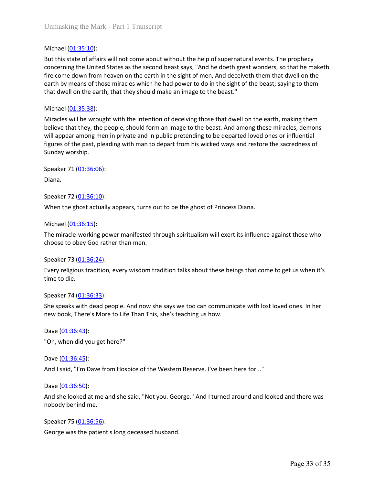Unmasking the Mark - Part 1 Transcript<br>Michael (01:35:10):<br>But this state of affairs will not come about without the help of supernatural even<br>concerning the United States as the second beast says, "And he doeth great wond Unmasking the Mark - Part 1 Transcript<br>But this state of affairs will not come about without the help of supernatural events. The prophecy<br>concerning the United States as the second beast says, "And he doeth great wonders, Unmasking the Mark - Part 1 Transcript<br>Michael (<u>01:35:10</u>):<br>But this state of affairs will not come about without the help of supernatural events. The prophecy<br>concerning the United States as the second beast says, "And h Unmasking the Mark - Part 1 Transcript<br>Michael (<u>01:35:10</u>):<br>But this state of affairs will not come about without the help of supernatural events. The prophecy<br>concerning the United States as the second beast says, "And h Unmasking the Mark - Part 1 Transcript<br>
But this state of affairs will not come about without the help of supernatural events. The prophecy<br>
concerning the United States as the second beast says, "And he doeth great wonder Unmasking the Mark - Part 1 Transcript<br>
Michael (<u>01:35:10</u>):<br>
But this state of affairs will not come about without the help of supernatural events. The prophecy<br>
But this state of affairs will not come about without the Unmasking the Mark - Part 1 Transcript<br>
Michael (0<u>1:35:10)</u>:<br>
But this state of affairs will not come about without the help of supernatural even<br>
concerning the United States as the second beast says, "And he doeth great Unmasking the Mark - Part 1 Transcript<br>
Michael (01:35:10):<br>
But this state of affairs will not come about without the help of supernatural events. The prophecy<br>
concerning the United States as the second beast says, "And Unmasking the Mark - Part 1 Transcript<br>
But this state of affairs will not come about without the help of supernatural events. The prophecy<br>
concerning the United States as the second beast says, "And he doeth great wonder Unmasking the Mark - Part I Transcript<br>
Witchael (<u>01:35:10</u>):<br>
But this state of affairs will not come about without the help of supermatural events. The prophecy<br>
concerning the United States as the second beast says, "A Unmasking the Mark - Part 1 Transcript<br>
Nichael (<u>01:35:10)</u>:<br>
But this state of affairs will not come about without the help of supernatural events. The prophecy<br>
concerning the United States as the second beast says, "An Unmasking the Mark - Part 1 Transcript<br>
Michael ( $\underline{01:35:10}$ ):<br>
But this state of affairs will not come about without the help of supernatural ever<br>
concerning the United States as the second beast says, "And he doeth Unmasking the Mark - Part 1 Transcript<br>
Michael (<u>01:35:10</u>):<br>
But this state of affairs will not come about without the help of supernatural events.<br>
Eoncerning the United States as the second beast says, "And he doeth gr Michael (<u>01:35:10</u>):<br>But this state of affairs will not come about without the help of supernatural events.<br>But this state of affairs will not come about without the help of supernatural events.<br>Fire come down from heaven But this state of affairs will not come about without the help of supernatural events. The prophecy<br>concerning the United States as the second beast says, "And he doeth great wonders, so that he maketh<br>fire come down from

fire come down from heaven on the earth in the sight of men, And deceiveth the<br>earth by means of those miracles which he had power to do in the sight of the bea<br>that dwell on the earth, that they should make an image to t earth by means of those miracles which he had power to do in the sight of the beast; saying to them<br>that dwell on the earth, that they should make an image to the beast."<br>Michael (<u>01:35:38)</u>:<br>Michael (<u>01:35:38):</u><br>Michael that dwell on the earth, that they should make an image to the beast."<br>
Michael (<u>01:35:38</u>):<br>
Miracles will be wrought with the intention of deceiving those that dwell on the earth, making them<br>
believe that they, the peo Michael (<u>01:35:38)</u>:<br>
Miracles will be wrought with the intention of deceiving those that dwell on the eart<br>
believe that they, the people, should form an image to the beast. And among these ne<br>
will appear among men in p Miracles will be wrought with the intention of deceiving those that dwell on the earth, making them<br>believe that they, the people, should form an image to the beast. And among these miracles, demons<br>will appear among men i believe that they, the people, should form an image to the beast. And among the<br>will appear among men in private and in public pretending to be departed loved<br>figures of the past, pleading with man to depart from his wicke

Diana.

figures of the past, pleading with man to depart from his wicked ways and restore the<br>Sunday worship.<br>Speaker 71 (<u>01:36:06):</u><br>Diana.<br>Speaker 72 (<u>01:36:10):</u><br>When the ghost actually appears, turns out to be the ghost of P Diana.<br>
Speaker 72 (<u>01:36:10)</u>:<br>
Speaker 72 (<u>01:36:10)</u>:<br>
When the ghost actually appears, turns out to be the ghost of Princess Diana.<br>
Michael (<u>01:36:15)</u>:<br>
The miracle-working power manifested through spiritualism wi Speaker 72 <u>(01:36:10)</u>:<br>When the ghost actually appears, turns out to be the ghost of Princess Diana.<br>Michael <u>(01:36:15)</u>:<br>The miracle-working power manifested through spiritualism will exert its influence against those<br> When the ghost actually appears, turns out to be the ghost of Princess Diana.<br>
Michael (<u>01:36:15</u>):<br>
The miracle-working power manifested through spiritualism will exert its influe<br>
choose to obey God rather than men.<br>
Sp

Speaker 71 <u>(01:36:06)</u>:<br>Speaker 72 <u>(01:36:10)</u>:<br>Speaker 72 (<u>01:36:10</u>):<br>When the ghost actually appears, turns out to be the ghost of Princess Diana.<br>Michael (<u>01:36:15):</u><br>Speaker 73 (<u>01:36:24)</u>:<br>Speaker 73 (<u>01:36:24</u> Speaker 71 <u>(01:36:06)</u>:<br>Speaker 72 <u>(01:36:10)</u>:<br>Speaker 72 <u>(01:36:15)</u>:<br>When the ghost actually appears, turns out to be the ghost of Princess Diana.<br>Michael <u>(01:36:15)</u>:<br>The miracle-working power manifested through sp

Michael (<u>01:36:15)</u>:<br>The miracle-working power manifested through spiritualism will exert its influence against those who<br>choose to obey God rather than men.<br>Speaker 73 (<u>01:36:34</u>):<br>time to die.<br>time to die.<br>Speaker 74 ( The miracle-working power manifested through spiritualism will exert its influe<br>choose to obey God rather than men.<br>Speaker 73 (01:36:24):<br>Every religious tradition, every wisdom tradition talks about these beings that c<br>t cnoose to obey God rather than men.<br>Speaker 73 <u>(01:36:24</u>):<br>Every religious tradition, every wisdom tradition talks about these beings that come to get us when it's<br>Street 74 (<u>01:36:33</u>):<br>She speaks with dead people. And Speaker 73 (<u>01:36:24</u>):<br>Every religious tradition, every wisdom tradition talks about these beings that come to ge<br>time to die.<br>Speaker 74 (<u>01:36:33</u>):<br>She speaks with dead people. And now she says we too can communicate Every religious tradition, every wisdom tradition talks about these beings that come t<br>time to die.<br>Speaker 74 (<u>01:36:33</u>):<br>She speaks with dead people. And now she says we too can communicate with lost lc<br>new book, There time to the.<br>Speaker 74 <u>(01:36:33</u>):<br>She speaks with dead people. And now she says we too can communicate with lost loved ones. In her<br>new book, There's More to Life Than This, she's teaching us how.<br>Dave <u>(01:36:43</u>):<br>"O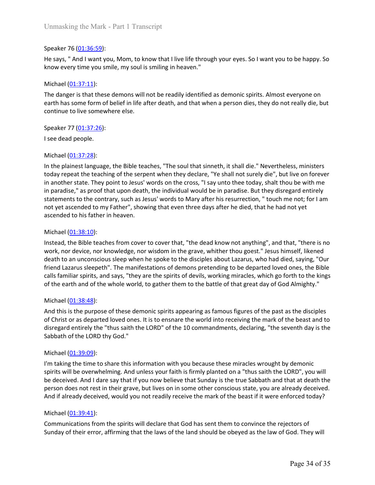Unmasking the Mark - Part 1 Transcript<br>Speaker 76 (01:36:59):<br>He says, " And I want you, Mom, to know that I live life through your eyes. So I want y<br>know every time you smile, my soul is smiling in heaven."<br>Michael (01:37 Unmasking the Mark - Part 1 Transcript<br>Speaker 76 (<u>01:36:59)</u>:<br>He says, " And I want you, Mom, to know that I live life through your eyes. So I want you to be happy. So<br>know every time you smile, my soul is smiling in hea

Unmasking the Mark - Part 1 Transcript<br>Speaker 76 (<u>01:36:59)</u>:<br>He says, " And I want you, Mom, to know that I live life through your eyes. So I want you to be happy. So<br>know every time you smile, my soul is smiling in hea Unmasking the Mark - Part 1 Transcript<br>Speaker 76 (<u>01:36:59</u>):<br>He says, " And I want you, Mom, to know that I live life through your eyes. So I wa<br>know every time you smile, my soul is smiling in heaven."<br>Michael (<u>01:37:</u> Unmasking the Mark - Part 1 Transcript<br>Speaker 76 (<u>01:36:59</u>):<br>He says, "And I want you, Mom, to know that I live life through your eyes. So I want you to be happy. So<br>know every time you smile, my soul is smiling in hea Unmasking the Mark - Part 1 Transcript<br>Speaker 76 (<u>01:36:59)</u>:<br>He says, " And I want you, Mom, to know that I live life through your eyes. So I want you to be happy. So<br>know every time you smile, my soul is smiling in hea Unmasking the Mark - Part 1 Transcript<br>Speaker 76 (<u>01:36:59)</u>:<br>He says, " And I want you, Mom, to know that I live life through your eyes. So I want you to be happy.<br>know every time you smile, my soul is smiling in heaven Unmasking the Mark - Part 1 Transcript<br>
Speaker 76 (<u>01:36:59</u>):<br>
He says, " And I want you, Mom, to know that I live life through your eyes. So I want y<br>
know every time you smile, my soul is smiling in heaven."<br>
Michael Unmasking the Mark - Part 1 Transcript<br>
Speaker 76 <u>(01:36:59)</u>:<br>
He says, " And I want you, Mom, to know that I live life through your eyes. So I want<br>
know every time you smile, my soul is smiling in heaven."<br>
Michael <u></u>

Unmasking the Mark - Part 1 Transcript<br>
Speaker 76 (0<u>1:36:59)</u>:<br>
He says, " And I want you, Mom, to know that I live life through your eyes. So I wa<br>
know every time you smile, my soul is smiling in heaven."<br>
Michael (01: Unmasking the Mark - Part 1 Transcript<br>Speaker 76 <u>(01:36:59)</u>:<br>He says, " And I want you, Mom, to know that I live life through your eyes. So I want you to be happy. So<br>know every time you smile, my soul is smilling in he Unmasking the Mark - Part 1 Transcript<br>Speaker 76 (01:36:59):<br>He says, " And I want you, Mom, to know that I live life through your eyes. So I want you to be happy. So<br>know every time you smile, my soul is smiling in heave Speaker 76 (01:37:59):<br>
He says, " And I want you, Mom, to know that I live life through your eyes. So I want you to be happy. So<br>
know every time you smile, my soul is smiling in heaven."<br>
Michael (01:37:11):<br>
Michael (01 Speaker 76 (01:36:59):<br>He says, " And I want you, Mom, to know that I live life through your eyes. So I want you to be happy. So<br>know every time you smile, my soul is smiling in heaven."<br>Michael (01:37:11):<br>The danger is t Speaker 76 (<u>01:36:59</u>):<br>He says, "And I want you, Mom, to know that I live life through your eyes. So I want you to be happy. So<br>Henow every time you smile, my soul is smiling in heaven."<br>Michael (<u>01:37:11</u>):<br>The danger He says, " And I want you, Mom, to know that I live life through your eyes. So I want you to be happy. So<br>
know every time you smile, my soul is smiling in heaven."<br>
Michael (<u>01:37:11</u>):<br>
Michael (<u>01:37:11)</u>:<br>
Michael (0 Know every time you smile, my soul is smiling in heaven."<br>
Wichael (01:37:11):<br>
The danger is that these demons will not be readily identified as demonic spirits. Almost everyone<br>
earth has some form of belief in life aft Michael ( $\underline{01:37:11}$ ):<br>The danger is that these demons will not be readily identified as demonic spirits. *P*<br>reach has some form of belief in life after death, and that when a person dies, the<br>reach has some form of The danger is that these demons will not be readily identified as demonic spirits. Almost everyone on<br>earth has some form of belief in life after death, and that when a person dies, they do not really die, but<br>continue to earth has some form of belief in life after death, and that when a person dies, they do not really die, but<br>continue to live somewhere else.<br>Speaker 77 (<u>01:37:26</u>):<br>Speaker 77 (<u>01:37:26</u>):<br>Is ee dead people.<br>Michael (<u>01</u> continue to live somewhere else.<br>
Speaker 77 (<u>01-37-28</u>):<br>
Speaker 77 (<u>01-37-28</u>):<br>
In the plainest language, the Bible teaches, "The soul that simeth, it shall die." Nevertheless, ministers<br>
today repeat the teaching of Speaker 77 (<u>01:37:26</u>):<br>
Siese dead people.<br>
Michael (<u>01:37:28</u>):<br>
Michael (0<u>1:37:28)</u>:<br>
Michael (01:37:28):<br>
Indepensed tanguage, the Bible teaches, "The soul that sinneth, it shall of us "." Nevertheless, ministers<br>
I Speaker 77 (<u>01:37:26</u>):<br>
In the plainest language, the Bible teaches, "The soul that sinneth, it shall die." Nevertheless, ministers<br>
today repeat the teaching of the serpent when they declare, "Ye shall not surely die", First death and proper to the Bible teaches, "The soul that sinneth, it shall die." Nevertheless, ministers<br>
to the plainest language, the Bible teaches, "The soul that sinneth, it shall not surely die", but live on foreve Michael ( $\underline{01:37:28}$ ):<br>In the plainest language, the Bible teaches, "The soul that sinneth, it shall die." Ne<br>today repeat the teaching of the serpent when they declare, "Ye shall not surely d<br>in another state. They p In the plainest language, the Bible teaches, "The soul that sinneth, it shall die." Nevertheless, ministers<br>today repeat the teaching of the serpent when they declare, "Ye shall not surely die", but live on forever<br>in a na in the pianest ranguage, the solite teatres. In easy in easy in the mark minerin, it smanle is nevertheess, minsters<br>today repeat the teaching of the serpent when they declare, "Ye shall not surely die", but live on foreve

to any repear the teaching of the serpent winn iney declare, "re shall not survey one, but live on forever any and the in paradise," as proof that upon death, the individual would be in paradise. But they disregard entirel In another state. Iney point to Jesus words on the cross, I say unto the today, shat mou oe with<br>in paradise," as proof that upon death, the individual would be in paradise. But they disregard entit<br>statements to the contr statements to the contrary, such as lessls words to wary arter ins resurrection, the control of the control of the dead to my Father", showing that even three days after he died, that lascended to his father in heaven.<br>
Mi ascended to lis father in heaven.<br>
Michael (<u>01:38:10</u>):<br>
Instead, the Bible teaches from cover to cover that, "the dead know not anything", and that, "there is no<br>
work, nor device, now knowledge, nor wisdom in the grave, Michael (01:38:10):<br>Instead, the Bible teaches from cover to cover that, "the dead know not anything", and that, "there is no<br>work, nor device, nor knowledge, nor wisdom in the grave, whither thou goest." Jesus himself, li Michael (<u>01:38:10</u>):<br>Instead, the Bible teaches from cover to cover that, "the dead know not anything", and that, "there is no<br>work, nor device, nor knowledge, nor wisdom in the grave, whither thou goest." Jesus himself, misted, the Bible teaches from cover to cover that, "the dead know not anything", and that, "there is no<br>work, nor device, nor knowledge, nor wisdom in the grave, whither thou goest." Jesus himself, likened<br>death to an unc Instead, the buote teaches from cover to cover that, the deads a now onot anying, and that, there is no thou posed. "Issue himself, likened death to an unconscious sleep when he spoke to the disciples about Lazarus, who ha

death to an unconstolous sleep when he spoke to the discriptes aloolu tazarus, who<br>effered Lazarus sleepeth". The manifestations of demons pretending to be departed<br>calls familiar spirits, and says, "they are the spirits o calls familiar spirits, and says, "they are the spirits of devils, working miracles, which go forth to the kings<br>of the earth and of the whole world, to gather them to the battle of that great day of God Almighty."<br>Michael of the earth and of the whole world, to gather them to the battle of that great day of God Almighty."<br>
Wichael (<u>01:38:48</u>):<br>
And this is the purpose of these demonic spirits appearing as famous figures of the past as the